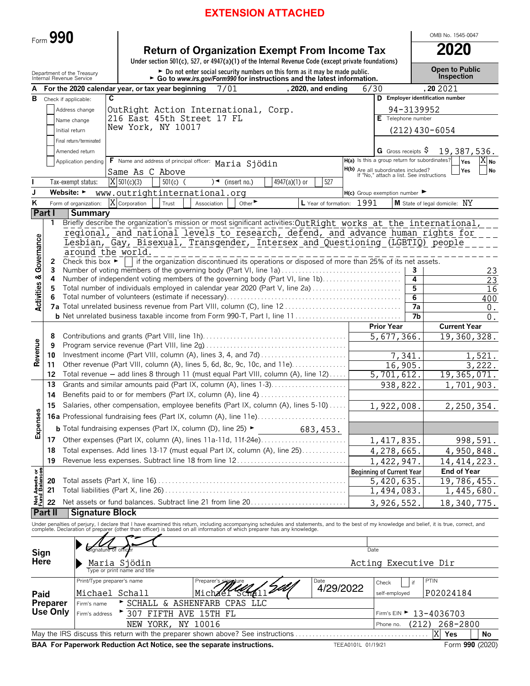# **EXTENSION ATTACHED**

|                         | Form $990$                                             |                                                   |                              |            |                                                                                          |                             |                                                                                                                                                                                                                                   |           |                                                                                 |                 | OMB No. 1545-0047                   |                        |
|-------------------------|--------------------------------------------------------|---------------------------------------------------|------------------------------|------------|------------------------------------------------------------------------------------------|-----------------------------|-----------------------------------------------------------------------------------------------------------------------------------------------------------------------------------------------------------------------------------|-----------|---------------------------------------------------------------------------------|-----------------|-------------------------------------|------------------------|
|                         |                                                        |                                                   |                              |            |                                                                                          |                             | <b>Return of Organization Exempt From Income Tax</b><br>Under section 501(c), 527, or 4947(a)(1) of the Internal Revenue Code (except private foundations)                                                                        |           |                                                                                 |                 | 2020                                |                        |
|                         | Department of the Treasury<br>Internal Revenue Service |                                                   |                              |            |                                                                                          |                             | Do not enter social security numbers on this form as it may be made public.<br>$\triangleright$ Go to www.irs.gov/Form990 for instructions and the latest information.                                                            |           |                                                                                 |                 | <b>Open to Public</b><br>Inspection |                        |
|                         |                                                        | For the 2020 calendar year, or tax year beginning |                              |            | 7/01                                                                                     |                             | , 2020, and ending                                                                                                                                                                                                                |           | 6/30                                                                            |                 | , 20 20 21                          |                        |
| в                       | Check if applicable:                                   |                                                   | C                            |            |                                                                                          |                             |                                                                                                                                                                                                                                   |           |                                                                                 |                 | D Employer identification number    |                        |
|                         |                                                        | Address change                                    |                              |            | OutRight Action International, Corp.                                                     |                             |                                                                                                                                                                                                                                   |           |                                                                                 | 94-3139952      |                                     |                        |
|                         |                                                        | Name change                                       |                              |            | 216 East 45th Street 17 FL                                                               |                             |                                                                                                                                                                                                                                   |           | E Telephone number                                                              |                 |                                     |                        |
|                         | Initial return                                         |                                                   | New York, NY 10017           |            |                                                                                          |                             |                                                                                                                                                                                                                                   |           |                                                                                 |                 | $(212)$ 430-6054                    |                        |
|                         |                                                        | Final return/terminated                           |                              |            |                                                                                          |                             |                                                                                                                                                                                                                                   |           |                                                                                 |                 |                                     |                        |
|                         |                                                        | Amended return                                    |                              |            |                                                                                          |                             |                                                                                                                                                                                                                                   |           | G Gross receipts $\varsigma$                                                    |                 | 19,387,536.                         |                        |
|                         |                                                        | Application pending                               |                              |            | F Name and address of principal officer: Maria Sjödin                                    |                             |                                                                                                                                                                                                                                   |           | H(a) Is this a group return for subordinates?                                   |                 | Yes                                 | <b>No</b>              |
|                         |                                                        |                                                   | Same As C Above              |            |                                                                                          |                             |                                                                                                                                                                                                                                   |           | H(b) Are all subordinates included?<br>If "No," attach a list. See instructions |                 | Yes                                 | No                     |
|                         |                                                        | Tax-exempt status:                                | $X$ 501(c)(3)                | $501(c)$ ( | $\rightarrow$                                                                            | (insert no.)                | 527<br>4947(a)(1) or                                                                                                                                                                                                              |           |                                                                                 |                 |                                     |                        |
| J                       | Website: $\blacktriangleright$                         |                                                   |                              |            | www.outrightinternational.org                                                            |                             |                                                                                                                                                                                                                                   |           | $H(c)$ Group exemption number $\blacktriangleright$                             |                 |                                     |                        |
| ĸ                       |                                                        | Form of organization:                             | X Corporation                | Trust      | Association                                                                              | Other $\blacktriangleright$ | L Year of formation:                                                                                                                                                                                                              | 1991      |                                                                                 |                 | M State of legal domicile: NY       |                        |
|                         | Part I<br>1                                            | <b>Summary</b>                                    |                              |            |                                                                                          |                             |                                                                                                                                                                                                                                   |           |                                                                                 |                 |                                     |                        |
|                         |                                                        |                                                   |                              |            |                                                                                          |                             | Briefly describe the organization's mission or most significant activities: OutRight works at the international,<br>regional, and national levels to research, defend, and advance human rights for                               |           |                                                                                 |                 |                                     |                        |
|                         |                                                        |                                                   |                              |            |                                                                                          |                             | Lesbian, Gay, Bisexual, Transgender, Intersex and Questioning (LGBTIQ) people                                                                                                                                                     |           |                                                                                 |                 |                                     |                        |
| Governance              |                                                        | around the world.                                 |                              |            |                                                                                          |                             |                                                                                                                                                                                                                                   |           |                                                                                 |                 |                                     |                        |
|                         | 2                                                      |                                                   |                              |            |                                                                                          |                             | Check this box $\blacktriangleright$   if the organization discontinued its operations or disposed of more than 25% of its net assets.                                                                                            |           |                                                                                 |                 |                                     |                        |
|                         | 3                                                      |                                                   |                              |            |                                                                                          |                             | Number of voting members of the governing body (Part VI, line 1a)                                                                                                                                                                 |           |                                                                                 | 3               |                                     | 23                     |
|                         | 4                                                      |                                                   |                              |            |                                                                                          |                             | Number of independent voting members of the governing body (Part VI, line 1b)                                                                                                                                                     |           |                                                                                 | 4               |                                     | 23                     |
|                         | 5                                                      |                                                   |                              |            |                                                                                          |                             | Total number of individuals employed in calendar year 2020 (Part V, line 2a)                                                                                                                                                      |           |                                                                                 | 5<br>6          |                                     | 16<br>400              |
| <b>Activities &amp;</b> |                                                        |                                                   |                              |            |                                                                                          |                             |                                                                                                                                                                                                                                   |           |                                                                                 | 7a              |                                     | 0.                     |
|                         |                                                        |                                                   |                              |            |                                                                                          |                             |                                                                                                                                                                                                                                   |           |                                                                                 | $\overline{7}b$ |                                     | $\overline{0}$ .       |
|                         |                                                        |                                                   |                              |            |                                                                                          |                             |                                                                                                                                                                                                                                   |           | <b>Prior Year</b>                                                               |                 | <b>Current Year</b>                 |                        |
|                         | 8                                                      |                                                   |                              |            |                                                                                          |                             |                                                                                                                                                                                                                                   |           | 5,677,366                                                                       |                 | 19,360,328.                         |                        |
| Revenue                 | 9                                                      |                                                   |                              |            |                                                                                          |                             |                                                                                                                                                                                                                                   |           |                                                                                 |                 |                                     |                        |
|                         | 10                                                     |                                                   |                              |            |                                                                                          |                             |                                                                                                                                                                                                                                   |           | 7,341                                                                           |                 |                                     | 1,521.                 |
|                         | 11<br>12                                               |                                                   |                              |            |                                                                                          |                             | Other revenue (Part VIII, column (A), lines 5, 6d, 8c, 9c, 10c, and 11e)<br>Total revenue - add lines 8 through 11 (must equal Part VIII, column (A), line 12)                                                                    |           | 16,905<br>5,701,612.                                                            |                 | 19, 365, 071.                       | 3,222.                 |
|                         | 13                                                     |                                                   |                              |            |                                                                                          |                             | Grants and similar amounts paid (Part IX, column (A), lines 1-3)                                                                                                                                                                  |           | 938,822.                                                                        |                 |                                     | 1,701,903.             |
|                         | 14                                                     |                                                   |                              |            |                                                                                          |                             |                                                                                                                                                                                                                                   |           |                                                                                 |                 |                                     |                        |
|                         | 15                                                     |                                                   |                              |            |                                                                                          |                             | Salaries, other compensation, employee benefits (Part IX, column (A), lines 5-10)                                                                                                                                                 |           | 1,922,008.                                                                      |                 |                                     | 2,250,354.             |
| SO <sub>S</sub>         |                                                        |                                                   |                              |            |                                                                                          |                             |                                                                                                                                                                                                                                   |           |                                                                                 |                 |                                     |                        |
| Expens                  |                                                        |                                                   |                              |            | <b>b</b> Total fundraising expenses (Part IX, column (D), line 25) $\blacktriangleright$ |                             | 683, 453.                                                                                                                                                                                                                         |           |                                                                                 |                 |                                     |                        |
|                         | 17                                                     |                                                   |                              |            |                                                                                          |                             | Other expenses (Part IX, column (A), lines 11a-11d, 11f-24e)                                                                                                                                                                      |           |                                                                                 |                 |                                     |                        |
|                         | 18                                                     |                                                   |                              |            |                                                                                          |                             | Total expenses. Add lines 13-17 (must equal Part IX, column (A), line 25)                                                                                                                                                         |           | 1,417,835.                                                                      |                 |                                     | 998,591.<br>4,950,848. |
|                         | 19                                                     |                                                   |                              |            |                                                                                          |                             | Revenue less expenses. Subtract line 18 from line 12                                                                                                                                                                              |           | 4,278,665.<br>1,422,947                                                         |                 | 14, 414, 223.                       |                        |
|                         |                                                        |                                                   |                              |            |                                                                                          |                             |                                                                                                                                                                                                                                   |           | <b>Beginning of Current Year</b>                                                |                 | <b>End of Year</b>                  |                        |
|                         | 20                                                     |                                                   |                              |            |                                                                                          |                             |                                                                                                                                                                                                                                   |           | 5,420,635.                                                                      |                 | 19,786,455.                         |                        |
| Assets or<br>d Balances | 21                                                     |                                                   |                              |            |                                                                                          |                             |                                                                                                                                                                                                                                   |           | 1,494,083.                                                                      |                 |                                     | 1,445,680.             |
| $\vec{B}$               | 22                                                     |                                                   |                              |            |                                                                                          |                             | Net assets or fund balances. Subtract line 21 from line 20                                                                                                                                                                        |           | 3,926,552                                                                       |                 | 18,340,775.                         |                        |
|                         | Part II                                                | <b>Signature Block</b>                            |                              |            |                                                                                          |                             |                                                                                                                                                                                                                                   |           |                                                                                 |                 |                                     |                        |
|                         |                                                        |                                                   |                              |            |                                                                                          |                             | Under penalties of perjury, I declare that I have examined this return, including accompanying schedules and statements, and to the best of my knowledge and belief, it is true, correct, and<br>complete. Declaration of prepare |           |                                                                                 |                 |                                     |                        |
|                         |                                                        |                                                   |                              |            |                                                                                          |                             |                                                                                                                                                                                                                                   |           |                                                                                 |                 |                                     |                        |
| Sign                    |                                                        |                                                   |                              |            |                                                                                          |                             |                                                                                                                                                                                                                                   |           | Date                                                                            |                 |                                     |                        |
| Here                    |                                                        |                                                   | Maria Sjödin                 |            |                                                                                          |                             |                                                                                                                                                                                                                                   |           | Acting Executive Dir                                                            |                 |                                     |                        |
|                         |                                                        |                                                   | Type or print name and title |            |                                                                                          |                             |                                                                                                                                                                                                                                   |           |                                                                                 |                 |                                     |                        |
|                         |                                                        | Print/Type preparer's name                        |                              |            | Preparer's                                                                               |                             | Date                                                                                                                                                                                                                              | 4/29/2022 | Check                                                                           | if              | PTIN                                |                        |
| Paid                    |                                                        |                                                   | Michael Schall               |            | Michael                                                                                  | Schall                      |                                                                                                                                                                                                                                   |           | self-employed                                                                   |                 | P02024184                           |                        |
|                         | Preparer                                               | Firm's name                                       |                              |            | SCHALL & ASHENFARB                                                                       | CPAS LLC                    |                                                                                                                                                                                                                                   |           |                                                                                 |                 |                                     |                        |
|                         | Use Only                                               | Firm's address                                    | 307                          |            | FIFTH AVE 15TH FL                                                                        |                             |                                                                                                                                                                                                                                   |           |                                                                                 |                 | Firm's EIN > 13-4036703             |                        |
|                         |                                                        |                                                   |                              | NEW YORK,  | NY 10016                                                                                 |                             |                                                                                                                                                                                                                                   |           | Phone no.                                                                       | (212)           | 268-2800                            |                        |
|                         |                                                        |                                                   |                              |            |                                                                                          |                             | May the IRS discuss this return with the preparer shown above? See instructions                                                                                                                                                   |           |                                                                                 |                 | Χ<br>Yes                            | No                     |

**BAA For Paperwork Reduction Act Notice, see the separate instructions.** TEEA0101L 01/19/21 Form 990 (2020)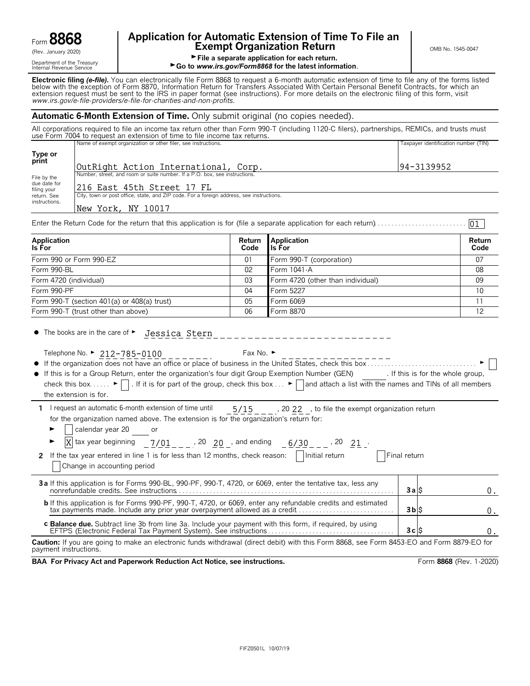|                               | Ю      | ₹Ψ.     |
|-------------------------------|--------|---------|
| $\mathsf{form} \; \mathbf{C}$ | ۱<br>O | 11<br>O |

# **Application for Automatic Extension of Time To File an Form B8668 Exempt Organization Return** CRET **EXEMPT ON B No. 1545-0047**

01

Grew January 2020)<br>Department of the Treasury<br>Internal Revenue Service<br>Internal Revenue Service<br>**Co to www.irs.gov/Form8868 for the latest inform** 

► Go to *www.irs.gov/Form8868* for the latest information.

**Electronic filing** *(e-file).* You can electronically file Form 8868 to request a 6-month automatic extension of time to file any of the forms listed below with the exception of Form 8870, Information Return for Transfers Associated With Certain Personal Benefit Contracts, for which an extension request must be sent to the IRS in paper format (see instructions). For more details on the electronic filing of this form, visit *www.irs.gov/e*-*file*-*providers/e-file-for-charities-and-non-profits*.

# **Automatic 6-Month Extension of Time.** Only submit original (no copies needed).

All corporations required to file an income tax return other than Form 990-T (including 1120-C filers), partnerships, REMICs, and trusts must use Form 7004 to request an extension of time to file income tax returns.

|                             | Name of exempt organization or other filer, see instructions.                            | Taxpayer identification number (TIN) |
|-----------------------------|------------------------------------------------------------------------------------------|--------------------------------------|
| Type or<br>print            | OutRight Action International, Corp.                                                     | 94-3139952                           |
| File by the                 | Number, street, and room or suite number. If a P.O. box, see instructions.               |                                      |
| due date for<br>filing your | 216 East 45th Street 17 FL                                                               |                                      |
| return. See                 | City, town or post office, state, and ZIP code. For a foreign address, see instructions. |                                      |
| instructions.               | York, NY 10017<br>New                                                                    |                                      |

Enter the Return Code for the return that this application is for (file a separate application for each return). . . . . . . . . . . . . . . . . . . . . . . . . . .

| Application<br>Is For                               | Code | Return Application<br>lls For     | Return<br>Code  |
|-----------------------------------------------------|------|-----------------------------------|-----------------|
| Form 990 or Form 990-EZ                             | 01   | Form 990-T (corporation)          | 07              |
| Form 990-BL                                         | 02   | Form 1041-A                       | 08              |
| Form 4720 (individual)                              | 03   | Form 4720 (other than individual) | 09              |
| Form 990-PF                                         | 04   | Form 5227                         | 10 <sup>1</sup> |
| Form $990 - T$ (section $401(a)$ or $408(a)$ trust) | 05   | Form 6069                         |                 |
| Form 990-T (trust other than above)                 | 06   | Form 8870                         | 12              |

 $\bullet$  The books are in the care of  $\blacktriangleright$ Jessica Stern

Telephone No. ►  $212-785-0100$  \_ \_ \_ \_ \_ \_ \_ \_ \_ Fax No. ►

|              | ________________                                                                                 | ________________ |  |
|--------------|--------------------------------------------------------------------------------------------------|------------------|--|
| $\bullet$ If | a organization does not have an office or place of business in the United States, check this box |                  |  |
|              |                                                                                                  |                  |  |

| $\bullet$ If this is for a Group Return, enter the organization's four digit Group Exemption Number (GEN)                                                                |  |  |  | . If this is for the whole group, |
|--------------------------------------------------------------------------------------------------------------------------------------------------------------------------|--|--|--|-----------------------------------|
| check this box $\blacktriangleright$   . If it is for part of the group, check this box $\blacktriangleright$   and attach a list with the names and TINs of all members |  |  |  |                                   |
| the extension is for.                                                                                                                                                    |  |  |  |                                   |

| 1 I request an automatic 6-month extension of time until                              | 5/15 | , 20 22 , to file the exempt organization return |
|---------------------------------------------------------------------------------------|------|--------------------------------------------------|
| for the organization named above. The extension is for the organization's return for: |      |                                                  |

| calendar year 20 |  |
|------------------|--|
|------------------|--|

| $\overline{X}$ tax year beginning $\overline{2/01}$ $\overline{20}$ , and ending<br>$6/30$ _ _ _ , 20 _ 21 _ .<br>2 If the tax year entered in line 1 is for less than 12 months, check reason: $\Box$ Initial return<br>Change in accounting period | Final return   |  |
|------------------------------------------------------------------------------------------------------------------------------------------------------------------------------------------------------------------------------------------------------|----------------|--|
| 3a If this application is for Forms 990-BL, 990-PF, 990-T, 4720, or 6069, enter the tentative tax, less any                                                                                                                                          | 3alS           |  |
|                                                                                                                                                                                                                                                      | $3b$ $\dot{S}$ |  |

**c Balance due.** Subtract line 3b from line 3a. Include your payment with this form, if required, by using EFTPS (Electronic Federal Tax Payment System). See instructions . . . . . . . . . . . . . . . . . . . . . . . . . . . . . . . . . . . . . **3 c** \$

**Caution:** If you are going to make an electronic funds withdrawal (direct debit) with this Form 8868, see Form 8453-EO and Form 8879-EO for payment instructions.

**BAA For Privacy Act and Paperwork Reduction Act Notice, see instructions. Form 8868 (Rev. 1-2020)** 

 $0$  .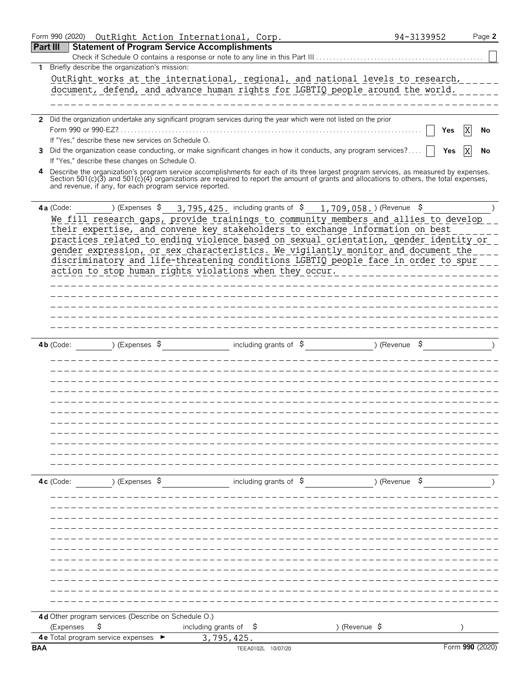|              | Form 990 (2020)                                                                                                                                                                                     | OutRight Action International, Corp.                                         |                                                                                                                | Page 2<br>94-3139952 |
|--------------|-----------------------------------------------------------------------------------------------------------------------------------------------------------------------------------------------------|------------------------------------------------------------------------------|----------------------------------------------------------------------------------------------------------------|----------------------|
| Part III     |                                                                                                                                                                                                     | <b>Statement of Program Service Accomplishments</b>                          |                                                                                                                |                      |
|              | Briefly describe the organization's mission:                                                                                                                                                        | Check if Schedule O contains a response or note to any line in this Part III |                                                                                                                |                      |
| $\mathbf{1}$ | OutRight works at the international, regional, and national levels to research,                                                                                                                     |                                                                              |                                                                                                                |                      |
|              | document, defend, and advance human rights for LGBTIQ people around the world.                                                                                                                      |                                                                              |                                                                                                                |                      |
|              |                                                                                                                                                                                                     |                                                                              |                                                                                                                |                      |
|              |                                                                                                                                                                                                     |                                                                              |                                                                                                                |                      |
|              | 2 Did the organization undertake any significant program services during the year which were not listed on the prior                                                                                |                                                                              |                                                                                                                |                      |
|              | If "Yes," describe these new services on Schedule O.                                                                                                                                                |                                                                              |                                                                                                                | ΙX<br>No<br>Yes      |
|              | 3 Did the organization cease conducting, or make significant changes in how it conducts, any program services?                                                                                      |                                                                              |                                                                                                                | Yes<br>No            |
|              | If "Yes," describe these changes on Schedule O.                                                                                                                                                     |                                                                              |                                                                                                                |                      |
| 4            | Describe the organization's program service accomplishments for each of its three largest program services, as measured by expenses.                                                                |                                                                              |                                                                                                                |                      |
|              | Section 501(c)(3) and 501(c)(4) organizations are required to report the amount of grants and allocations to others, the total expenses,<br>and revenue, if any, for each program service reported. |                                                                              |                                                                                                                |                      |
|              |                                                                                                                                                                                                     |                                                                              |                                                                                                                |                      |
|              | 4a (Code:                                                                                                                                                                                           |                                                                              | ) (Expenses $\frac{1}{5}$ 3, 795, 425. including grants of $\frac{1}{5}$ 1, 709, 058. ) (Revenue $\frac{1}{5}$ |                      |
|              | We fill research gaps, provide trainings to community members and allies to develop                                                                                                                 |                                                                              |                                                                                                                |                      |
|              | their expertise, and convene key stakeholders to exchange information on best                                                                                                                       |                                                                              |                                                                                                                |                      |
|              | practices related to ending violence based on sexual orientation, gender identity or                                                                                                                |                                                                              |                                                                                                                |                      |
|              | gender expression, or sex characteristics. We vigilantly monitor and document the<br>discriminatory and life-threatening conditions LGBTIQ people face in order to spur                             |                                                                              |                                                                                                                |                      |
|              | action to stop human rights violations when they occur.                                                                                                                                             |                                                                              |                                                                                                                |                      |
|              |                                                                                                                                                                                                     |                                                                              |                                                                                                                |                      |
|              |                                                                                                                                                                                                     |                                                                              |                                                                                                                |                      |
|              |                                                                                                                                                                                                     |                                                                              |                                                                                                                |                      |
|              |                                                                                                                                                                                                     |                                                                              |                                                                                                                |                      |
|              |                                                                                                                                                                                                     |                                                                              |                                                                                                                |                      |
|              | ) (Expenses $\sqrt{5}$<br>$4b$ (Code:                                                                                                                                                               | including grants of $\sqrt{5}$                                               | ) (Revenue $\frac{1}{2}$                                                                                       |                      |
|              |                                                                                                                                                                                                     |                                                                              |                                                                                                                |                      |
|              |                                                                                                                                                                                                     |                                                                              |                                                                                                                |                      |
|              |                                                                                                                                                                                                     |                                                                              |                                                                                                                |                      |
|              |                                                                                                                                                                                                     |                                                                              |                                                                                                                |                      |
|              |                                                                                                                                                                                                     |                                                                              |                                                                                                                |                      |
|              |                                                                                                                                                                                                     |                                                                              |                                                                                                                |                      |
|              |                                                                                                                                                                                                     |                                                                              |                                                                                                                |                      |
|              |                                                                                                                                                                                                     |                                                                              |                                                                                                                |                      |
|              |                                                                                                                                                                                                     |                                                                              |                                                                                                                |                      |
|              |                                                                                                                                                                                                     |                                                                              |                                                                                                                |                      |
|              |                                                                                                                                                                                                     |                                                                              |                                                                                                                |                      |
|              | $4c$ (Code:<br>) (Expenses \$                                                                                                                                                                       | including grants of $\ddot{\mathsf{s}}$                                      | ) (Revenue \$                                                                                                  |                      |
|              |                                                                                                                                                                                                     |                                                                              |                                                                                                                |                      |
|              |                                                                                                                                                                                                     |                                                                              |                                                                                                                |                      |
|              |                                                                                                                                                                                                     |                                                                              |                                                                                                                |                      |
|              |                                                                                                                                                                                                     |                                                                              |                                                                                                                |                      |
|              |                                                                                                                                                                                                     |                                                                              |                                                                                                                |                      |
|              |                                                                                                                                                                                                     |                                                                              |                                                                                                                |                      |
|              |                                                                                                                                                                                                     |                                                                              |                                                                                                                |                      |
|              |                                                                                                                                                                                                     |                                                                              |                                                                                                                |                      |
|              |                                                                                                                                                                                                     |                                                                              |                                                                                                                |                      |
|              |                                                                                                                                                                                                     |                                                                              |                                                                                                                |                      |
|              | 4d Other program services (Describe on Schedule O.)                                                                                                                                                 |                                                                              |                                                                                                                |                      |
|              | \$<br>(Expenses                                                                                                                                                                                     | including grants of<br>-Ş                                                    | ) (Revenue $\frac{1}{2}$                                                                                       |                      |
| <b>BAA</b>   | <b>4e</b> Total program service expenses                                                                                                                                                            | 3,795,425.<br>TEEA0102L 10/07/20                                             |                                                                                                                | Form 990 (2020)      |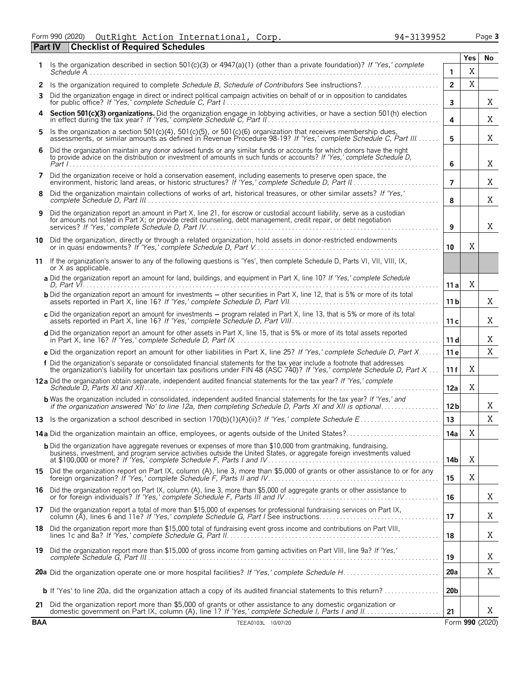Form 990 (2020) Page **3** OutRight Action International, Corp. 94-3139952

|            | <b>Checklist of Required Schedules</b><br><b>Part IV</b>                                                                                                                                                                                            |                 |             |                 |
|------------|-----------------------------------------------------------------------------------------------------------------------------------------------------------------------------------------------------------------------------------------------------|-----------------|-------------|-----------------|
| 1.         | Is the organization described in section 501(c)(3) or 4947(a)(1) (other than a private foundation)? If 'Yes,' complete                                                                                                                              |                 | Yes         | No              |
|            |                                                                                                                                                                                                                                                     | $\mathbf{1}$    | X           |                 |
| 2<br>3     | Is the organization required to complete Schedule B, Schedule of Contributors See instructions?<br>Did the organization engage in direct or indirect political campaign activities on behalf of or in opposition to candidates                      | $\overline{2}$  | $\mathbf X$ |                 |
|            |                                                                                                                                                                                                                                                     | 3               |             | Χ               |
|            | Section 501(c)(3) organizations. Did the organization engage in lobbying activities, or have a section 501(h) election in effect during the tax year? If 'Yes,' complete Schedule C, Part II.                                                       | 4               |             | Χ               |
| 5          | Is the organization a section 501(c)(4), 501(c)(5), or 501(c)(6) organization that receives membership dues, assessments, or similar amounts as defined in Revenue Procedure 98-19? If 'Yes,' complete Schedule C, Part III                         | 5               |             | Χ               |
| 6          | Did the organization maintain any donor advised funds or any similar funds or accounts for which donors have the right<br>to provide advice on the distribution or investment of amounts in such funds or accounts? If 'Yes,' complete Schedule D,  | 6               |             | Χ               |
| 7          | Did the organization receive or hold a conservation easement, including easements to preserve open space, the                                                                                                                                       | $\overline{7}$  |             | Χ               |
| 8          | Did the organization maintain collections of works of art, historical treasures, or other similar assets? If 'Yes,'                                                                                                                                 | 8               |             | X               |
| 9          | Did the organization report an amount in Part X, line 21, for escrow or custodial account liability, serve as a custodian<br>for amounts not listed in Part X; or provide credit counseling, debt management, credit repair, or debt negotiation    | 9               |             | X               |
| 10         | Did the organization, directly or through a related organization, hold assets in donor-restricted endowments                                                                                                                                        | 10              | X           |                 |
| 11         | If the organization's answer to any of the following questions is 'Yes', then complete Schedule D, Parts VI, VII, VIII, IX,<br>or X as applicable.                                                                                                  |                 |             |                 |
|            | a Did the organization report an amount for land, buildings, and equipment in Part X, line 10? If 'Yes,' complete Schedule                                                                                                                          | 11 a            | Χ           |                 |
|            | <b>b</b> Did the organization report an amount for investments – other securities in Part X, line 12, that is 5% or more of its total                                                                                                               | 11 <sub>b</sub> |             | X               |
|            | c Did the organization report an amount for investments - program related in Part X, line 13, that is 5% or more of its total                                                                                                                       | 11c             |             | Χ               |
|            | d Did the organization report an amount for other assets in Part X, line 15, that is 5% or more of its total assets reported                                                                                                                        | 11d             |             | Χ               |
|            | e Did the organization report an amount for other liabilities in Part X, line 25? If 'Yes,' complete Schedule D, Part X                                                                                                                             | 11 e            |             | X               |
|            | f Did the organization's separate or consolidated financial statements for the tax year include a footnote that addresses<br>the organization's liability for uncertain tax positions under FIN 48 (ASC 740)? If 'Yes,' complete Schedule D, Part X | 11 f            | X           |                 |
|            |                                                                                                                                                                                                                                                     | 12a             | X           |                 |
|            | <b>b</b> Was the organization included in consolidated, independent audited financial statements for the tax year? If 'Yes,' and<br>if the organization answered 'No' to line 12a, then completing Schedule D, Parts XI and XII is optional         | 12 <sub>b</sub> |             | Χ               |
|            |                                                                                                                                                                                                                                                     | 13              |             | X               |
|            | 14a Did the organization maintain an office, employees, or agents outside of the United States?                                                                                                                                                     | 14a             | X           |                 |
|            | <b>b</b> Did the organization have aggregate revenues or expenses of more than \$10,000 from grantmaking, fundraising,<br>business, investment, and program service activities outside the United States, or aggregate foreign investments valued   | 14b             | X           |                 |
|            | 15 Did the organization report on Part IX, column (A), line 3, more than \$5,000 of grants or other assistance to or for any foreign organization? If 'Yes,' complete Schedule F, Parts II and IV                                                   | 15              | X           |                 |
|            | 16 Did the organization report on Part IX, column (A), line 3, more than \$5,000 of aggregate grants or other assistance to or for foreign individuals? If 'Yes,' complete Schedule F, Parts III and IV                                             | 16              |             | Χ               |
|            | 17 Did the organization report a total of more than \$15,000 of expenses for professional fundraising services on Part IX,<br>column (A), lines 6 and 11e? If 'Yes,' complete Schedule G, Part I See instructions                                   | 17              |             | Χ               |
|            | 18 Did the organization report more than \$15,000 total of fundraising event gross income and contributions on Part VIII,                                                                                                                           | 18              |             | X               |
|            | 19 Did the organization report more than \$15,000 of gross income from gaming activities on Part VIII, line 9a? If 'Yes,'                                                                                                                           | 19              |             | Χ               |
|            |                                                                                                                                                                                                                                                     | 20a             |             | Χ               |
|            | <b>b</b> If 'Yes' to line 20a, did the organization attach a copy of its audited financial statements to this return?                                                                                                                               | 20 <sub>b</sub> |             |                 |
|            | 21 Did the organization report more than \$5,000 of grants or other assistance to any domestic organization or                                                                                                                                      | 21              |             | X               |
| <b>BAA</b> | TEEA0103L 10/07/20                                                                                                                                                                                                                                  |                 |             | Form 990 (2020) |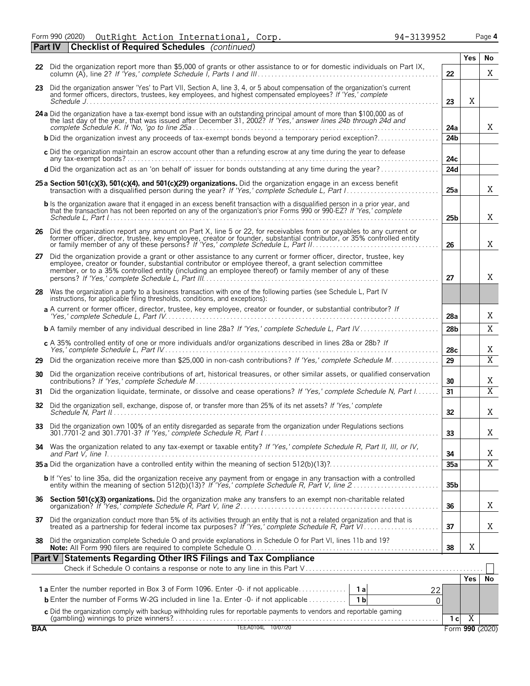Form 990 (2020) Page **4** OutRight Action International, Corp. 94-3139952

|            | <b>Checklist of Required Schedules</b> (continued)<br>  Part IV                                                                                                                                                                                                                                                                       |                 |                                   |                |
|------------|---------------------------------------------------------------------------------------------------------------------------------------------------------------------------------------------------------------------------------------------------------------------------------------------------------------------------------------|-----------------|-----------------------------------|----------------|
|            | 22 Did the organization report more than \$5,000 of grants or other assistance to or for domestic individuals on Part IX,                                                                                                                                                                                                             |                 | <b>Yes</b>                        | No             |
|            |                                                                                                                                                                                                                                                                                                                                       | 22              |                                   | X              |
|            | 23 Did the organization answer 'Yes' to Part VII, Section A, line 3, 4, or 5 about compensation of the organization's current<br>and former officers, directors, trustees, key employees, and highest compensated employees? If 'Yes,' complete                                                                                       | 23              | X                                 |                |
|            | 24 a Did the organization have a tax-exempt bond issue with an outstanding principal amount of more than \$100,000 as of the last day of the year, that was issued after December 31, 2002? If 'Yes,' answer lines 24b through                                                                                                        | 24a             |                                   | X              |
|            | <b>b</b> Did the organization invest any proceeds of tax-exempt bonds beyond a temporary period exception?                                                                                                                                                                                                                            | 24 <sub>b</sub> |                                   |                |
|            | c Did the organization maintain an escrow account other than a refunding escrow at any time during the year to defease                                                                                                                                                                                                                | 24c             |                                   |                |
|            | d Did the organization act as an 'on behalf of' issuer for bonds outstanding at any time during the year?                                                                                                                                                                                                                             | 24d             |                                   |                |
|            | 25 a Section 501(c)(3), 501(c)(4), and 501(c)(29) organizations. Did the organization engage in an excess benefit                                                                                                                                                                                                                     | 25a             |                                   | X              |
|            | b Is the organization aware that it engaged in an excess benefit transaction with a disqualified person in a prior year, and<br>that the transaction has not been reported on any of the organization's prior Forms 990 or 990-EZ? If 'Yes,' complete                                                                                 | 25 <sub>b</sub> |                                   | X              |
|            | 26 Did the organization report any amount on Part X, line 5 or 22, for receivables from or payables to any current or<br>former officer, director, trustee, key employee, creator or founder, substantial contributor, or 35% controlled entity<br>or family member of any of these persons? If 'Yes,' complete Schedule L, Part II   | 26              |                                   | Χ              |
| 27         | Did the organization provide a grant or other assistance to any current or former officer, director, trustee, key<br>employee, creator or founder, substantial contributor or employee thereof, a grant selection committee<br>member, or to a 35% controlled entity (including an employee thereof) or family member of any of these | 27              |                                   | X              |
| 28         | Was the organization a party to a business transaction with one of the following parties (see Schedule L, Part IV<br>instructions, for applicable filing thresholds, conditions, and exceptions):                                                                                                                                     |                 |                                   |                |
|            | a A current or former officer, director, trustee, key employee, creator or founder, or substantial contributor? If                                                                                                                                                                                                                    | 28a             |                                   | Χ              |
|            | <b>b</b> A family member of any individual described in line 28a? If 'Yes,' complete Schedule L, Part IV                                                                                                                                                                                                                              | 28 <sub>b</sub> |                                   | X              |
|            | c A 35% controlled entity of one or more individuals and/or organizations described in lines 28a or 28b? If                                                                                                                                                                                                                           | 28c             |                                   | Χ              |
| 29         | Did the organization receive more than \$25,000 in non-cash contributions? If 'Yes,' complete Schedule M                                                                                                                                                                                                                              | 29              |                                   | $\overline{X}$ |
| 30         | Did the organization receive contributions of art, historical treasures, or other similar assets, or qualified conservation                                                                                                                                                                                                           | 30              |                                   | Χ              |
| 31         | Did the organization liquidate, terminate, or dissolve and cease operations? If 'Yes,' complete Schedule N, Part I                                                                                                                                                                                                                    | 31              |                                   | $\overline{X}$ |
| 32         | Did the organization sell, exchange, dispose of, or transfer more than 25% of its net assets? If 'Yes,' complete                                                                                                                                                                                                                      | 32              |                                   | Χ              |
| 33         | Did the organization own 100% of an entity disregarded as separate from the organization under Regulations sections                                                                                                                                                                                                                   | 33              |                                   | Χ              |
|            | 34 Was the organization related to any tax-exempt or taxable entity? If 'Yes,' complete Schedule R, Part II, III, or IV,                                                                                                                                                                                                              | 34              |                                   | Χ              |
|            |                                                                                                                                                                                                                                                                                                                                       | 35a             |                                   | $\overline{X}$ |
|            | b If 'Yes' to line 35a, did the organization receive any payment from or engage in any transaction with a controlled<br>entity within the meaning of section 512(b)(13)? If 'Yes,' complete Schedule R, Part V, line 2                                                                                                                | 35 <sub>b</sub> |                                   |                |
|            |                                                                                                                                                                                                                                                                                                                                       | 36              |                                   | X              |
|            | 37 Did the organization conduct more than 5% of its activities through an entity that is not a related organization and that is treated as a partnership for federal income tax purposes? If 'Yes,' complete Schedule R, Part                                                                                                         | 37              |                                   | Χ              |
| 38         | Did the organization complete Schedule O and provide explanations in Schedule O for Part VI, lines 11b and 19?                                                                                                                                                                                                                        | 38              | Χ                                 |                |
|            | Part V Statements Regarding Other IRS Filings and Tax Compliance                                                                                                                                                                                                                                                                      |                 |                                   |                |
|            |                                                                                                                                                                                                                                                                                                                                       |                 | Yes                               | No             |
|            |                                                                                                                                                                                                                                                                                                                                       | 22              |                                   |                |
|            | <b>b</b> Enter the number of Forms W-2G included in line 1a. Enter -0- if not applicable<br>1 <sub>b</sub>                                                                                                                                                                                                                            | $\Omega$        |                                   |                |
|            |                                                                                                                                                                                                                                                                                                                                       |                 |                                   |                |
| <b>BAA</b> | C Did the organization comply with backup withholding rules for reportable payments to vendors and reportable gaming<br>(gambling) winnings to prize winners?<br>TEEA0104L 10/07/20                                                                                                                                                   | 1 <sub>c</sub>  | $\overline{X}$<br>Form 990 (2020) |                |
|            |                                                                                                                                                                                                                                                                                                                                       |                 |                                   |                |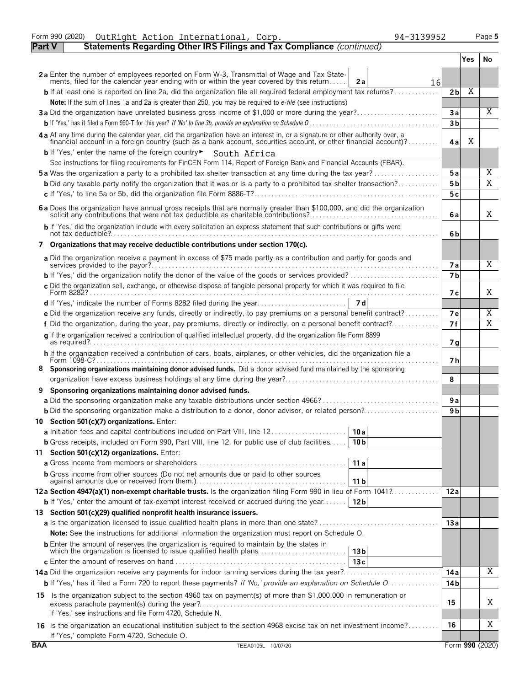|               | Form 990 (2020)<br>94-3139952<br>OutRight Action International, Corp.                                                                                                                                                          |                |     | Page 5          |
|---------------|--------------------------------------------------------------------------------------------------------------------------------------------------------------------------------------------------------------------------------|----------------|-----|-----------------|
| <b>Part V</b> | Statements Regarding Other IRS Filings and Tax Compliance (continued)                                                                                                                                                          |                |     |                 |
|               |                                                                                                                                                                                                                                |                | Yes | No.             |
|               |                                                                                                                                                                                                                                |                |     |                 |
|               | 2a Enter the number of employees reported on Form W-3, Transmittal of Wage and Tax State-<br>ments, filed for the calendar year ending with or within the year covered by this return<br>2a                                    |                |     |                 |
|               | 16<br><b>b</b> If at least one is reported on line 2a, did the organization file all required federal employment tax returns?                                                                                                  | 2 <sub>b</sub> | Χ   |                 |
|               |                                                                                                                                                                                                                                |                |     |                 |
|               | Note: If the sum of lines 1a and 2a is greater than 250, you may be required to e-file (see instructions)                                                                                                                      |                |     | X               |
|               | 3a Did the organization have unrelated business gross income of \$1,000 or more during the year?                                                                                                                               | 3a             |     |                 |
|               |                                                                                                                                                                                                                                | 3 <sub>b</sub> |     |                 |
|               | 4a At any time during the calendar year, did the organization have an interest in, or a signature or other authority over, a financial account in a foreign country (such as a bank account, securities account, or other fina | 4 a            | Χ   |                 |
|               | b If 'Yes,' enter the name of the foreign country > South Africa                                                                                                                                                               |                |     |                 |
|               | See instructions for filing requirements for FinCEN Form 114, Report of Foreign Bank and Financial Accounts (FBAR).                                                                                                            |                |     |                 |
|               | <b>5a</b> Was the organization a party to a prohibited tax shelter transaction at any time during the tax year?                                                                                                                | 5a             |     | Χ               |
|               | <b>b</b> Did any taxable party notify the organization that it was or is a party to a prohibited tax shelter transaction?                                                                                                      | 5 b            |     | X               |
|               |                                                                                                                                                                                                                                | 5c             |     |                 |
|               |                                                                                                                                                                                                                                |                |     |                 |
|               | 6 a Does the organization have annual gross receipts that are normally greater than \$100,000, and did the organization solicit any contributions that were not tax deductible as charitable contributions?                    | 6a             |     | X               |
|               | b If 'Yes,' did the organization include with every solicitation an express statement that such contributions or gifts were                                                                                                    | 6b             |     |                 |
|               | 7 Organizations that may receive deductible contributions under section 170(c).                                                                                                                                                |                |     |                 |
|               |                                                                                                                                                                                                                                |                |     |                 |
|               | a Did the organization receive a payment in excess of \$75 made partly as a contribution and partly for goods and                                                                                                              | <b>7a</b>      |     | X               |
|               |                                                                                                                                                                                                                                | 7 <sub>b</sub> |     |                 |
|               | c Did the organization sell, exchange, or otherwise dispose of tangible personal property for which it was required to file                                                                                                    |                |     |                 |
|               |                                                                                                                                                                                                                                | 7 с            |     | X               |
|               |                                                                                                                                                                                                                                |                |     |                 |
|               | e Did the organization receive any funds, directly or indirectly, to pay premiums on a personal benefit contract?                                                                                                              | 7e             |     | Χ               |
|               | f Did the organization, during the year, pay premiums, directly or indirectly, on a personal benefit contract?                                                                                                                 | 7f             |     | Χ               |
|               | g If the organization received a contribution of qualified intellectual property, did the organization file Form 8899                                                                                                          |                |     |                 |
|               |                                                                                                                                                                                                                                | 7g             |     |                 |
|               | h If the organization received a contribution of cars, boats, airplanes, or other vehicles, did the organization file a                                                                                                        |                |     |                 |
|               |                                                                                                                                                                                                                                | 7 h            |     |                 |
|               | Sponsoring organizations maintaining donor advised funds. Did a donor advised fund maintained by the sponsoring                                                                                                                |                |     |                 |
|               |                                                                                                                                                                                                                                | 8              |     |                 |
| 9             | Sponsoring organizations maintaining donor advised funds.                                                                                                                                                                      |                |     |                 |
|               |                                                                                                                                                                                                                                | 9a             |     |                 |
|               |                                                                                                                                                                                                                                | 9 b            |     |                 |
|               | 10 Section 501(c)(7) organizations. Enter:                                                                                                                                                                                     |                |     |                 |
|               | 10 a                                                                                                                                                                                                                           |                |     |                 |
|               | <b>b</b> Gross receipts, included on Form 990, Part VIII, line 12, for public use of club facilities<br>10 <sub>b</sub>                                                                                                        |                |     |                 |
|               | 11 Section 501(c)(12) organizations. Enter:                                                                                                                                                                                    |                |     |                 |
|               | 11a                                                                                                                                                                                                                            |                |     |                 |
|               |                                                                                                                                                                                                                                |                |     |                 |
|               | <b>b</b> Gross income from other sources (Do not net amounts due or paid to other sources<br>11 b                                                                                                                              |                |     |                 |
|               | 12a Section 4947(a)(1) non-exempt charitable trusts. Is the organization filing Form 990 in lieu of Form 1041?                                                                                                                 | 12a            |     |                 |
|               | <b>b</b> If 'Yes,' enter the amount of tax-exempt interest received or accrued during the year   12b                                                                                                                           |                |     |                 |
|               | 13 Section 501(c)(29) qualified nonprofit health insurance issuers.                                                                                                                                                            |                |     |                 |
|               |                                                                                                                                                                                                                                | 13a            |     |                 |
|               | <b>Note:</b> See the instructions for additional information the organization must report on Schedule O.                                                                                                                       |                |     |                 |
|               |                                                                                                                                                                                                                                |                |     |                 |
|               | <b>b</b> Enter the amount of reserves the organization is required to maintain by the states in<br>which the organization is licensed to issue qualified health plans<br>13 <sub>b</sub>                                       |                |     |                 |
|               | 13c                                                                                                                                                                                                                            |                |     |                 |
|               |                                                                                                                                                                                                                                | 14 a           |     | Χ               |
|               | b If 'Yes,' has it filed a Form 720 to report these payments? If 'No,' provide an explanation on Schedule O                                                                                                                    | 14 b           |     |                 |
|               | 15 Is the organization subject to the section 4960 tax on payment(s) of more than \$1,000,000 in remuneration or                                                                                                               |                |     |                 |
|               |                                                                                                                                                                                                                                | 15             |     | Χ               |
|               | If 'Yes,' see instructions and file Form 4720, Schedule N.                                                                                                                                                                     |                |     |                 |
|               | 16 Is the organization an educational institution subject to the section 4968 excise tax on net investment income?                                                                                                             | 16             |     | Χ               |
|               | If 'Yes,' complete Form 4720, Schedule O.                                                                                                                                                                                      |                |     |                 |
| <b>BAA</b>    | TEEA0105L 10/07/20                                                                                                                                                                                                             |                |     | Form 990 (2020) |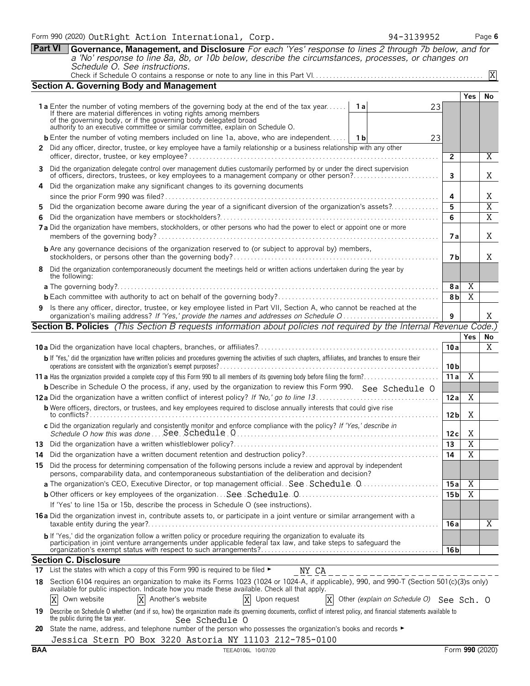**Part VI Governance, Management, and Disclosure** *For each 'Yes' response to lines 2 through 7b below, and for a 'No' response to line 8a, 8b, or 10b below, describe the circumstances, processes, or changes on Schedule O. See instructions.*

|--|

|     | <b>Section A. Governing Body and Management</b>                                                                                                                                                                                          |       |                                          |                 |                       |                |
|-----|------------------------------------------------------------------------------------------------------------------------------------------------------------------------------------------------------------------------------------------|-------|------------------------------------------|-----------------|-----------------------|----------------|
|     |                                                                                                                                                                                                                                          |       |                                          |                 | Yes                   | No             |
|     | <b>1a</b> Enter the number of voting members of the governing body at the end of the tax year                                                                                                                                            | 1 a l | 23                                       |                 |                       |                |
|     | If there are material differences in voting rights among members<br>of the governing body, or if the governing body delegated broad                                                                                                      |       |                                          |                 |                       |                |
|     | authority to an executive committee or similar committee, explain on Schedule O.                                                                                                                                                         |       |                                          |                 |                       |                |
|     | <b>b</b> Enter the number of voting members included on line 1a, above, who are independent   1b                                                                                                                                         |       | 23                                       |                 |                       |                |
|     | 2 Did any officer, director, trustee, or key employee have a family relationship or a business relationship with any other                                                                                                               |       |                                          | $\overline{2}$  |                       | $\overline{X}$ |
|     | 3 Did the organization delegate control over management duties customarily performed by or under the direct supervision                                                                                                                  |       |                                          |                 |                       |                |
|     | of officers, directors, trustees, or key employees to a management company or other person?                                                                                                                                              |       |                                          | $\mathbf{3}$    |                       | Χ              |
|     | 4 Did the organization make any significant changes to its governing documents                                                                                                                                                           |       |                                          |                 |                       |                |
|     |                                                                                                                                                                                                                                          |       |                                          | 4               |                       | Χ              |
| 5.  | Did the organization become aware during the year of a significant diversion of the organization's assets?                                                                                                                               |       |                                          | 5               |                       | $\overline{X}$ |
| 6   |                                                                                                                                                                                                                                          |       |                                          | 6               |                       | $\overline{X}$ |
|     | 7a Did the organization have members, stockholders, or other persons who had the power to elect or appoint one or more                                                                                                                   |       |                                          | 7а              |                       | X              |
|     | <b>b</b> Are any governance decisions of the organization reserved to (or subject to approval by) members,                                                                                                                               |       |                                          | 7 b             |                       | Χ              |
|     | 8 Did the organization contemporaneously document the meetings held or written actions undertaken during the year by                                                                                                                     |       |                                          |                 |                       |                |
|     | the following:                                                                                                                                                                                                                           |       |                                          |                 |                       |                |
|     |                                                                                                                                                                                                                                          |       |                                          | 8 a             | Χ                     |                |
|     |                                                                                                                                                                                                                                          |       |                                          | 8b              | $\overline{X}$        |                |
|     | 9 Is there any officer, director, trustee, or key employee listed in Part VII, Section A, who cannot be reached at the                                                                                                                   |       |                                          |                 |                       |                |
|     | <b>Section B. Policies</b> (This Section B requests information about policies not required by the Internal Revenue Code.)                                                                                                               |       |                                          | 9               |                       | X              |
|     |                                                                                                                                                                                                                                          |       |                                          |                 | Yes                   |                |
|     |                                                                                                                                                                                                                                          |       |                                          | 10a             |                       | No.<br>X       |
|     | b If 'Yes,' did the organization have written policies and procedures governing the activities of such chapters, affiliates, and branches to ensure their                                                                                |       |                                          |                 |                       |                |
|     |                                                                                                                                                                                                                                          |       |                                          | 10 <sub>b</sub> |                       |                |
|     |                                                                                                                                                                                                                                          |       |                                          | 11a             | $\overline{X}$        |                |
|     | <b>b</b> Describe in Schedule O the process, if any, used by the organization to review this Form 990. See Schedule O                                                                                                                    |       |                                          |                 |                       |                |
|     |                                                                                                                                                                                                                                          |       |                                          | 12a             | X                     |                |
|     | <b>b</b> Were officers, directors, or trustees, and key employees required to disclose annually interests that could give rise                                                                                                           |       |                                          | 12 <sub>b</sub> | Χ                     |                |
|     | c Did the organization regularly and consistently monitor and enforce compliance with the policy? If 'Yes,' describe in                                                                                                                  |       |                                          |                 |                       |                |
|     |                                                                                                                                                                                                                                          |       |                                          | 12c             | X                     |                |
|     |                                                                                                                                                                                                                                          |       |                                          | 13              | $\overline{\text{X}}$ |                |
|     |                                                                                                                                                                                                                                          |       |                                          | 14              | $\overline{\text{X}}$ |                |
|     | 15 Did the process for determining compensation of the following persons include a review and approval by independent<br>persons, comparability data, and contemporaneous substantiation of the deliberation and decision?               |       |                                          |                 |                       |                |
|     | a The organization's CEO, Executive Director, or top management official. See Schedule. 0                                                                                                                                                |       |                                          | 15 a            | X                     |                |
|     | <b>b</b> Other officers or key employees of the organization See Schedule 0.                                                                                                                                                             |       |                                          | 15 b            | $\overline{X}$        |                |
|     | If 'Yes' to line 15a or 15b, describe the process in Schedule O (see instructions).                                                                                                                                                      |       |                                          |                 |                       |                |
|     | <b>16a</b> Did the organization invest in, contribute assets to, or participate in a joint venture or similar arrangement with a<br>taxable entity during the year?                                                                      |       |                                          | 16 a            |                       | X              |
|     | <b>b</b> If 'Yes,' did the organization follow a written policy or procedure requiring the organization to evaluate its<br>participation in joint venture arrangements under applicable federal tax law, and take steps to safeguard the |       |                                          | 16 b            |                       |                |
|     | <b>Section C. Disclosure</b>                                                                                                                                                                                                             |       |                                          |                 |                       |                |
| 17  | List the states with which a copy of this Form 990 is required to be filed ►<br>NY CA                                                                                                                                                    |       |                                          |                 |                       |                |
| 18. | Section 6104 requires an organization to make its Forms 1023 (1024 or 1024-A, if applicable), 990, and 990-T (Section 501(c)(3)s only)                                                                                                   |       |                                          |                 |                       |                |
|     | available for public inspection. Indicate how you made these available. Check all that apply.                                                                                                                                            |       |                                          |                 |                       |                |
|     | Own website<br>X Another's website<br>Upon request<br>X                                                                                                                                                                                  |       | Other (explain on Schedule O) See Sch. O |                 |                       |                |
| 19  | Describe on Schedule O whether (and if so, how) the organization made its governing documents, conflict of interest policy, and financial statements available to<br>the public during the tax year.<br>See Schedule O                   |       |                                          |                 |                       |                |
|     | 20 State the name address and telephone number of the person who possesses the organization's books and records                                                                                                                          |       |                                          |                 |                       |                |

**20** State the name, address, and telephone number of the person who possesses the organization's books and records ▶ Jessica Stern PO Box 3220 Astoria NY 11103 212-785-0100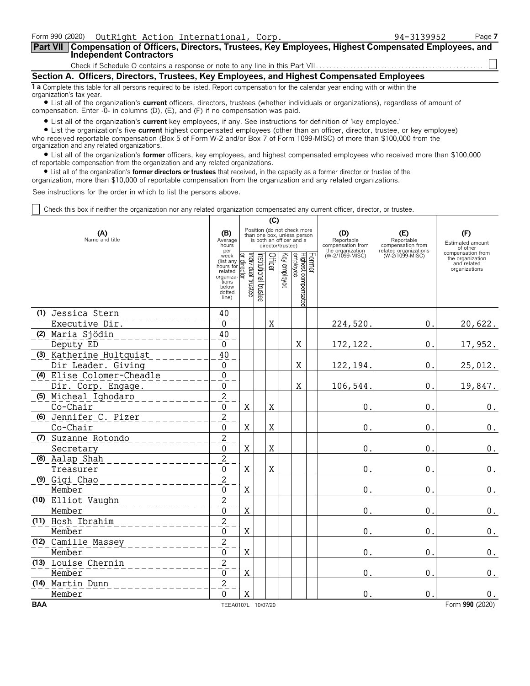| Form 990 (2020) OutRight Action International, Corp.                                                                                                           | 94-3139952 | Page 7 |  |  |  |  |  |
|----------------------------------------------------------------------------------------------------------------------------------------------------------------|------------|--------|--|--|--|--|--|
| Part VII Compensation of Officers, Directors, Trustees, Key Employees, Highest Compensated Employees, and<br><b>Independent Contractors</b>                    |            |        |  |  |  |  |  |
|                                                                                                                                                                |            |        |  |  |  |  |  |
| Section A. Officers, Directors, Trustees, Key Employees, and Highest Compensated Employees                                                                     |            |        |  |  |  |  |  |
| 1 a Complete this table for all persons required to be listed. Report compensation for the calendar year ending with or within the<br>organization's tax year. |            |        |  |  |  |  |  |

? List all of the organization's **current** officers, directors, trustees (whether individuals or organizations), regardless of amount of compensation. Enter -0- in columns (D), (E), and (F) if no compensation was paid.

? List all of the organization's **current** key employees, if any. See instructions for definition of 'key employee.'

? List the organization's five **current** highest compensated employees (other than an officer, director, trustee, or key employee) who received reportable compensation (Box 5 of Form W-2 and/or Box 7 of Form 1099-MISC) of more than \$100,000 from the organization and any related organizations.

? List all of the organization's **former** officers, key employees, and highest compensated employees who received more than \$100,000 of reportable compensation from the organization and any related organizations.

? List all of the organization's **former directors or trustees** that received, in the capacity as a former director or trustee of the

organization, more than \$10,000 of reportable compensation from the organization and any related organizations.

See instructions for the order in which to list the persons above.

Check this box if neither the organization nor any related organization compensated any current officer, director, or trustee.

|                       |                                               |                                                                                             | (C)                                                                                                         |                       |         |              |                                           |  |                                                            |                                                                 |                                                                       |
|-----------------------|-----------------------------------------------|---------------------------------------------------------------------------------------------|-------------------------------------------------------------------------------------------------------------|-----------------------|---------|--------------|-------------------------------------------|--|------------------------------------------------------------|-----------------------------------------------------------------|-----------------------------------------------------------------------|
| (A)<br>Name and title |                                               | (B)<br>Average<br>hours<br>per                                                              | Position (do not check more<br>than one box, unless person<br>is both an officer and a<br>director/trustee) |                       |         |              |                                           |  | (D)<br>Reportable<br>compensation from<br>the organization | (E)<br>Reportable<br>compensation from<br>related organizations | (F)<br>Estimated amount<br>of other                                   |
|                       |                                               | week<br>(list any<br>hours for<br>related<br>organiza-<br>tions<br>below<br>dotted<br>line) | Individual trustee<br>direct<br>ই                                                                           | Institutional trustee | Officer | Key employee | Former<br>Highest compensated<br>employee |  | (W-2/1099-MISC)                                            | (W-2/1099-MISC)                                                 | compensation from<br>the organization<br>and related<br>organizations |
|                       | (1) Jessica Stern                             | 40                                                                                          |                                                                                                             |                       |         |              |                                           |  |                                                            |                                                                 |                                                                       |
|                       | Executive Dir.                                | $\Omega$                                                                                    |                                                                                                             |                       | X       |              |                                           |  | 224,520.                                                   | 0.                                                              | 20,622.                                                               |
|                       | (2) Maria Sjödin                              | 40                                                                                          |                                                                                                             |                       |         |              |                                           |  |                                                            |                                                                 |                                                                       |
|                       | Deputy ED                                     | $\Omega$                                                                                    |                                                                                                             |                       |         |              | X                                         |  | 172, 122.                                                  | $\mathbf 0$ .                                                   | 17,952.                                                               |
|                       | (3) Katherine Hultquist<br>Dir Leader. Giving | 40<br>$\mathbf 0$                                                                           |                                                                                                             |                       |         |              | X                                         |  | 122, 194.                                                  | $\mathbf{0}$ .                                                  | 25,012.                                                               |
|                       | (4) Elise Colomer-Cheadle                     | $\overline{0}$                                                                              |                                                                                                             |                       |         |              |                                           |  |                                                            |                                                                 |                                                                       |
|                       | Dir. Corp. Engage.                            | 0                                                                                           |                                                                                                             |                       |         |              | X                                         |  | 106,544                                                    | $\mathbf{0}$                                                    | 19,847.                                                               |
|                       | (5) Micheal Ighodaro                          | $\overline{2}$                                                                              |                                                                                                             |                       |         |              |                                           |  |                                                            |                                                                 |                                                                       |
|                       | Co-Chair                                      | 0                                                                                           | X                                                                                                           |                       | X       |              |                                           |  | 0                                                          | 0                                                               | $\boldsymbol{0}$ .                                                    |
|                       | (6) Jennifer C. Pizer                         | $\overline{2}$                                                                              |                                                                                                             |                       |         |              |                                           |  |                                                            |                                                                 |                                                                       |
|                       | Co-Chair                                      | $\Omega$                                                                                    | X                                                                                                           |                       | X       |              |                                           |  | $\mathbf 0$                                                | $\mathbf{0}$                                                    | 0.                                                                    |
|                       | (7) Suzanne Rotondo                           | $\overline{2}$                                                                              |                                                                                                             |                       |         |              |                                           |  |                                                            |                                                                 |                                                                       |
|                       | Secretary                                     | $\overline{0}$                                                                              | X                                                                                                           |                       | X       |              |                                           |  | $\mathbf 0$                                                | $\mathbf{0}$                                                    | $\boldsymbol{0}$ .                                                    |
|                       | (8) Aalap Shah                                | $\overline{c}$                                                                              |                                                                                                             |                       |         |              |                                           |  |                                                            |                                                                 |                                                                       |
|                       | Treasurer                                     | $\Omega$                                                                                    | X                                                                                                           |                       | X       |              |                                           |  | 0                                                          | $\mathbf{0}$                                                    | 0.                                                                    |
|                       | (9) Gigi Chao                                 | $\overline{c}$                                                                              |                                                                                                             |                       |         |              |                                           |  |                                                            |                                                                 |                                                                       |
|                       | Member                                        | $\Omega$                                                                                    | X                                                                                                           |                       |         |              |                                           |  | 0                                                          | $\mathbf{0}$                                                    | 0.                                                                    |
|                       | (10) Elliot Vaughn                            | $\overline{c}$                                                                              |                                                                                                             |                       |         |              |                                           |  |                                                            |                                                                 |                                                                       |
|                       | Member                                        | $\mathbf{0}$                                                                                | X                                                                                                           |                       |         |              |                                           |  | $\mathbf 0$                                                | $\mathbf{0}$                                                    | $\boldsymbol{0}$ .                                                    |
|                       | (11) Hosh Ibrahim                             | $\overline{c}$                                                                              |                                                                                                             |                       |         |              |                                           |  |                                                            |                                                                 |                                                                       |
|                       | Member                                        | $\mathbf 0$                                                                                 | X                                                                                                           |                       |         |              |                                           |  | $\boldsymbol{0}$                                           | $\mathbf{0}$                                                    | $\boldsymbol{0}$ .                                                    |
|                       | (12) Camille Massey                           | $\overline{c}$                                                                              |                                                                                                             |                       |         |              |                                           |  |                                                            |                                                                 |                                                                       |
|                       | Member                                        | $\mathbf 0$                                                                                 | X                                                                                                           |                       |         |              |                                           |  | $\mathbf 0$                                                | $\mathbf 0$                                                     | 0.                                                                    |
|                       | (13) Louise Chernin                           | $\overline{2}$                                                                              |                                                                                                             |                       |         |              |                                           |  |                                                            |                                                                 |                                                                       |
|                       | Member                                        | $\mathbf{0}$                                                                                | X                                                                                                           |                       |         |              |                                           |  | $\mathbf 0$                                                | $\mathbf 0$                                                     | 0.                                                                    |
|                       | (14) Martin Dunn                              | $\overline{2}$                                                                              |                                                                                                             |                       |         |              |                                           |  |                                                            |                                                                 |                                                                       |
|                       | Member                                        | $\Omega$                                                                                    | Χ                                                                                                           |                       |         |              |                                           |  | 0                                                          | $\overline{0}$                                                  | 0.                                                                    |
| <b>BAA</b>            |                                               | TEEA0107L 10/07/20                                                                          |                                                                                                             |                       |         |              |                                           |  |                                                            |                                                                 | Form 990 (2020)                                                       |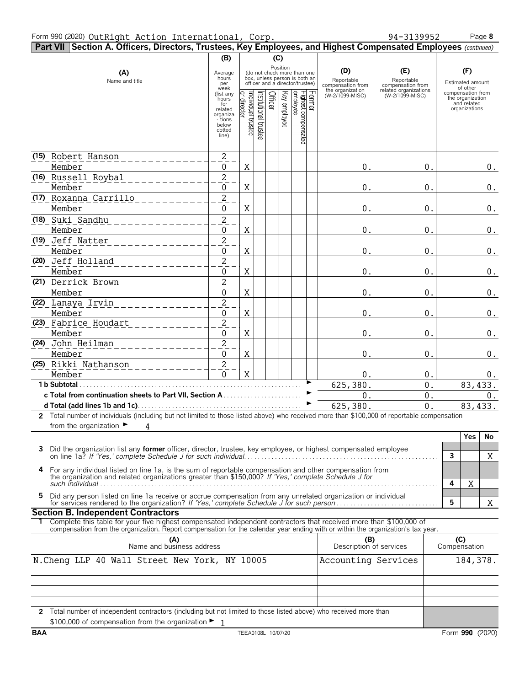## Form 990 (2020) Page **8** OutRight Action International, Corp. 94-3139952

|                                                                                                                    | Part VII Section A. Officers, Directors, Trustees, Key Employees, and Highest Compensated Employees (continued)                                                                                              |                                                                            |                                  |                      |                         |                                                                                                             |  |                                                                               |                                                                                    |              |                                                          |         |
|--------------------------------------------------------------------------------------------------------------------|--------------------------------------------------------------------------------------------------------------------------------------------------------------------------------------------------------------|----------------------------------------------------------------------------|----------------------------------|----------------------|-------------------------|-------------------------------------------------------------------------------------------------------------|--|-------------------------------------------------------------------------------|------------------------------------------------------------------------------------|--------------|----------------------------------------------------------|---------|
|                                                                                                                    |                                                                                                                                                                                                              | (B)                                                                        |                                  |                      | (C)                     |                                                                                                             |  |                                                                               |                                                                                    |              |                                                          |         |
|                                                                                                                    | (A)<br>Name and title                                                                                                                                                                                        | Average<br>hours<br>per<br>week<br>(list any                               |                                  |                      |                         | Position<br>(do not check more than one<br>box, unless person is both an<br>officer and a director/trustee) |  | (D)<br>Reportable<br>compensation from<br>the organization<br>(W-2/1099-MISC) | (E)<br>Reportable<br>compensation from<br>related organizations<br>(W-2/1099-MISC) |              | (F)<br>Estimated amount<br>of other<br>compensation from |         |
|                                                                                                                    |                                                                                                                                                                                                              | hours<br>for<br>related<br>organiza<br>- tions<br>below<br>dotted<br>line) | or director<br>ndividual trustee | nstitutional trustee | Officer<br>Key employee | Former<br> Highest compensated<br> employee                                                                 |  |                                                                               |                                                                                    |              | the organization<br>and related<br>organizations         |         |
|                                                                                                                    |                                                                                                                                                                                                              |                                                                            |                                  |                      |                         |                                                                                                             |  |                                                                               |                                                                                    |              |                                                          |         |
|                                                                                                                    | (15) Robert Hanson<br>Member                                                                                                                                                                                 | $\overline{c}$<br>0                                                        | Χ                                |                      |                         |                                                                                                             |  | 0.                                                                            | 0.                                                                                 |              |                                                          | $0_{.}$ |
|                                                                                                                    | (16) Russell Roybal                                                                                                                                                                                          | $\overline{2}$                                                             |                                  |                      |                         |                                                                                                             |  |                                                                               |                                                                                    |              |                                                          |         |
|                                                                                                                    | Member                                                                                                                                                                                                       | 0                                                                          | X                                |                      |                         |                                                                                                             |  | $0$ .                                                                         | 0.                                                                                 |              |                                                          | $0$ .   |
|                                                                                                                    | (17) Roxanna Carrillo                                                                                                                                                                                        | $\overline{2}$                                                             |                                  |                      |                         |                                                                                                             |  |                                                                               |                                                                                    |              |                                                          |         |
|                                                                                                                    | Member                                                                                                                                                                                                       | 0                                                                          | Χ                                |                      |                         |                                                                                                             |  | $0$ .                                                                         | 0.                                                                                 |              |                                                          | $0$ .   |
|                                                                                                                    | (18) Suki Sandhu                                                                                                                                                                                             | $\overline{c}$                                                             |                                  |                      |                         |                                                                                                             |  |                                                                               |                                                                                    |              |                                                          |         |
|                                                                                                                    | Member                                                                                                                                                                                                       | 0                                                                          | Χ                                |                      |                         |                                                                                                             |  | 0.                                                                            | 0.                                                                                 |              |                                                          | $0$ .   |
|                                                                                                                    | (19) Jeff Natter                                                                                                                                                                                             | $\overline{2}$                                                             |                                  |                      |                         |                                                                                                             |  |                                                                               |                                                                                    |              |                                                          |         |
|                                                                                                                    | Member                                                                                                                                                                                                       | 0                                                                          | X                                |                      |                         |                                                                                                             |  | 0.                                                                            | 0.                                                                                 |              |                                                          | $0$ .   |
|                                                                                                                    | (20) Jeff Holland                                                                                                                                                                                            | $\overline{2}$                                                             |                                  |                      |                         |                                                                                                             |  |                                                                               |                                                                                    |              |                                                          |         |
|                                                                                                                    | Member                                                                                                                                                                                                       | 0                                                                          | Χ                                |                      |                         |                                                                                                             |  | $0$ .                                                                         | 0.                                                                                 |              |                                                          | $0$ .   |
|                                                                                                                    | (21) Derrick Brown                                                                                                                                                                                           | $\overline{2}$                                                             |                                  |                      |                         |                                                                                                             |  |                                                                               |                                                                                    |              |                                                          |         |
|                                                                                                                    | Member                                                                                                                                                                                                       | 0                                                                          | Χ                                |                      |                         |                                                                                                             |  | $0$ .                                                                         | 0.                                                                                 |              |                                                          | $0$ .   |
|                                                                                                                    | (22) Lanaya Irvin                                                                                                                                                                                            | $\overline{2}$                                                             |                                  |                      |                         |                                                                                                             |  |                                                                               |                                                                                    |              |                                                          |         |
|                                                                                                                    | Member                                                                                                                                                                                                       | 0                                                                          | X                                |                      |                         |                                                                                                             |  | 0.                                                                            | 0.                                                                                 |              |                                                          | 0.      |
|                                                                                                                    | (23) Fabrice Houdart                                                                                                                                                                                         | $\overline{c}$                                                             |                                  |                      |                         |                                                                                                             |  |                                                                               |                                                                                    |              |                                                          |         |
|                                                                                                                    | Member                                                                                                                                                                                                       | 0                                                                          | X                                |                      |                         |                                                                                                             |  | $0$ .                                                                         | 0.                                                                                 |              |                                                          | $0$ .   |
|                                                                                                                    | (24) John Heilman                                                                                                                                                                                            | $\overline{2}$                                                             |                                  |                      |                         |                                                                                                             |  |                                                                               |                                                                                    |              |                                                          |         |
|                                                                                                                    | Member                                                                                                                                                                                                       | 0                                                                          | X                                |                      |                         |                                                                                                             |  | $0$ .                                                                         | 0.                                                                                 |              |                                                          | $0$ .   |
|                                                                                                                    | (25) Rikki Nathanson                                                                                                                                                                                         | $\overline{2}$                                                             |                                  |                      |                         |                                                                                                             |  |                                                                               |                                                                                    |              |                                                          |         |
|                                                                                                                    | Member                                                                                                                                                                                                       | 0                                                                          | X                                |                      |                         |                                                                                                             |  | 0.                                                                            | 0.                                                                                 |              |                                                          | $0$ .   |
|                                                                                                                    | 1 b Subtotal.                                                                                                                                                                                                |                                                                            |                                  |                      |                         |                                                                                                             |  | 625,380.                                                                      | 0.                                                                                 |              | 83,433.                                                  |         |
|                                                                                                                    | c Total from continuation sheets to Part VII, Section A. .                                                                                                                                                   |                                                                            |                                  |                      |                         |                                                                                                             |  | 0.                                                                            | 0.                                                                                 |              |                                                          | $0$ .   |
|                                                                                                                    |                                                                                                                                                                                                              |                                                                            |                                  |                      |                         |                                                                                                             |  | 625,380.                                                                      | 0.                                                                                 |              | 83, 433.                                                 |         |
|                                                                                                                    | 2 Total number of individuals (including but not limited to those listed above) who received more than \$100,000 of reportable compensation                                                                  |                                                                            |                                  |                      |                         |                                                                                                             |  |                                                                               |                                                                                    |              |                                                          |         |
|                                                                                                                    | from the organization $\blacktriangleright$<br>4                                                                                                                                                             |                                                                            |                                  |                      |                         |                                                                                                             |  |                                                                               |                                                                                    |              |                                                          |         |
|                                                                                                                    |                                                                                                                                                                                                              |                                                                            |                                  |                      |                         |                                                                                                             |  |                                                                               |                                                                                    |              | Yes                                                      | No      |
|                                                                                                                    | Did the organization list any former officer, director, trustee, key employee, or highest compensated employee                                                                                               |                                                                            |                                  |                      |                         |                                                                                                             |  |                                                                               |                                                                                    |              |                                                          |         |
|                                                                                                                    |                                                                                                                                                                                                              |                                                                            |                                  |                      |                         |                                                                                                             |  |                                                                               |                                                                                    | $\mathbf{3}$ |                                                          | X       |
| 4                                                                                                                  | For any individual listed on line 1a, is the sum of reportable compensation and other compensation from the organization and related organizations greater than \$150,000? If 'Yes,' complete Schedule J for |                                                                            |                                  |                      |                         |                                                                                                             |  |                                                                               |                                                                                    | 4            | X                                                        |         |
| 5                                                                                                                  |                                                                                                                                                                                                              |                                                                            |                                  |                      |                         |                                                                                                             |  |                                                                               |                                                                                    |              |                                                          |         |
|                                                                                                                    | Did any person listed on line 1a receive or accrue compensation from any unrelated organization or individual                                                                                                |                                                                            |                                  |                      |                         |                                                                                                             |  |                                                                               |                                                                                    | 5            |                                                          | X       |
|                                                                                                                    | <b>Section B. Independent Contractors</b>                                                                                                                                                                    |                                                                            |                                  |                      |                         |                                                                                                             |  |                                                                               |                                                                                    |              |                                                          |         |
|                                                                                                                    | Complete this table for your five highest compensated independent contractors that received more than \$100,000 of                                                                                           |                                                                            |                                  |                      |                         |                                                                                                             |  |                                                                               |                                                                                    |              |                                                          |         |
|                                                                                                                    | compensation from the organization. Report compensation for the calendar year ending with or within the organization's tax year.                                                                             |                                                                            |                                  |                      |                         |                                                                                                             |  |                                                                               |                                                                                    |              |                                                          |         |
|                                                                                                                    | (A)<br>Name and business address                                                                                                                                                                             |                                                                            |                                  |                      |                         |                                                                                                             |  | (B)<br>Description of services                                                |                                                                                    |              | (C)<br>Compensation                                      |         |
|                                                                                                                    |                                                                                                                                                                                                              |                                                                            |                                  |                      |                         |                                                                                                             |  |                                                                               |                                                                                    |              |                                                          |         |
|                                                                                                                    | N. Cheng LLP 40 Wall Street New York, NY 10005                                                                                                                                                               |                                                                            |                                  |                      |                         |                                                                                                             |  | Accounting Services                                                           |                                                                                    |              | 184,378.                                                 |         |
|                                                                                                                    |                                                                                                                                                                                                              |                                                                            |                                  |                      |                         |                                                                                                             |  |                                                                               |                                                                                    |              |                                                          |         |
|                                                                                                                    |                                                                                                                                                                                                              |                                                                            |                                  |                      |                         |                                                                                                             |  |                                                                               |                                                                                    |              |                                                          |         |
|                                                                                                                    |                                                                                                                                                                                                              |                                                                            |                                  |                      |                         |                                                                                                             |  |                                                                               |                                                                                    |              |                                                          |         |
| 2 Total number of independent contractors (including but not limited to those listed above) who received more than |                                                                                                                                                                                                              |                                                                            |                                  |                      |                         |                                                                                                             |  |                                                                               |                                                                                    |              |                                                          |         |
|                                                                                                                    | \$100,000 of compensation from the organization $\blacktriangleright$ 1                                                                                                                                      |                                                                            |                                  |                      |                         |                                                                                                             |  |                                                                               |                                                                                    |              |                                                          |         |
|                                                                                                                    |                                                                                                                                                                                                              |                                                                            |                                  |                      |                         |                                                                                                             |  |                                                                               |                                                                                    |              |                                                          |         |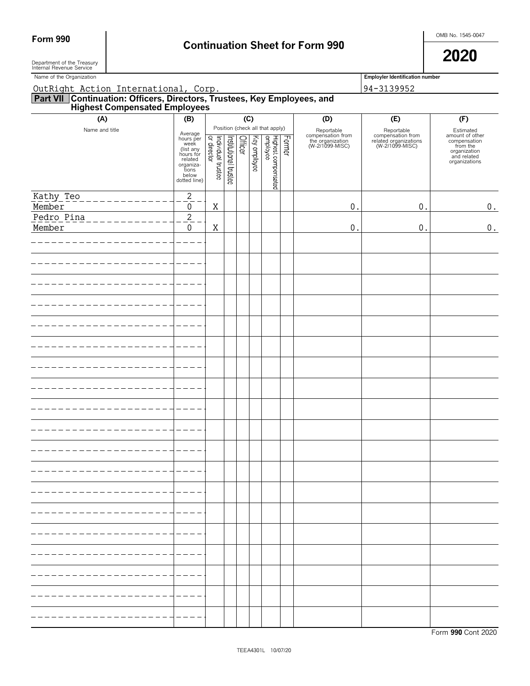# Form 990 **Continuation Sheet for Form 990 Continuation Sheet for Form 990**

 $\blacksquare$  Department of the Treasury  $\blacksquare$ Department of the Treasury<br>Internal Revenue Service

| Name of the Organization                                                                                      |                                                                                                                  |                                   |                       |                |              |                                                                    |        |                                                                        | <b>Employler Identification number</b>                                      |                                                                                                          |
|---------------------------------------------------------------------------------------------------------------|------------------------------------------------------------------------------------------------------------------|-----------------------------------|-----------------------|----------------|--------------|--------------------------------------------------------------------|--------|------------------------------------------------------------------------|-----------------------------------------------------------------------------|----------------------------------------------------------------------------------------------------------|
| OutRight Action International, Corp.                                                                          |                                                                                                                  |                                   |                       |                |              |                                                                    |        |                                                                        | 94-3139952                                                                  |                                                                                                          |
| <b>Part VII Continuation: Officers, Directors, Trustees, Key Employees, and Highest Compensated Employees</b> |                                                                                                                  |                                   |                       |                |              |                                                                    |        |                                                                        |                                                                             |                                                                                                          |
| (A)                                                                                                           | (B)                                                                                                              |                                   |                       | (C)            |              |                                                                    |        | (D)                                                                    | (E)                                                                         | (F)                                                                                                      |
| Name and title                                                                                                | Average<br>hours per<br>week<br>(list any<br>hours for<br>related<br>organiza-<br>tions<br>below<br>dotted line) | Individual trustee<br>or director | Institutional trustee | <b>Officer</b> | Key employee | Position (check all that apply)<br>Highest compensated<br>employee | Former | Reportable<br>compensation from<br>the organization<br>(W-2/1099-MISC) | Reportable<br>compensation from<br>related organizations<br>(W-2/1099-MISC) | Estimated<br>amount of other<br>compensation<br>from the<br>organization<br>and related<br>organizations |
| Kathy Teo<br>$\begin{array}{cccccccccccccc} \bot & \bot & \bot & \bot & \bot & \bot & \bot \end{array}$       | $\overline{2}$                                                                                                   |                                   |                       |                |              |                                                                    |        |                                                                        |                                                                             |                                                                                                          |
| Member                                                                                                        | $\pmb{0}$                                                                                                        | X                                 |                       |                |              |                                                                    |        | $0$ .                                                                  | $0$ .                                                                       | 0.                                                                                                       |
| Pedro Pina                                                                                                    | $\overline{2}$                                                                                                   |                                   |                       |                |              |                                                                    |        |                                                                        |                                                                             |                                                                                                          |
| Member                                                                                                        | $\mathbf 0$                                                                                                      | X                                 |                       |                |              |                                                                    |        | 0.                                                                     | $\boldsymbol{0}$ .                                                          | 0.                                                                                                       |
|                                                                                                               |                                                                                                                  |                                   |                       |                |              |                                                                    |        |                                                                        |                                                                             |                                                                                                          |
|                                                                                                               |                                                                                                                  |                                   |                       |                |              |                                                                    |        |                                                                        |                                                                             |                                                                                                          |
|                                                                                                               |                                                                                                                  |                                   |                       |                |              |                                                                    |        |                                                                        |                                                                             |                                                                                                          |
|                                                                                                               |                                                                                                                  |                                   |                       |                |              |                                                                    |        |                                                                        |                                                                             |                                                                                                          |
|                                                                                                               |                                                                                                                  |                                   |                       |                |              |                                                                    |        |                                                                        |                                                                             |                                                                                                          |
|                                                                                                               |                                                                                                                  |                                   |                       |                |              |                                                                    |        |                                                                        |                                                                             |                                                                                                          |
|                                                                                                               |                                                                                                                  |                                   |                       |                |              |                                                                    |        |                                                                        |                                                                             |                                                                                                          |
|                                                                                                               |                                                                                                                  |                                   |                       |                |              |                                                                    |        |                                                                        |                                                                             |                                                                                                          |
|                                                                                                               |                                                                                                                  |                                   |                       |                |              |                                                                    |        |                                                                        |                                                                             |                                                                                                          |
|                                                                                                               |                                                                                                                  |                                   |                       |                |              |                                                                    |        |                                                                        |                                                                             |                                                                                                          |
|                                                                                                               |                                                                                                                  |                                   |                       |                |              |                                                                    |        |                                                                        |                                                                             |                                                                                                          |
|                                                                                                               |                                                                                                                  |                                   |                       |                |              |                                                                    |        |                                                                        |                                                                             |                                                                                                          |
|                                                                                                               |                                                                                                                  |                                   |                       |                |              |                                                                    |        |                                                                        |                                                                             |                                                                                                          |
|                                                                                                               |                                                                                                                  |                                   |                       |                |              |                                                                    |        |                                                                        |                                                                             |                                                                                                          |
|                                                                                                               |                                                                                                                  |                                   |                       |                |              |                                                                    |        |                                                                        |                                                                             |                                                                                                          |
|                                                                                                               |                                                                                                                  |                                   |                       |                |              |                                                                    |        |                                                                        |                                                                             |                                                                                                          |
|                                                                                                               |                                                                                                                  |                                   |                       |                |              |                                                                    |        |                                                                        |                                                                             |                                                                                                          |
|                                                                                                               |                                                                                                                  |                                   |                       |                |              |                                                                    |        |                                                                        |                                                                             |                                                                                                          |
|                                                                                                               |                                                                                                                  |                                   |                       |                |              |                                                                    |        |                                                                        |                                                                             |                                                                                                          |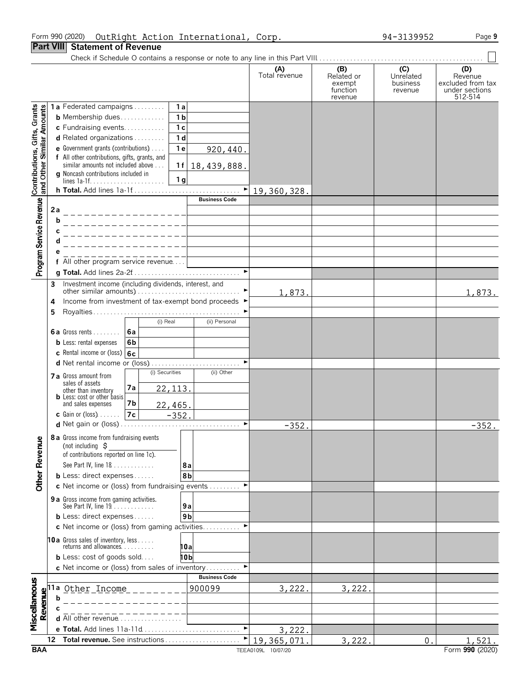# Form 990 (2020) Page **9** OutRight Action International, Corp. 94-3139952

**Part VIII Statement of Revenue**

Check if Schedule O contains a response or note to any line in this Part VIII. . . . . . . . . . . . . . . . . . . . . . . . . . . . . . . . . . . . . . . . . . . . . . . . .

|                                                           |                                                                                                      |                                                                                     |                      |                           | (A)<br>Total revenue | (B)                  | (C)                   | (D)                          |
|-----------------------------------------------------------|------------------------------------------------------------------------------------------------------|-------------------------------------------------------------------------------------|----------------------|---------------------------|----------------------|----------------------|-----------------------|------------------------------|
|                                                           |                                                                                                      |                                                                                     |                      |                           |                      | Related or<br>exempt | Unrelated<br>business | Revenue<br>excluded from tax |
|                                                           |                                                                                                      |                                                                                     |                      |                           |                      | function<br>revenue  | revenue               | under sections<br>512-514    |
|                                                           |                                                                                                      | 1a Federated campaigns                                                              | 1a                   |                           |                      |                      |                       |                              |
| Contributions, Gifts, Grants<br>and Other Similar Amounts |                                                                                                      | <b>b</b> Membership dues                                                            | 1 <sub>b</sub>       |                           |                      |                      |                       |                              |
|                                                           |                                                                                                      | c Fundraising events                                                                | 1 <sub>c</sub>       |                           |                      |                      |                       |                              |
|                                                           |                                                                                                      | d Related organizations                                                             | 1 <sub>d</sub>       |                           |                      |                      |                       |                              |
|                                                           |                                                                                                      | <b>e</b> Government grants (contributions) $\ldots$                                 | 1e                   | 920,440.                  |                      |                      |                       |                              |
|                                                           |                                                                                                      | f All other contributions, gifts, grants, and<br>similar amounts not included above | 1f                   | 18,439,888.               |                      |                      |                       |                              |
|                                                           |                                                                                                      | g Noncash contributions included in                                                 |                      |                           |                      |                      |                       |                              |
|                                                           |                                                                                                      | lines $1a-1f$                                                                       | 1 <sub>g</sub>       |                           |                      |                      |                       |                              |
|                                                           |                                                                                                      |                                                                                     |                      | ▶<br><b>Business Code</b> | 19,360,328.          |                      |                       |                              |
| Program Service Revenue                                   | 2a                                                                                                   |                                                                                     |                      |                           |                      |                      |                       |                              |
|                                                           | b                                                                                                    |                                                                                     |                      |                           |                      |                      |                       |                              |
|                                                           |                                                                                                      |                                                                                     |                      |                           |                      |                      |                       |                              |
|                                                           |                                                                                                      |                                                                                     |                      |                           |                      |                      |                       |                              |
|                                                           |                                                                                                      |                                                                                     |                      |                           |                      |                      |                       |                              |
|                                                           |                                                                                                      | $\overline{f}$ All other program service revenue                                    |                      |                           |                      |                      |                       |                              |
|                                                           |                                                                                                      |                                                                                     |                      | $\blacktriangleright$     |                      |                      |                       |                              |
|                                                           | 3                                                                                                    | Investment income (including dividends, interest, and                               |                      |                           |                      |                      |                       |                              |
|                                                           |                                                                                                      | Income from investment of tax-exempt bond proceeds ▶                                |                      |                           | 1,873.               |                      |                       | 1,873.                       |
|                                                           | 4<br>5                                                                                               |                                                                                     |                      |                           |                      |                      |                       |                              |
|                                                           |                                                                                                      | (i) Real                                                                            |                      | (ii) Personal             |                      |                      |                       |                              |
|                                                           |                                                                                                      | 6a Gross rents $\vert$ 6a                                                           |                      |                           |                      |                      |                       |                              |
|                                                           |                                                                                                      | <b>b</b> Less: rental expenses<br>6 <sub>b</sub>                                    |                      |                           |                      |                      |                       |                              |
|                                                           |                                                                                                      | <b>c</b> Rental income or (loss) $6c$                                               |                      |                           |                      |                      |                       |                              |
|                                                           |                                                                                                      |                                                                                     |                      |                           |                      |                      |                       |                              |
|                                                           |                                                                                                      | (i) Securities<br>7 a Gross amount from                                             |                      | (ii) Other                |                      |                      |                       |                              |
|                                                           |                                                                                                      | sales of assets<br>7а<br>other than inventory                                       | 22, 113.             |                           |                      |                      |                       |                              |
|                                                           |                                                                                                      | <b>b</b> Less: cost or other basis                                                  |                      |                           |                      |                      |                       |                              |
|                                                           |                                                                                                      | 7b<br>and sales expenses<br> 7c <br><b>c</b> Gain or (loss) $\ldots$                | 22,465.              |                           |                      |                      |                       |                              |
|                                                           |                                                                                                      |                                                                                     | $-352.$              | $\blacktriangleright$     | $-352.$              |                      |                       | $-352.$                      |
|                                                           |                                                                                                      |                                                                                     |                      |                           |                      |                      |                       |                              |
| gmu                                                       |                                                                                                      | 8 a Gross income from fundraising events<br>(not including $\sharp$                 |                      |                           |                      |                      |                       |                              |
|                                                           |                                                                                                      | of contributions reported on line 1c).                                              |                      |                           |                      |                      |                       |                              |
|                                                           |                                                                                                      | See Part IV, line 18                                                                | 8a                   |                           |                      |                      |                       |                              |
| <b>Other Reve</b>                                         |                                                                                                      | <b>b</b> Less: direct expenses                                                      | 8b                   |                           |                      |                      |                       |                              |
|                                                           |                                                                                                      | c Net income or (loss) from fundraising events                                      |                      | ▶                         |                      |                      |                       |                              |
|                                                           |                                                                                                      | 9 a Gross income from gaming activities.                                            |                      |                           |                      |                      |                       |                              |
|                                                           |                                                                                                      | See Part IV, line 19.<br><b>b</b> Less: direct expenses                             | 9а<br>9 <sub>b</sub> |                           |                      |                      |                       |                              |
|                                                           |                                                                                                      | c Net income or (loss) from gaming activities                                       |                      |                           |                      |                      |                       |                              |
|                                                           |                                                                                                      |                                                                                     |                      |                           |                      |                      |                       |                              |
|                                                           |                                                                                                      | <b>10a</b> Gross sales of inventory, less<br>returns and allowances.                | 10a                  |                           |                      |                      |                       |                              |
|                                                           |                                                                                                      | <b>b</b> Less: cost of goods sold                                                   | 10b                  |                           |                      |                      |                       |                              |
|                                                           |                                                                                                      | c Net income or (loss) from sales of inventory                                      |                      |                           |                      |                      |                       |                              |
|                                                           |                                                                                                      |                                                                                     |                      | <b>Business Code</b>      |                      |                      |                       |                              |
| Miscellaneous                                             | $\begin{array}{c}\n\textbf{Re} \\ \textbf{H} \\ \textbf{H} \\ \textbf{H} \\ \textbf{H}\n\end{array}$ | Other Income                                                                        |                      | 900099                    | 3,222.               | 3,222.               |                       |                              |
|                                                           |                                                                                                      |                                                                                     |                      |                           |                      |                      |                       |                              |
|                                                           |                                                                                                      | d All other revenue                                                                 |                      |                           |                      |                      |                       |                              |
|                                                           |                                                                                                      |                                                                                     |                      | ▶                         | 3,222.               |                      |                       |                              |
|                                                           | 12                                                                                                   | Total revenue. See instructions                                                     |                      |                           | 19,365,071           | 3,222.               | 0.                    | 1,521.                       |
| <b>BAA</b>                                                |                                                                                                      |                                                                                     |                      |                           | TEEA0109L 10/07/20   |                      |                       | Form 990 (2020)              |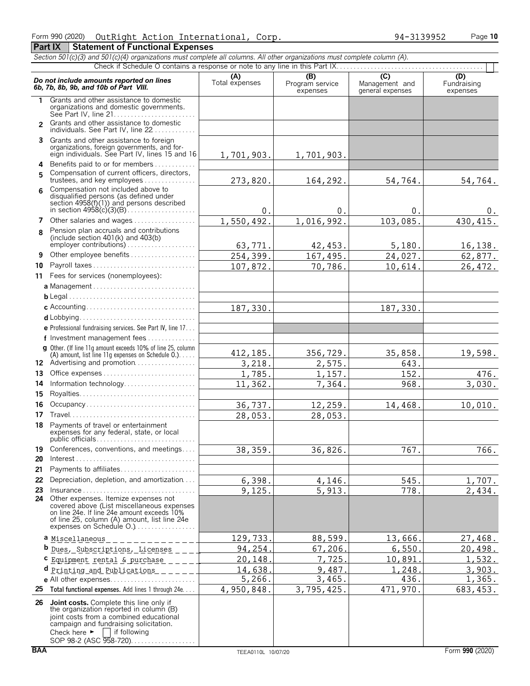# Form 990 (2020) Page **10** OutRight Action International, Corp. 94-3139952

**Part IX | Statement of Functional Expenses** 

|               | Section 501(c)(3) and 501(c)(4) organizations must complete all columns. All other organizations must complete column (A).                                                                                                  |                       |                                    |                                           |                                |  |  |  |  |
|---------------|-----------------------------------------------------------------------------------------------------------------------------------------------------------------------------------------------------------------------------|-----------------------|------------------------------------|-------------------------------------------|--------------------------------|--|--|--|--|
|               |                                                                                                                                                                                                                             |                       |                                    |                                           |                                |  |  |  |  |
|               | Do not include amounts reported on lines<br>6b, 7b, 8b, 9b, and 10b of Part VIII.                                                                                                                                           | (A)<br>Total expenses | (B)<br>Program service<br>expenses | (C)<br>Management and<br>general expenses | (D)<br>Fundraising<br>expenses |  |  |  |  |
| 1.            | Grants and other assistance to domestic<br>organizations and domestic governments.                                                                                                                                          |                       |                                    |                                           |                                |  |  |  |  |
| $\mathcal{P}$ | Grants and other assistance to domestic<br>individuals. See Part IV, line 22                                                                                                                                                |                       |                                    |                                           |                                |  |  |  |  |
|               | 3 Grants and other assistance to foreign<br>organizations, foreign governments, and for-<br>eign individuals. See Part IV, lines 15 and 16                                                                                  | 1,701,903.            | 1,701,903.                         |                                           |                                |  |  |  |  |
| 5             | 4 Benefits paid to or for members<br>Compensation of current officers, directors,                                                                                                                                           |                       |                                    |                                           |                                |  |  |  |  |
| 6             | trustees, and key employees<br>Compensation not included above to<br>disqualified persons (as defined under<br>section 4958(f)(1)) and persons described                                                                    | 273,820.<br>0.        | 164,292.<br>0.                     | 54,764.<br>0.                             | 54,764.<br>0.                  |  |  |  |  |
| 7             | Other salaries and wages                                                                                                                                                                                                    | 1,550,492.            | 1,016,992.                         | 103,085.                                  | 430, 415.                      |  |  |  |  |
| 8             | Pension plan accruals and contributions<br>(include section $401(k)$ and $403(b)$<br>employer contributions)                                                                                                                | 63,771.               | 42,453.                            | 5,180.                                    | 16, 138.                       |  |  |  |  |
| 9             | Other employee benefits                                                                                                                                                                                                     | 254,399.              | 167,495.                           | 24,027.                                   | 62, 877.                       |  |  |  |  |
| 10            | Payroll taxes                                                                                                                                                                                                               | 107,872.              | 70,786.                            | 10,614.                                   | 26,472.                        |  |  |  |  |
|               | 11 Fees for services (nonemployees):                                                                                                                                                                                        |                       |                                    |                                           |                                |  |  |  |  |
|               |                                                                                                                                                                                                                             |                       |                                    |                                           |                                |  |  |  |  |
|               |                                                                                                                                                                                                                             |                       |                                    |                                           |                                |  |  |  |  |
|               |                                                                                                                                                                                                                             | 187,330.              |                                    | 187,330.                                  |                                |  |  |  |  |
|               |                                                                                                                                                                                                                             |                       |                                    |                                           |                                |  |  |  |  |
|               | e Professional fundraising services. See Part IV, line 17<br>f Investment management fees                                                                                                                                   |                       |                                    |                                           |                                |  |  |  |  |
|               | g Other. (If line 11g amount exceeds 10% of line 25, column<br>(A) amount, list line 11g expenses on Schedule 0.).<br>12 Advertising and promotion                                                                          | 412, 185.             | 356,729.                           | 35,858.                                   | 19,598.                        |  |  |  |  |
| 13            |                                                                                                                                                                                                                             | 3,218.                | 2,575.                             | 643.<br>152.                              |                                |  |  |  |  |
| 14            | Information technology                                                                                                                                                                                                      | 1,785.<br>11,362.     | 1,157.<br>7,364.                   | 968.                                      | 476.<br>$\overline{3}$ , 030.  |  |  |  |  |
| 15            |                                                                                                                                                                                                                             |                       |                                    |                                           |                                |  |  |  |  |
| 16            | Occupancy                                                                                                                                                                                                                   | 36,737.               | 12,259.                            | 14,468.                                   | 10,010.                        |  |  |  |  |
| 17            |                                                                                                                                                                                                                             | 28,053.               | 28,053.                            |                                           |                                |  |  |  |  |
|               | 18 Payments of travel or entertainment<br>expenses for any federal, state, or local<br>public officials                                                                                                                     |                       |                                    |                                           |                                |  |  |  |  |
| 19            | Conferences, conventions, and meetings                                                                                                                                                                                      | 38, 359.              | 36,826.                            | 767.                                      | 766.                           |  |  |  |  |
| 20            |                                                                                                                                                                                                                             |                       |                                    |                                           |                                |  |  |  |  |
| 21            | Payments to affiliates                                                                                                                                                                                                      |                       |                                    |                                           |                                |  |  |  |  |
| 22            | Depreciation, depletion, and amortization                                                                                                                                                                                   | 6,398.                | 4,146.                             | 545.                                      | 1,707.                         |  |  |  |  |
| 23<br>24      | Insurance<br>Other expenses. Itemize expenses not<br>covered above (List miscellaneous expenses<br>on line 24e. If line 24e amount exceeds 10%<br>of line 25, column (A) amount, list line 24e                              | 9,125.                | 5,913.                             | 778.                                      | 2,434.                         |  |  |  |  |
|               | expenses on Schedule O.)                                                                                                                                                                                                    |                       |                                    |                                           |                                |  |  |  |  |
|               | a Miscellaneous                                                                                                                                                                                                             | 129,733.              | 88,599.                            | 13,666                                    | 27,468.                        |  |  |  |  |
|               | <b>b</b> <u>Dues, Subscriptions, Licenses</u> _                                                                                                                                                                             | 94,254.<br>20,148.    | 67,206.<br>7,725.                  | 6,550.<br>10,891                          | 20,498.<br>1,532.              |  |  |  |  |
|               | C Equipment rental & purchase                                                                                                                                                                                               | 14,638.               | 9,487.                             | 1,248.                                    | 3,903.                         |  |  |  |  |
|               | d Printing and Publications                                                                                                                                                                                                 | 5,266.                | 3,465.                             | 436.                                      | 1,365.                         |  |  |  |  |
| 25            | Total functional expenses. Add lines 1 through 24e.                                                                                                                                                                         | 4,950,848.            | 3,795,425.                         | 471,970.                                  | 683, 453.                      |  |  |  |  |
|               | 26 Joint costs. Complete this line only if<br>the organization reported in column (B)<br>joint costs from a combined educational<br>campaign and fundraising solicitation.<br>Check here $\blacktriangleright$ if following |                       |                                    |                                           |                                |  |  |  |  |

SOP 98-2 (ASC 958-720). . . . . . . . . . . . . . . . .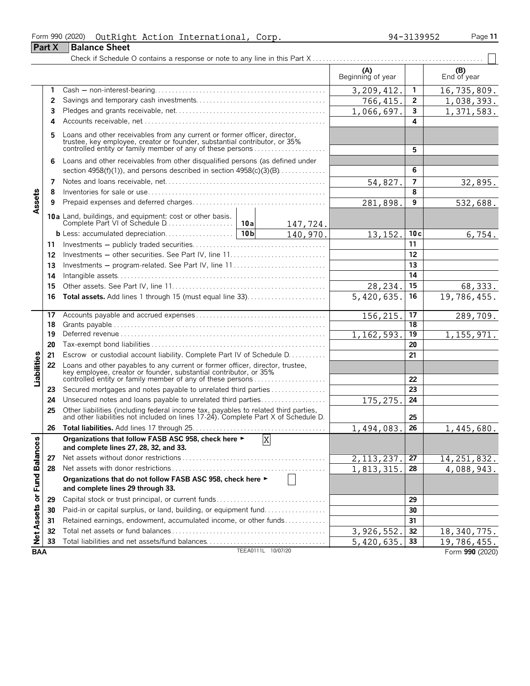| Form 990 (2020) |  | OutRight Action International, Corp. | 94-3139952 | Page 11 |
|-----------------|--|--------------------------------------|------------|---------|
|-----------------|--|--------------------------------------|------------|---------|

**Part X** | Balance Sheet

|  | 4-3139952 |  |
|--|-----------|--|
|  |           |  |

#### Check if Schedule O contains a response or note to any line in this Part X . . . . . . . . . . . . . . . . . . . . . . . . . . . . . . . . . . . . . . . . . . . . . . . . . .  $(B)$  (A)  $(B)$  End of year End of year **(A) (B) 1** Cash ' non-interest-bearing. . . . . . . . . . . . . . . . . . . . . . . . . . . . . . . . . . . . . . . . . . . . . . . . . . **1** 3,209,412. 16,735,809. **2** Savings and temporary cash investments. . . . . . . . . . . . . . . . . . . . . . . . . . . . . . . . . . . . . . **2** 1,038,393. **3** Pledges and grants receivable, net. . . . . . . . . . . . . . . . . . . . . . . . . . . . . . . . . . . . . . . . . . . . **3** 1,066,697. 1,371,583. **4** Accounts receivable, net. . . . . . . . . . . . . . . . . . . . . . . . . . . . . . . . . . . . . . . . . . . . . . . . . . . . . . **4 5** Loans and other receivables from any current or former officer, director, trustee, key employee, creator or founder, substantial contributor, or 35% controlled entity or family member of any of these persons . . . . . . . . . . . . . . . . . . . . . **5 6** Loans and other receivables from other disqualified persons (as defined under section 4958(f)(1)), and persons described in section 4958(c)(3)(B). . . . . . . . . . . . . . **6 7** Notes and loans receivable, net. . . . . . . . . . . . . . . . . . . . . . . . . . . . . . . . . . . . . . . . . . . . . . . **7** 32,895 **8** Inventories for sale or use. . . . . . . . . . . . . . . . . . . . . . . . . . . . . . . . . . . . . . . . . . . . . . . . . . . . **8** Assets **9** Prepaid expenses and deferred charges. . . . . . . . . . . . . . . . . . . . . . . . . . . . . . . . . . . . . . . **9** 532,688. **10a** Land, buildings, and equipment: cost or other basis. Complete Part VI of Schedule D. . . . . . . . . . . . . . . . . . . . **10a** 147,724. **b** Less: accumulated depreciation. . . . . . . . . . . . . . . 10**b**  $\begin{bmatrix} 10b & 140, 970 \end{bmatrix}$  13, 152, 10c  $140,970.$  13, 152. | 10c 6, 754. **11** Investments ' publicly traded securities. . . . . . . . . . . . . . . . . . . . . . . . . . . . . . . . . . . . . . . **11 12** Investments ' other securities. See Part IV, line 11. . . . . . . . . . . . . . . . . . . . . . . . . . . . **12 13** Investments ' program-related. See Part IV, line 11 . . . . . . . . . . . . . . . . . . . . . . . . . . . **13 14** Intangible assets. . . . . . . . . . . . . . . . . . . . . . . . . . . . . . . . . . . . . . . . . . . . . . . . . . . . . . . . . . . . . **14 15** Other assets. See Part IV, line 11. . . . . . . . . . . . . . . . . . . . . . . . . . . . . . . . . . . . . . . . . . . . . **15** 28,234. 68,333. **16 Total assets.** Add lines 1 through 15 (must equal line 33). . . . . . . . . . . . . . . . . . . . . . . **16** 19,786,455. **17** Accounts payable and accrued expenses . . . . . . . . . . . . . . . . . . . . . . . . . . . . . . . . . . . . . . **17** 156,215. 289,709. **18** Grants payable. . . . . . . . . . . . . . . . . . . . . . . . . . . . . . . . . . . . . . . . . . . . . . . . . . . . . . . . . . . . . . . **18 19** Deferred revenue. . . . . . . . . . . . . . . . . . . . . . . . . . . . . . . . . . . . . . . . . . . . . . . . . . . . . . . . . . . . . **19** 1,155,971. **20** Tax-exempt bond liabilities . . . . . . . . . . . . . . . . . . . . . . . . . . . . . . . . . . . . . . . . . . . . . . . . . . . **20 21** Escrow or custodial account liability. Complete Part IV of Schedule D. . . . . . . . . . . **21** Liabilities **22** Loans and other payables to any current or former officer, director, trustee, key employee, creator or founder, substantial contributor, or 35% controlled entity or family member of any of these persons . . . . . . . . . . . . . . . . . . . . . **22 23** Secured mortgages and notes payable to unrelated third parties . . . . . . . . . . . . . . . . **23 24** Unsecured notes and loans payable to unrelated third parties. . . . . . . . . . . . . . . . . . . **24** 175,275. **25** Other liabilities (including federal income tax, payables to related third parties, and other liabilities not included on lines 17-24). Complete Part X of Schedule D. **25 26 Total liabilities.** Add lines 17 through 25. . . . . . . . . . . . . . . . . . . . . . . . . . . . . . . . . . . . . . . **26** 1,445,680 **Organizations that follow FASB ASC 958, check here** G X or Fund Balances **and complete lines 27, 28, 32, and 33. 27** Net assets without donor restrictions . . . . . . . . . . . . . . . . . . . . . . . . . . . . . . . . . . . . . . . . . . **27** 14,251,832. **28** Net assets with donor restrictions . . . . . . . . . . . . . . . . . . . . . . . . . . . . . . . . . . . . . . . . . . . . . **28** 4,088,943. **Organizations that do not follow FASB ASC 958, check here** G **and complete lines 29 through 33. 29** Capital stock or trust principal, or current funds. . . . . . . . . . . . . . . . . . . . . . . . . . . . . . . . **29 Net Assets 30** Paid-in or capital surplus, or land, building, or equipment fund. . . . . . . . . . . . . . . . . . **30 31** Retained earnings, endowment, accumulated income, or other funds. . . . . . . . . . . . **31 32** Total net assets or fund balances . . . . . . . . . . . . . . . . . . . . . . . . . . . . . . . . . . . . . . . . . . . . . **32** 3,926,552. 18,340,775. **33** Total liabilities and net assets/fund balances. . . . . . . . . . . . . . . . . . . . . . . . . . . . . . . . . . . **33** 19,786,455. **BAA** TEEA0111L 10/07/20 **Form 990** (2020)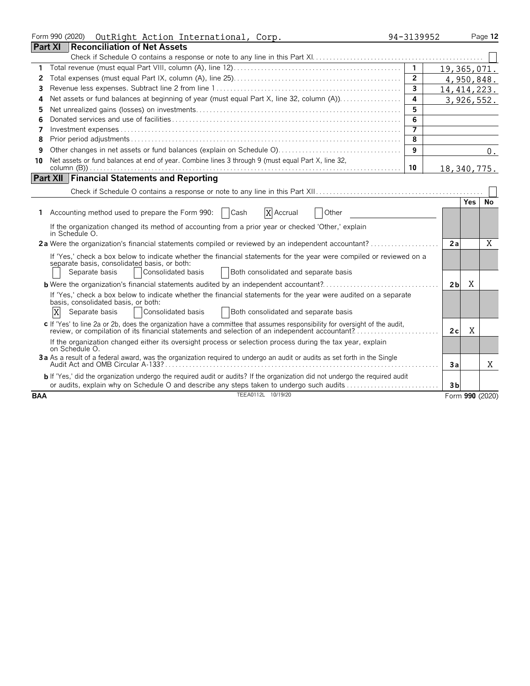|            | Form 990 (2020)<br>OutRight Action International, Corp.                                                                                                                                                                                              | 94-3139952     |                |               | Page 12         |
|------------|------------------------------------------------------------------------------------------------------------------------------------------------------------------------------------------------------------------------------------------------------|----------------|----------------|---------------|-----------------|
|            | <b>Part XI</b><br><b>Reconciliation of Net Assets</b>                                                                                                                                                                                                |                |                |               |                 |
|            |                                                                                                                                                                                                                                                      |                |                |               |                 |
| 1          |                                                                                                                                                                                                                                                      | $\mathbf{1}$   |                | 19,365,071.   |                 |
| 2          |                                                                                                                                                                                                                                                      | $\overline{2}$ |                | 4,950,848.    |                 |
| 3          |                                                                                                                                                                                                                                                      | $\overline{3}$ |                | 14, 414, 223. |                 |
| 4          |                                                                                                                                                                                                                                                      | 4              |                | 3,926,552.    |                 |
| 5          |                                                                                                                                                                                                                                                      | 5              |                |               |                 |
| 6          |                                                                                                                                                                                                                                                      | 6              |                |               |                 |
| 7          |                                                                                                                                                                                                                                                      | $\overline{7}$ |                |               |                 |
| 8          |                                                                                                                                                                                                                                                      | 8              |                |               |                 |
| 9          |                                                                                                                                                                                                                                                      | 9              |                |               | $0$ .           |
| 10         | Net assets or fund balances at end of year. Combine lines 3 through 9 (must equal Part X, line 32,                                                                                                                                                   |                |                |               |                 |
|            |                                                                                                                                                                                                                                                      | 10             |                | 18, 340, 775. |                 |
|            | <b>Part XII Financial Statements and Reporting</b>                                                                                                                                                                                                   |                |                |               |                 |
|            |                                                                                                                                                                                                                                                      |                |                |               |                 |
|            |                                                                                                                                                                                                                                                      |                |                | <b>Yes</b>    | No              |
|            | 1 Accounting method used to prepare the Form 990:<br>Cash<br>X Accrual<br>Other                                                                                                                                                                      |                |                |               |                 |
|            | If the organization changed its method of accounting from a prior year or checked 'Other,' explain<br>in Schedule O.                                                                                                                                 |                |                |               |                 |
|            | 2a Were the organization's financial statements compiled or reviewed by an independent accountant?                                                                                                                                                   |                | 2a             |               | X               |
|            | If 'Yes,' check a box below to indicate whether the financial statements for the year were compiled or reviewed on a<br>separate basis, consolidated basis, or both:<br>Separate basis<br>Consolidated basis<br>Both consolidated and separate basis |                |                |               |                 |
|            |                                                                                                                                                                                                                                                      |                | 2 <sub>b</sub> | X             |                 |
|            | If 'Yes,' check a box below to indicate whether the financial statements for the year were audited on a separate<br>basis, consolidated basis, or both:                                                                                              |                |                |               |                 |
|            | X<br>Consolidated basis<br>Separate basis<br>Both consolidated and separate basis                                                                                                                                                                    |                |                |               |                 |
|            | c If 'Yes' to line 2a or 2b, does the organization have a committee that assumes responsibility for oversight of the audit,<br>review, or compilation of its financial statements and selection of an independent accountant?                        |                | 2c             | X             |                 |
|            | If the organization changed either its oversight process or selection process during the tax year, explain<br>on Schedule O.                                                                                                                         |                |                |               |                 |
|            | 3a As a result of a federal award, was the organization required to undergo an audit or audits as set forth in the Single                                                                                                                            |                | Зa             |               | X               |
|            | b If 'Yes,' did the organization undergo the required audit or audits? If the organization did not undergo the required audit<br>or audits, explain why on Schedule O and describe any steps taken to undergo such audits                            |                | 3 <sub>b</sub> |               |                 |
| <b>BAA</b> | TEEA0112L 10/19/20                                                                                                                                                                                                                                   |                |                |               | Form 990 (2020) |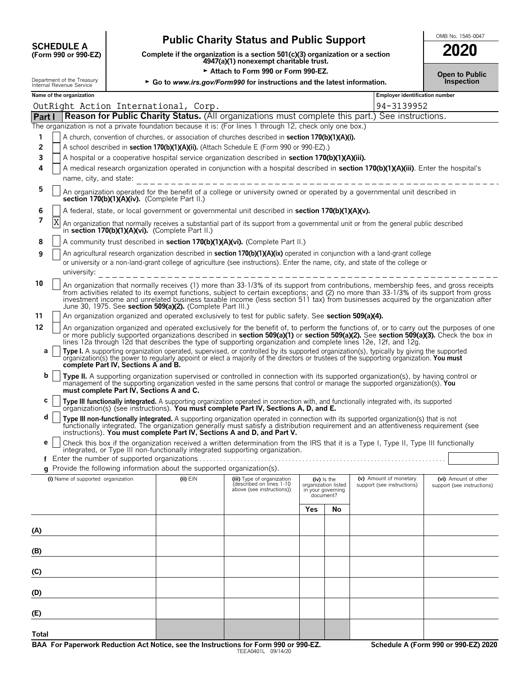| <b>SCHEDULE A</b>                |  |
|----------------------------------|--|
| $(F_{\rm O}r$ m 990 or 990. $FZ$ |  |

# Public Charity Status and Public Support<br> **Support Fig. 1545-0047** lete if the organization is a section section **SOCO**

**COMPOSCHEDULE A**<br>(Form 990 or 990-EZ) Complete if the organization is a section 501(c)(3) organization or a section<br>4947(a)(1) nonexempt charitable trust.

| OMB No. 1545-0047 |
|-------------------|
| ההחה              |

| Attach to Form 990 or Form 990-EZ. |                                                                                                                                                                |                                                        |                                          | <b>Open to Public</b>                                                                                                   |                                                                                                                                                                                                                                                                                                                                                                                                                    |     |                                                           |                                                      |                                                    |
|------------------------------------|----------------------------------------------------------------------------------------------------------------------------------------------------------------|--------------------------------------------------------|------------------------------------------|-------------------------------------------------------------------------------------------------------------------------|--------------------------------------------------------------------------------------------------------------------------------------------------------------------------------------------------------------------------------------------------------------------------------------------------------------------------------------------------------------------------------------------------------------------|-----|-----------------------------------------------------------|------------------------------------------------------|----------------------------------------------------|
|                                    |                                                                                                                                                                | Department of the Treasury<br>Internal Revenue Service |                                          |                                                                                                                         | ► Go to www.irs.gov/Form990 for instructions and the latest information.                                                                                                                                                                                                                                                                                                                                           |     |                                                           |                                                      | Inspection                                         |
|                                    |                                                                                                                                                                | Name of the organization                               |                                          |                                                                                                                         |                                                                                                                                                                                                                                                                                                                                                                                                                    |     |                                                           | <b>Employer identification number</b>                |                                                    |
|                                    |                                                                                                                                                                |                                                        |                                          | OutRight Action International, Corp.                                                                                    |                                                                                                                                                                                                                                                                                                                                                                                                                    |     |                                                           | 94-3139952                                           |                                                    |
| Part I                             |                                                                                                                                                                |                                                        |                                          |                                                                                                                         | Reason for Public Charity Status. (All organizations must complete this part.) See instructions.                                                                                                                                                                                                                                                                                                                   |     |                                                           |                                                      |                                                    |
|                                    |                                                                                                                                                                |                                                        |                                          |                                                                                                                         | The organization is not a private foundation because it is: (For lines 1 through 12, check only one box.)                                                                                                                                                                                                                                                                                                          |     |                                                           |                                                      |                                                    |
| 1                                  |                                                                                                                                                                |                                                        |                                          |                                                                                                                         | A church, convention of churches, or association of churches described in section 170(b)(1)(A)(i).                                                                                                                                                                                                                                                                                                                 |     |                                                           |                                                      |                                                    |
| 2                                  |                                                                                                                                                                |                                                        |                                          |                                                                                                                         | A school described in section 170(b)(1)(A)(ii). (Attach Schedule E (Form 990 or 990-EZ).)                                                                                                                                                                                                                                                                                                                          |     |                                                           |                                                      |                                                    |
| 3                                  | A hospital or a cooperative hospital service organization described in section 170(b)(1)(A)(iii).                                                              |                                                        |                                          |                                                                                                                         |                                                                                                                                                                                                                                                                                                                                                                                                                    |     |                                                           |                                                      |                                                    |
| 4                                  | A medical research organization operated in conjunction with a hospital described in section 170(b)(1)(A)(iii). Enter the hospital's<br>name, city, and state: |                                                        |                                          |                                                                                                                         |                                                                                                                                                                                                                                                                                                                                                                                                                    |     |                                                           |                                                      |                                                    |
| 5                                  |                                                                                                                                                                |                                                        |                                          | section 170(b)(1)(A)(iv). (Complete Part II.)                                                                           | An organization operated for the benefit of a college or university owned or operated by a governmental unit described in                                                                                                                                                                                                                                                                                          |     |                                                           |                                                      |                                                    |
| 6                                  |                                                                                                                                                                |                                                        |                                          |                                                                                                                         | A federal, state, or local government or governmental unit described in section 170(b)(1)(A)(v).                                                                                                                                                                                                                                                                                                                   |     |                                                           |                                                      |                                                    |
| 7                                  | X                                                                                                                                                              |                                                        |                                          | in section 170(b)(1)(A)(vi). (Complete Part II.)                                                                        | An organization that normally receives a substantial part of its support from a governmental unit or from the general public described                                                                                                                                                                                                                                                                             |     |                                                           |                                                      |                                                    |
| 8                                  |                                                                                                                                                                |                                                        |                                          |                                                                                                                         | A community trust described in section 170(b)(1)(A)(vi). (Complete Part II.)                                                                                                                                                                                                                                                                                                                                       |     |                                                           |                                                      |                                                    |
| 9                                  |                                                                                                                                                                | university:                                            |                                          |                                                                                                                         | An agricultural research organization described in section 170(b)(1)(A)(ix) operated in conjunction with a land-grant college<br>or university or a non-land-grant college of agriculture (see instructions). Enter the name, city, and state of the college or                                                                                                                                                    |     |                                                           |                                                      |                                                    |
| 10                                 |                                                                                                                                                                |                                                        |                                          | June 30, 1975. See section 509(a)(2). (Complete Part III.)                                                              | An organization that normally receives (1) more than 33-1/3% of its support from contributions, membership fees, and gross receipts<br>from activities related to its exempt functions, subject to certain exceptions; and (2) no more than 33-1/3% of its support from gross<br>investment income and unrelated business taxable income (less section 511 tax) from businesses acquired by the organization after |     |                                                           |                                                      |                                                    |
| 11                                 |                                                                                                                                                                |                                                        |                                          |                                                                                                                         | An organization organized and operated exclusively to test for public safety. See section 509(a)(4).                                                                                                                                                                                                                                                                                                               |     |                                                           |                                                      |                                                    |
| 12                                 |                                                                                                                                                                |                                                        |                                          |                                                                                                                         | An organization organized and operated exclusively for the benefit of, to perform the functions of, or to carry out the purposes of one<br>or more publicly supported organizations described in section 509(a)(1) or section 509(a)(2). See section 509(a)(3). Check the box in                                                                                                                                   |     |                                                           |                                                      |                                                    |
| а                                  |                                                                                                                                                                |                                                        | complete Part IV, Sections A and B.      |                                                                                                                         | lines 12a through 12d that describes the type of supporting organization and complete lines 12e, 12f, and 12g.<br>Type I. A supporting organization operated, supervised, or controlled by its supported organization(s), typically by giving the supported<br>organization(s) the power to regularly appoint or elect a majority of the directors or trustees of the supporting organization. You must            |     |                                                           |                                                      |                                                    |
| b                                  |                                                                                                                                                                |                                                        | must complete Part IV, Sections A and C. |                                                                                                                         | Type II. A supporting organization supervised or controlled in connection with its supported organization(s), by having control or<br>management of the supporting organization vested in the same persons that control or manage the supported organization(s). You                                                                                                                                               |     |                                                           |                                                      |                                                    |
| c                                  |                                                                                                                                                                |                                                        |                                          |                                                                                                                         | Type III functionally integrated. A supporting organization operated in connection with, and functionally integrated with, its supported organization(s) (see instructions). You must complete Part IV, Sections A, D, and E.                                                                                                                                                                                      |     |                                                           |                                                      |                                                    |
| d                                  |                                                                                                                                                                |                                                        |                                          |                                                                                                                         | Type III non-functionally integrated. A supporting organization operated in connection with its supported organization(s) that is not<br>functionally integrated. The organization generally must satisfy a distribution requirement and an attentiveness requirement (see<br>instructions). You must complete Part IV, Sections A and D, and Part V.                                                              |     |                                                           |                                                      |                                                    |
| e                                  |                                                                                                                                                                |                                                        |                                          |                                                                                                                         | Check this box if the organization received a written determination from the IRS that it is a Type I, Type II, Type III functionally<br>integrated, or Type III non-functionally integrated supporting organization.                                                                                                                                                                                               |     |                                                           |                                                      |                                                    |
|                                    |                                                                                                                                                                |                                                        |                                          | Enter the number of supported organizations<br>g Provide the following information about the supported organization(s). |                                                                                                                                                                                                                                                                                                                                                                                                                    |     |                                                           |                                                      |                                                    |
|                                    |                                                                                                                                                                | (i) Name of supported organization                     |                                          | (ii) EIN                                                                                                                | (iii) Type of organization<br>described on Tines 1-10<br>above (see instructions))                                                                                                                                                                                                                                                                                                                                 |     | $(iv)$ is the<br>organization listed<br>in your governing | (v) Amount of monetary<br>support (see instructions) | (vi) Amount of other<br>support (see instructions) |
|                                    |                                                                                                                                                                |                                                        |                                          |                                                                                                                         |                                                                                                                                                                                                                                                                                                                                                                                                                    | Yes | document?<br>No                                           |                                                      |                                                    |
| (A)                                |                                                                                                                                                                |                                                        |                                          |                                                                                                                         |                                                                                                                                                                                                                                                                                                                                                                                                                    |     |                                                           |                                                      |                                                    |
| (B)                                |                                                                                                                                                                |                                                        |                                          |                                                                                                                         |                                                                                                                                                                                                                                                                                                                                                                                                                    |     |                                                           |                                                      |                                                    |
| (C)                                |                                                                                                                                                                |                                                        |                                          |                                                                                                                         |                                                                                                                                                                                                                                                                                                                                                                                                                    |     |                                                           |                                                      |                                                    |
| (D)                                |                                                                                                                                                                |                                                        |                                          |                                                                                                                         |                                                                                                                                                                                                                                                                                                                                                                                                                    |     |                                                           |                                                      |                                                    |
| (E)                                |                                                                                                                                                                |                                                        |                                          |                                                                                                                         |                                                                                                                                                                                                                                                                                                                                                                                                                    |     |                                                           |                                                      |                                                    |
| Total                              |                                                                                                                                                                |                                                        |                                          |                                                                                                                         |                                                                                                                                                                                                                                                                                                                                                                                                                    |     |                                                           |                                                      |                                                    |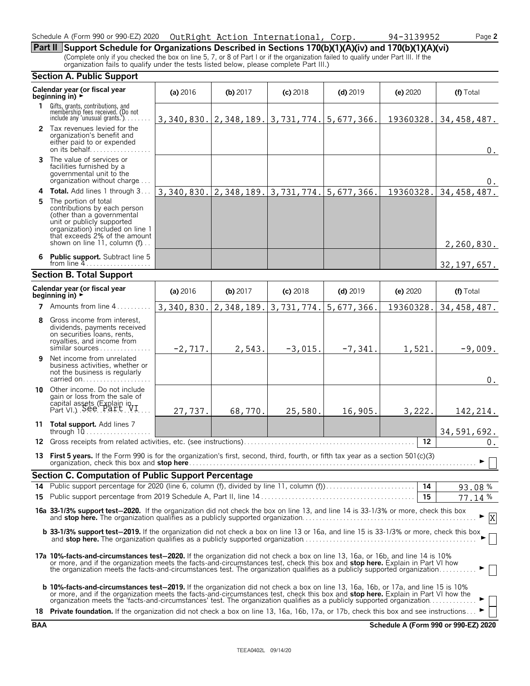# Schedule A (Form 990 or 990-EZ) 2020 Page **2** OutRight Action International, Corp. 94-3139952

**Part II Support Schedule for Organizations Described in Sections 170(b)(1)(A)(iv) and 170(b)(1)(A)(vi)** (Complete only if you checked the box on line 5, 7, or 8 of Part I or if the organization failed to qualify under Part III. If the organization fails to qualify under the tests listed below, please complete Part III.)

|    | <b>Section A. Public Support</b>                                                                                                                                                                                                                                                                                                                                                            |            |            |                           |            |            |               |
|----|---------------------------------------------------------------------------------------------------------------------------------------------------------------------------------------------------------------------------------------------------------------------------------------------------------------------------------------------------------------------------------------------|------------|------------|---------------------------|------------|------------|---------------|
|    | Calendar year (or fiscal year<br>beginning in) ►                                                                                                                                                                                                                                                                                                                                            | (a) 2016   | (b) 2017   | $(c)$ 2018                | $(d)$ 2019 | $(e)$ 2020 | (f) Total     |
|    | 1 Gifts, grants, contributions, and<br>membership fees received. (Do not<br>include any 'unusual grants.'). $\ldots$                                                                                                                                                                                                                                                                        | 3,340,830. |            | $2,348,189.$ 3, 731, 774. | 5,677,366. | 19360328.  | 34, 458, 487. |
|    | 2 Tax revenues levied for the<br>organization's benefit and<br>either paid to or expended<br>on its behalf                                                                                                                                                                                                                                                                                  |            |            |                           |            |            | $0$ .         |
|    | <b>3</b> The value of services or<br>facilities furnished by a<br>governmental unit to the<br>organization without charge                                                                                                                                                                                                                                                                   |            |            |                           |            |            | 0.            |
|    | 4 Total. Add lines 1 through 3                                                                                                                                                                                                                                                                                                                                                              | 3,340,830. | 2,348,189. | 3,731,774.                | 5,677,366. | 19360328.  | 34, 458, 487. |
|    | 5 The portion of total<br>contributions by each person<br>(other than a governmental<br>unit or publicly supported<br>organization) included on line 1<br>that exceeds 2% of the amount<br>shown on line 11, column $(f)$                                                                                                                                                                   |            |            |                           |            |            | 2,260,830.    |
|    | 6 Public support. Subtract line 5<br>from line $4$                                                                                                                                                                                                                                                                                                                                          |            |            |                           |            |            | 32, 197, 657. |
|    | <b>Section B. Total Support</b>                                                                                                                                                                                                                                                                                                                                                             |            |            |                           |            |            |               |
|    | Calendar year (or fiscal year<br>beginning in) $\rightarrow$                                                                                                                                                                                                                                                                                                                                | (a) $2016$ | (b) 2017   | $(c)$ 2018                | $(d)$ 2019 | (e) 2020   | (f) Total     |
|    | 7 Amounts from line 4.                                                                                                                                                                                                                                                                                                                                                                      | 3,340,830. | 2,348,189. | 3,731,774.                | 5,677,366. | 19360328.  | 34, 458, 487. |
| 8  | Gross income from interest,<br>dividends, payments received<br>on securities loans, rents,<br>royalties, and income from<br>similar sources                                                                                                                                                                                                                                                 | $-2,717.$  | 2,543.     | $-3,015.$                 | $-7,341.$  | 1,521.     | $-9,009.$     |
| 9. | Net income from unrelated<br>business activities, whether or<br>not the business is regularly<br>carried on                                                                                                                                                                                                                                                                                 |            |            |                           |            |            | $0$ .         |
| 10 | Other income. Do not include<br>gain or loss from the sale of<br>capital assets (Explain in Part VI.)                                                                                                                                                                                                                                                                                       | 27,737.    | 68,770.    | 25,580.                   | 16,905.    | 3,222.     | 142, 214.     |
|    | 11 Total support. Add lines 7<br>through $10$                                                                                                                                                                                                                                                                                                                                               |            |            |                           |            |            | 34,591,692.   |
|    | 12 Gross receipts from related activities, etc. (see instructions)                                                                                                                                                                                                                                                                                                                          |            |            |                           |            | 12         | $0$ .         |
|    | 13 First 5 years. If the Form 990 is for the organization's first, second, third, fourth, or fifth tax year as a section 501(c)(3)                                                                                                                                                                                                                                                          |            |            |                           |            |            | ► □           |
|    | <b>Section C. Computation of Public Support Percentage</b>                                                                                                                                                                                                                                                                                                                                  |            |            |                           |            |            |               |
|    |                                                                                                                                                                                                                                                                                                                                                                                             |            |            |                           |            |            | 93.08%        |
|    |                                                                                                                                                                                                                                                                                                                                                                                             |            |            |                           |            | 15         | 77.14%        |
|    | 16a 33-1/3% support test-2020. If the organization did not check the box on line 13, and line 14 is 33-1/3% or more, check this box                                                                                                                                                                                                                                                         |            |            |                           |            |            | X             |
|    | b 33-1/3% support test-2019. If the organization did not check a box on line 13 or 16a, and line 15 is 33-1/3% or more, check this box                                                                                                                                                                                                                                                      |            |            |                           |            |            |               |
|    | 17a 10%-facts-and-circumstances test-2020. If the organization did not check a box on line 13, 16a, or 16b, and line 14 is 10%<br>or more, and if the organization meets the facts-and-circumstances test, check this box and stop here. Explain in Part VI how<br>the organization meets the facts-and-circumstances test. The organization qualifies as a publicly supported organization |            |            |                           |            |            |               |
|    | <b>b 10%-facts-and-circumstances test-2019.</b> If the organization did not check a box on line 13, 16a, 16b, or 17a, and line 15 is 10%<br>or more, and if the organization meets the facts-and-circumstances test, check this box and stop here. Explain in Part VI how the organization meets the 'facts-and-circumstances' test. The organization qualifies as a publi                  |            |            |                           |            |            |               |
|    | 18 Private foundation. If the organization did not check a box on line 13, 16a, 16b, 17a, or 17b, check this box and see instructions                                                                                                                                                                                                                                                       |            |            |                           |            |            |               |

**BAA Schedule A (Form 990 or 990-EZ) 2020**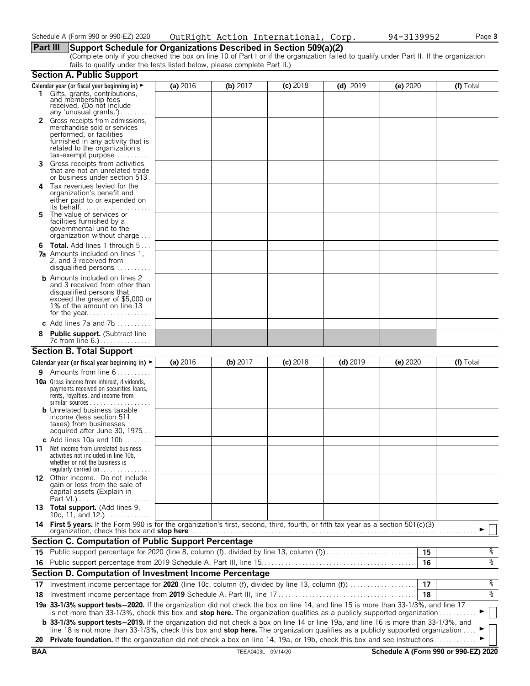# **Part III Support Schedule for Organizations Described in Section 509(a)(2)**

(Complete only if you checked the box on line 10 of Part I or if the organization failed to qualify under Part II. If the organization fails to qualify under the tests listed below, please complete Part II.)

|            | <b>Section A. Public Support</b>                                                                                                                                                                                                                                              |          |                    |            |            |          |                                      |
|------------|-------------------------------------------------------------------------------------------------------------------------------------------------------------------------------------------------------------------------------------------------------------------------------|----------|--------------------|------------|------------|----------|--------------------------------------|
|            | Calendar year (or fiscal year beginning in) $\blacktriangleright$                                                                                                                                                                                                             | (a) 2016 | (b) $2017$         | $(c)$ 2018 | $(d)$ 2019 | (e) 2020 | (f) Total                            |
|            | 1 Gifts, grants, contributions,<br>and membership fees<br>received. (Do not include<br>any 'unusual grants.')                                                                                                                                                                 |          |                    |            |            |          |                                      |
|            | Gross receipts from admissions,<br>merchandise sold or services<br>performed, or facilities<br>furnished in any activity that is<br>related to the organization's<br>$tax\text{-}exempt$ purpose                                                                              |          |                    |            |            |          |                                      |
| 3.         | Gross receipts from activities<br>that are not an unrelated trade<br>or business under section 513.                                                                                                                                                                           |          |                    |            |            |          |                                      |
| 4          | Tax revenues levied for the<br>organization's benefit and<br>either paid to or expended on<br>its behalf                                                                                                                                                                      |          |                    |            |            |          |                                      |
| 5.         | The value of services or<br>facilities furnished by a<br>governmental unit to the<br>organization without charge                                                                                                                                                              |          |                    |            |            |          |                                      |
|            | <b>6 Total.</b> Add lines 1 through 5<br><b>7a</b> Amounts included on lines 1,<br>2, and 3 received from<br>disqualified persons                                                                                                                                             |          |                    |            |            |          |                                      |
|            | <b>b</b> Amounts included on lines 2<br>and 3 received from other than<br>disqualified persons that<br>exceed the greater of \$5,000 or<br>1% of the amount on line 13                                                                                                        |          |                    |            |            |          |                                      |
|            | c Add lines $7a$ and $7b$                                                                                                                                                                                                                                                     |          |                    |            |            |          |                                      |
|            | <b>Public support.</b> (Subtract line                                                                                                                                                                                                                                         |          |                    |            |            |          |                                      |
|            | <b>Section B. Total Support</b>                                                                                                                                                                                                                                               |          |                    |            |            |          |                                      |
|            | Calendar year (or fiscal year beginning in) $\blacktriangleright$                                                                                                                                                                                                             | (a) 2016 | (b) 2017           | $(c)$ 2018 | $(d)$ 2019 | (e) 2020 | (f) Total                            |
| 9.         | Amounts from line 6                                                                                                                                                                                                                                                           |          |                    |            |            |          |                                      |
|            | <b>10a</b> Gross income from interest, dividends,<br>payments received on securities loans,<br>rents, royalties, and income from<br><b>b</b> Unrelated business taxable                                                                                                       |          |                    |            |            |          |                                      |
|            | income (less section 511<br>taxes) from businesses<br>acquired after June 30, 1975<br>c Add lines 10a and $10b$                                                                                                                                                               |          |                    |            |            |          |                                      |
| 11         | Net income from unrelated business<br>activities not included in line 10b,<br>whether or not the business is<br>regularly carried on $\dots\dots\dots\dots\dots$                                                                                                              |          |                    |            |            |          |                                      |
|            | 12 Other income. Do not include<br>gain or loss from the sale of<br>capital assets (Explain in                                                                                                                                                                                |          |                    |            |            |          |                                      |
|            | 13 Total support. (Add lines 9,<br>10c, 11, and $12.$ )                                                                                                                                                                                                                       |          |                    |            |            |          |                                      |
|            | 14 First 5 years. If the Form 990 is for the organization's first, second, third, fourth, or fifth tax year as a section 501(c)(3)<br>organization, check this box and <b>stop here</b>                                                                                       |          |                    |            |            |          |                                      |
|            | <b>Section C. Computation of Public Support Percentage</b>                                                                                                                                                                                                                    |          |                    |            |            |          |                                      |
|            | 15 Public support percentage for 2020 (line 8, column (f), divided by line 13, column (f)                                                                                                                                                                                     |          |                    |            |            | 15       | နွ                                   |
|            |                                                                                                                                                                                                                                                                               |          |                    |            |            | 16       | နွ                                   |
|            | Section D. Computation of Investment Income Percentage                                                                                                                                                                                                                        |          |                    |            |            |          |                                      |
| 17         | Investment income percentage for 2020 (line 10c, column (f), divided by line 13, column (f)                                                                                                                                                                                   |          |                    |            |            | 17       | နွ                                   |
| 18         |                                                                                                                                                                                                                                                                               |          |                    |            |            | 18       | နွ                                   |
|            | 19a 33-1/3% support tests-2020. If the organization did not check the box on line 14, and line 15 is more than 33-1/3%, and line 17<br>is not more than 33-1/3%, check this box and stop here. The organization qualifies as a publicly supported organization                |          |                    |            |            |          |                                      |
|            | <b>b</b> 33-1/3% support tests-2019. If the organization did not check a box on line 14 or line 19a, and line 16 is more than 33-1/3%, and<br>line 18 is not more than 33-1/3%, check this box and stop here. The organization qualifies as a publicly supported organization |          |                    |            |            |          |                                      |
| 20         | Private foundation. If the organization did not check a box on line 14, 19a, or 19b, check this box and see instructions                                                                                                                                                      |          |                    |            |            |          |                                      |
| <b>BAA</b> |                                                                                                                                                                                                                                                                               |          | TEEA0403L 09/14/20 |            |            |          | Schedule A (Form 990 or 990-EZ) 2020 |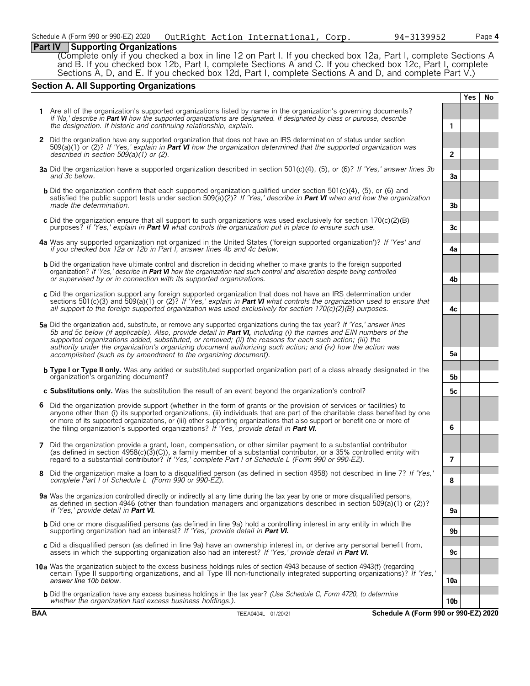# **Part IV Supporting Organizations**

(Complete only if you checked a box in line 12 on Part I. If you checked box 12a, Part I, complete Sections A and B. If you checked box 12b, Part I, complete Sections A and C. If you checked box 12c, Part I, complete Sections A, D, and E. If you checked box 12d, Part I, complete Sections A and D, and complete Part V.)

# **Section A. All Supporting Organizations**

|   |                                                                                                                                                                                                                                                                                                                                                                                                                                                                                                                                              |                      | <b>Yes</b> | No |
|---|----------------------------------------------------------------------------------------------------------------------------------------------------------------------------------------------------------------------------------------------------------------------------------------------------------------------------------------------------------------------------------------------------------------------------------------------------------------------------------------------------------------------------------------------|----------------------|------------|----|
|   | 1 Are all of the organization's supported organizations listed by name in the organization's governing documents?<br>If 'No,' describe in Part VI how the supported organizations are designated. If designated by class or purpose, describe<br>the designation. If historic and continuing relationship, explain.                                                                                                                                                                                                                          | 1                    |            |    |
|   | 2 Did the organization have any supported organization that does not have an IRS determination of status under section<br>$509(a)(1)$ or (2)? If 'Yes,' explain in Part VI how the organization determined that the supported organization was                                                                                                                                                                                                                                                                                               |                      |            |    |
|   | described in section $509(a)(1)$ or (2).<br>3a Did the organization have a supported organization described in section 501(c)(4), (5), or (6)? If 'Yes,' answer lines 3b<br>and 3c below.                                                                                                                                                                                                                                                                                                                                                    | $\overline{2}$<br>3a |            |    |
|   | <b>b</b> Did the organization confirm that each supported organization qualified under section $501(c)(4)$ , (5), or (6) and<br>satisfied the public support tests under section 509(a)(2)? If 'Yes,' describe in Part VI when and how the organization                                                                                                                                                                                                                                                                                      |                      |            |    |
|   | made the determination.<br>c Did the organization ensure that all support to such organizations was used exclusively for section $170(c)(2)(B)$<br>purposes? If 'Yes,' explain in <b>Part VI</b> what controls the organization put in place to ensure such use.                                                                                                                                                                                                                                                                             | 3 <sub>b</sub><br>3c |            |    |
|   | 4a Was any supported organization not organized in the United States ('foreign supported organization')? If 'Yes' and<br>if you checked box 12a or 12b in Part I, answer lines 4b and 4c below.                                                                                                                                                                                                                                                                                                                                              | 4a                   |            |    |
|   | <b>b</b> Did the organization have ultimate control and discretion in deciding whether to make grants to the foreign supported<br>organization? If 'Yes,' describe in Part VI how the organization had such control and discretion despite being controlled<br>or supervised by or in connection with its supported organizations.                                                                                                                                                                                                           | 4b                   |            |    |
|   | c Did the organization support any foreign supported organization that does not have an IRS determination under<br>sections 501(c)(3) and 509(a)(1) or (2)? If 'Yes,' explain in <b>Part VI</b> what controls the organization used to ensure that<br>all support to the foreign supported organization was used exclusively for section $170(c)(2)(B)$ purposes.                                                                                                                                                                            | 4с                   |            |    |
|   | 5a Did the organization add, substitute, or remove any supported organizations during the tax year? If 'Yes,' answer lines<br>5b and 5c below (if applicable). Also, provide detail in Part VI, including (i) the names and EIN numbers of the<br>supported organizations added, substituted, or removed; (ii) the reasons for each such action; (iii) the<br>authority under the organization's organizing document authorizing such action; and (iv) how the action was<br>accomplished (such as by amendment to the organizing document). | 5a                   |            |    |
|   | <b>b</b> Type I or Type II only. Was any added or substituted supported organization part of a class already designated in the<br>organization's organizing document?                                                                                                                                                                                                                                                                                                                                                                        | 5b                   |            |    |
|   | c Substitutions only. Was the substitution the result of an event beyond the organization's control?                                                                                                                                                                                                                                                                                                                                                                                                                                         | 5c                   |            |    |
|   | 6 Did the organization provide support (whether in the form of grants or the provision of services or facilities) to<br>anyone other than (i) its supported organizations, (ii) individuals that are part of the charitable class benefited by one<br>or more of its supported organizations, or (iii) other supporting organizations that also support or benefit one or more of<br>the filing organization's supported organizations? If 'Yes,' provide detail in Part VI.                                                                 | 6                    |            |    |
| 7 | Did the organization provide a grant, loan, compensation, or other similar payment to a substantial contributor<br>(as defined in section $4958(c)(3)(C)$ ), a family member of a substantial contributor, or a 35% controlled entity with<br>regard to a substantial contributor? If 'Yes,' complete Part I of Schedule L (Form 990 or 990-EZ).                                                                                                                                                                                             | 7                    |            |    |
|   | 8 Did the organization make a loan to a disqualified person (as defined in section 4958) not described in line 7? If 'Yes,'<br>complete Part I of Schedule L (Form 990 or 990-EZ).                                                                                                                                                                                                                                                                                                                                                           | ୪                    |            |    |
|   | 9a Was the organization controlled directly or indirectly at any time during the tax year by one or more disqualified persons,<br>as defined in section 4946 (other than foundation managers and organizations described in section 509(a)(1) or (2))?<br>If 'Yes,' provide detail in <b>Part VI.</b>                                                                                                                                                                                                                                        | 9a                   |            |    |
|   | <b>b</b> Did one or more disqualified persons (as defined in line 9a) hold a controlling interest in any entity in which the<br>supporting organization had an interest? If 'Yes,' provide detail in Part VI.                                                                                                                                                                                                                                                                                                                                | 9b                   |            |    |
|   | c Did a disqualified person (as defined in line 9a) have an ownership interest in, or derive any personal benefit from,<br>assets in which the supporting organization also had an interest? If 'Yes,' provide detail in <b>Part VI.</b>                                                                                                                                                                                                                                                                                                     | 9c                   |            |    |
|   | 10a Was the organization subject to the excess business holdings rules of section 4943 because of section 4943(f) (regarding<br>certain Type II supporting organizations, and all Type III non-functionally integrated supporting organizations)? If 'Yes,'<br>answer line 10b below.                                                                                                                                                                                                                                                        | 10a                  |            |    |
|   | <b>b</b> Did the organization have any excess business holdings in the tax year? (Use Schedule C, Form 4720, to determine<br>whether the organization had excess business holdings.).                                                                                                                                                                                                                                                                                                                                                        | 10b                  |            |    |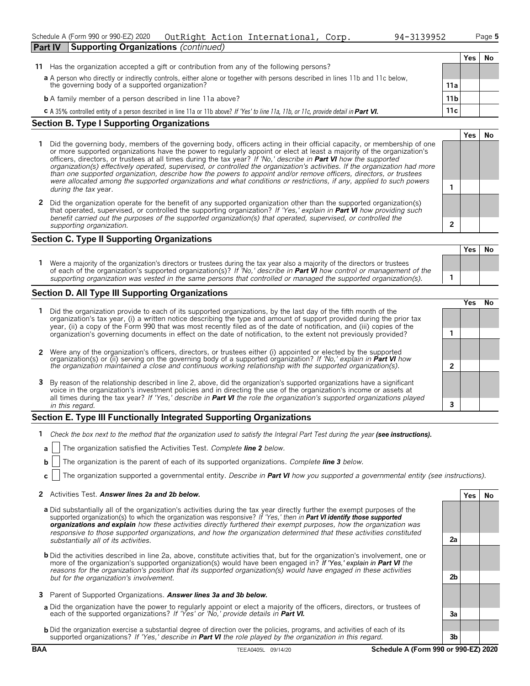### Schedule A (Form 990 or 990-EZ) 2020 Page **5** OutRight Action International, Corp. 94-3139952**Part IV Supporting Organizations** *(continued)*

| 94-3139952 | Рa |
|------------|----|
|------------|----|

**Yes No**

|                                                                                                                                         |                 | No |
|-----------------------------------------------------------------------------------------------------------------------------------------|-----------------|----|
| 11 Has the organization accepted a gift or contribution from any of the following persons?                                              |                 |    |
| a A person who directly or indirectly controls, either alone or together with persons described in lines 11b and 11c below,             |                 |    |
| the governing body of a supported organization?                                                                                         | 11a             |    |
| <b>b</b> A family member of a person described in line 11a above?                                                                       | 11 <sub>b</sub> |    |
| C A 35% controlled entity of a person described in line 11a or 11b above? If 'Yes' to line 11a, 11b, or 11c, provide detail in Part VI. | 11c             |    |

# **Section B. Type I Supporting Organizations**

- **1** Did the governing body, members of the governing body, officers acting in their official capacity, or membership of one or more supported organizations have the power to regularly appoint or elect at least a majority of the organization's officers, directors, or trustees at all times during the tax year? *If 'No,' describe in Part VI how the supported organization(s) effectively operated, supervised, or controlled the organization's activities. If the organization had more than one supported organization, describe how the powers to appoint and/or remove officers, directors, or trustees were allocated among the supported organizations and what conditions or restrictions, if any, applied to such powers* **<sup>1</sup>** *during the tax* year.
- **2** Did the organization operate for the benefit of any supported organization other than the supported organization(s) that operated, supervised, or controlled the supporting organization? *If 'Yes,' explain in Part VI how providing such benefit carried out the purposes of the supported organization(s) that operated, supervised, or controlled the supporting organization.* **2**

# **Section C. Type II Supporting Organizations**

**Yes No 1** Were a majority of the organization's directors or trustees during the tax year also a majority of the directors or trustees of each of the organization's supported organization(s)? *If 'No,' describe in Part VI how control or management of the supporting organization was vested in the same persons that controlled or managed the supported organization(s).* **1**

# **Section D. All Type III Supporting Organizations**

|                                                                                                                                                                                                                                                                                                                                                                                       |  | res) |  |
|---------------------------------------------------------------------------------------------------------------------------------------------------------------------------------------------------------------------------------------------------------------------------------------------------------------------------------------------------------------------------------------|--|------|--|
| 1 Did the organization provide to each of its supported organizations, by the last day of the fifth month of the<br>organization's tax year, (i) a written notice describing the type and amount of support provided during the prior tax<br>year, (ii) a copy of the Form 990 that was most recently filed as of the date of notification, and (iii) copies of the                   |  |      |  |
| organization's governing documents in effect on the date of notification, to the extent not previously provided?                                                                                                                                                                                                                                                                      |  |      |  |
| 2 Were any of the organization's officers, directors, or trustees either (i) appointed or elected by the supported organization(s) or (ii) serving on the governing body of a supported organization? If 'No,' explain in Part                                                                                                                                                        |  |      |  |
|                                                                                                                                                                                                                                                                                                                                                                                       |  |      |  |
| 3 By reason of the relationship described in line 2, above, did the organization's supported organizations have a significant<br>voice in the organization's investment policies and in directing the use of the organization's income or assets at<br>all times during the tax year? If 'Yes,' describe in <b>Part VI</b> the role the organization's supported organizations played |  |      |  |
| in this regard.                                                                                                                                                                                                                                                                                                                                                                       |  |      |  |
|                                                                                                                                                                                                                                                                                                                                                                                       |  |      |  |

# **Section E. Type III Functionally Integrated Supporting Organizations**

- **1** *Check the box next to the method that the organization used to satisfy the Integral Part Test during the year (see instructions).* 
	- **a** The organization satisfied the Activities Test. *Complete line 2 below.*
	- **b** The organization is the parent of each of its supported organizations. *Complete line 3 below.*
	- **c** The organization supported a governmental entity. *Describe in Part VI how you supported a governmental entity (see instructions).*

# **2** Activities Test. *Answer lines 2a and 2b below.* **Yes No**

- **a** Did substantially all of the organization's activities during the tax year directly further the exempt purposes of the supported organization(s) to which the organization was responsive? *If 'Yes,' then in Part VI identify those supported organizations and explain how these activities directly furthered their exempt purposes, how the organization was responsive to those supported organizations, and how the organization determined that these activities constituted substantially all of its activities.* **2a**
- **b** Did the activities described in line 2a, above, constitute activities that, but for the organization's involvement, one or more of the organization's supported organization(s) would have been engaged in? *If 'Yes,' explain in Part VI the reasons for the organization's position that its supported organization(s) would have engaged in these activities but for the organization's involvement.* **2b**
- **3** Parent of Supported Organizations. *Answer lines 3a and 3b below.*
- **a** Did the organization have the power to regularly appoint or elect a majority of the officers, directors, or trustees of each of the supported organizations? *If 'Yes' or 'No,' provide details in Part VI.* **3a**
- **b** Did the organization exercise a substantial degree of direction over the policies, programs, and activities of each of its supported organizations? *If 'Yes,' describe in Part VI the role played by the organization in this regard.* **3b**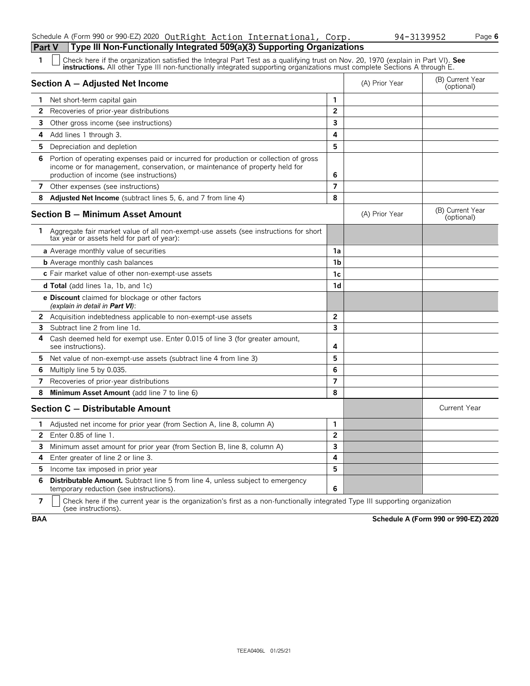# Schedule A (Form 990 or 990-EZ) 2020 OutRight Action International, Corp. 94-3139952 Page **6**

# **Part V Type III Non-Functionally Integrated 509(a)(3) Supporting Organizations**<br>**1**  $\Box$  Check has if the examization setisfied the Integral Part Test as a qualifying trust on Nov. 20

| 1            | Check here if the organization satisfied the Integral Part Test as a qualifying trust on Nov. 20, 1970 (explain in Part VI). See<br><b>instructions.</b> All other Type III non-functionally integrated supporting organizations must complete Sections A through E. |                         |                |                                |
|--------------|----------------------------------------------------------------------------------------------------------------------------------------------------------------------------------------------------------------------------------------------------------------------|-------------------------|----------------|--------------------------------|
|              | Section A - Adjusted Net Income                                                                                                                                                                                                                                      |                         | (A) Prior Year | (B) Current Year<br>(optional) |
| 1.           | Net short-term capital gain                                                                                                                                                                                                                                          | 1                       |                |                                |
| 2            | Recoveries of prior-year distributions                                                                                                                                                                                                                               | $\overline{2}$          |                |                                |
| 3.           | Other gross income (see instructions)                                                                                                                                                                                                                                | $\overline{\mathbf{3}}$ |                |                                |
| 4            | Add lines 1 through 3.                                                                                                                                                                                                                                               | 4                       |                |                                |
| 5.           | Depreciation and depletion                                                                                                                                                                                                                                           | 5                       |                |                                |
| 6            | Portion of operating expenses paid or incurred for production or collection of gross<br>income or for management, conservation, or maintenance of property held for<br>production of income (see instructions)                                                       | 6                       |                |                                |
|              | 7 Other expenses (see instructions)                                                                                                                                                                                                                                  | $\overline{7}$          |                |                                |
| 8            | <b>Adjusted Net Income</b> (subtract lines 5, 6, and 7 from line 4)                                                                                                                                                                                                  | 8                       |                |                                |
|              | <b>Section B - Minimum Asset Amount</b>                                                                                                                                                                                                                              |                         | (A) Prior Year | (B) Current Year<br>(optional) |
| 1.           | Aggregate fair market value of all non-exempt-use assets (see instructions for short<br>tax year or assets held for part of year):                                                                                                                                   |                         |                |                                |
|              | a Average monthly value of securities                                                                                                                                                                                                                                | 1a                      |                |                                |
|              | <b>b</b> Average monthly cash balances                                                                                                                                                                                                                               | 1 <sub>b</sub>          |                |                                |
|              | c Fair market value of other non-exempt-use assets                                                                                                                                                                                                                   | 1 <sub>c</sub>          |                |                                |
|              | <b>d Total</b> (add lines 1a, 1b, and 1c)                                                                                                                                                                                                                            | 1 <sub>d</sub>          |                |                                |
|              | <b>e Discount</b> claimed for blockage or other factors<br>(explain in detail in <b>Part VI</b> ):                                                                                                                                                                   |                         |                |                                |
|              | 2 Acquisition indebtedness applicable to non-exempt-use assets                                                                                                                                                                                                       | $\overline{2}$          |                |                                |
| 3            | Subtract line 2 from line 1d.                                                                                                                                                                                                                                        | 3                       |                |                                |
| 4            | Cash deemed held for exempt use. Enter 0.015 of line 3 (for greater amount,<br>see instructions).                                                                                                                                                                    | 4                       |                |                                |
| 5.           | Net value of non-exempt-use assets (subtract line 4 from line 3)                                                                                                                                                                                                     | 5                       |                |                                |
| 6            | Multiply line 5 by 0.035.                                                                                                                                                                                                                                            | 6                       |                |                                |
| 7            | Recoveries of prior-year distributions                                                                                                                                                                                                                               | $\overline{7}$          |                |                                |
| 8            | Minimum Asset Amount (add line 7 to line 6)                                                                                                                                                                                                                          | 8                       |                |                                |
|              | Section C - Distributable Amount                                                                                                                                                                                                                                     |                         |                | Current Year                   |
| 1.           | Adjusted net income for prior year (from Section A, line 8, column A)                                                                                                                                                                                                | 1                       |                |                                |
| $\mathbf{2}$ | Enter 0.85 of line 1.                                                                                                                                                                                                                                                | $\overline{2}$          |                |                                |
| 3            | Minimum asset amount for prior year (from Section B, line 8, column A)                                                                                                                                                                                               | 3                       |                |                                |
| 4            | Enter greater of line 2 or line 3.                                                                                                                                                                                                                                   | 4                       |                |                                |
| 5.           | Income tax imposed in prior year                                                                                                                                                                                                                                     | 5                       |                |                                |
| 6            | Distributable Amount. Subtract line 5 from line 4, unless subject to emergency<br>temporary reduction (see instructions).                                                                                                                                            | 6                       |                |                                |

**7**  $\mid$  Check here if the current year is the organization's first as a non-functionally integrated Type III supporting organization (see instructions).

**BAA Schedule A (Form 990 or 990-EZ) 2020**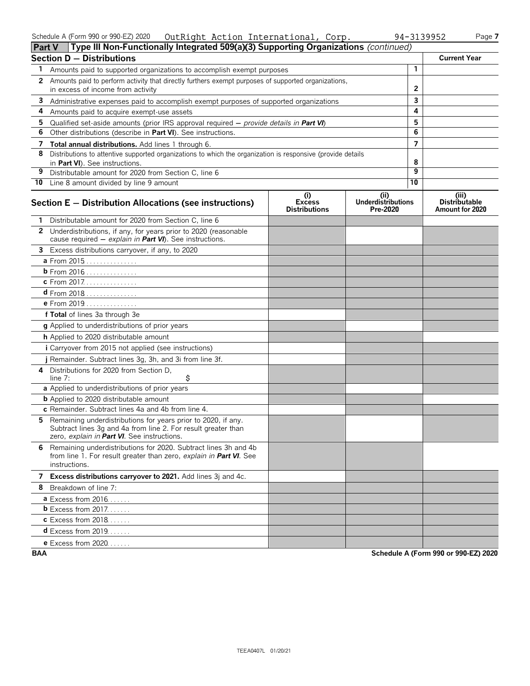### Schedule A (Form 990 or 990-EZ) 2020 Page **7** OutRight Action International, Corp. 94-3139952

| 3139952 | Page |
|---------|------|
|         |      |

| <b>Part V</b>                    | Type III Non-Functionally Integrated 509(a)(3) Supporting Organizations $\it (continued)$                                                                                     |                                              |                                               |                 |                                                  |
|----------------------------------|-------------------------------------------------------------------------------------------------------------------------------------------------------------------------------|----------------------------------------------|-----------------------------------------------|-----------------|--------------------------------------------------|
| <b>Section D - Distributions</b> |                                                                                                                                                                               | <b>Current Year</b>                          |                                               |                 |                                                  |
| 1.                               | Amounts paid to supported organizations to accomplish exempt purposes                                                                                                         |                                              |                                               | $\mathbf{1}$    |                                                  |
| 2                                | Amounts paid to perform activity that directly furthers exempt purposes of supported organizations,<br>in excess of income from activity                                      |                                              |                                               | $\overline{2}$  |                                                  |
| 3                                | Administrative expenses paid to accomplish exempt purposes of supported organizations                                                                                         |                                              | 3                                             |                 |                                                  |
| 4                                | Amounts paid to acquire exempt-use assets                                                                                                                                     |                                              |                                               | 4               |                                                  |
| 5                                | Qualified set-aside amounts (prior IRS approval required $-$ provide details in Part VI)                                                                                      |                                              |                                               | 5               |                                                  |
| 6                                | Other distributions (describe in Part VI). See instructions.                                                                                                                  |                                              |                                               | 6               |                                                  |
| 7                                | <b>Total annual distributions.</b> Add lines 1 through 6.                                                                                                                     |                                              |                                               | $\overline{7}$  |                                                  |
| 8                                | Distributions to attentive supported organizations to which the organization is responsive (provide details<br>in Part VI). See instructions.                                 |                                              |                                               | 8               |                                                  |
| 9                                | Distributable amount for 2020 from Section C, line 6                                                                                                                          |                                              |                                               | 9               |                                                  |
|                                  | 10 Line 8 amount divided by line 9 amount                                                                                                                                     |                                              |                                               | $\overline{10}$ |                                                  |
|                                  | Section E - Distribution Allocations (see instructions)                                                                                                                       | (i)<br><b>Excess</b><br><b>Distributions</b> | (ii)<br><b>Underdistributions</b><br>Pre-2020 |                 | (iii)<br><b>Distributable</b><br>Amount for 2020 |
|                                  | Distributable amount for 2020 from Section C, line 6                                                                                                                          |                                              |                                               |                 |                                                  |
|                                  | 2 Underdistributions, if any, for years prior to 2020 (reasonable<br>cause required $-$ explain in <b>Part VI</b> ). See instructions.                                        |                                              |                                               |                 |                                                  |
|                                  | 3 Excess distributions carryover, if any, to 2020                                                                                                                             |                                              |                                               |                 |                                                  |
|                                  | a From 2015                                                                                                                                                                   |                                              |                                               |                 |                                                  |
|                                  | b From 2016                                                                                                                                                                   |                                              |                                               |                 |                                                  |
|                                  | c From 2017.                                                                                                                                                                  |                                              |                                               |                 |                                                  |
|                                  | $d$ From 2018                                                                                                                                                                 |                                              |                                               |                 |                                                  |
|                                  | e From 2019                                                                                                                                                                   |                                              |                                               |                 |                                                  |
|                                  | f Total of lines 3a through 3e                                                                                                                                                |                                              |                                               |                 |                                                  |
|                                  | g Applied to underdistributions of prior years                                                                                                                                |                                              |                                               |                 |                                                  |
|                                  | h Applied to 2020 distributable amount                                                                                                                                        |                                              |                                               |                 |                                                  |
|                                  | i Carryover from 2015 not applied (see instructions)                                                                                                                          |                                              |                                               |                 |                                                  |
|                                  | j Remainder. Subtract lines 3g, 3h, and 3i from line 3f.                                                                                                                      |                                              |                                               |                 |                                                  |
| 4                                | Distributions for 2020 from Section D,<br>\$<br>line $7:$                                                                                                                     |                                              |                                               |                 |                                                  |
|                                  | a Applied to underdistributions of prior years                                                                                                                                |                                              |                                               |                 |                                                  |
|                                  | <b>b</b> Applied to 2020 distributable amount                                                                                                                                 |                                              |                                               |                 |                                                  |
|                                  | c Remainder. Subtract lines 4a and 4b from line 4.                                                                                                                            |                                              |                                               |                 |                                                  |
| 5.                               | Remaining underdistributions for years prior to 2020, if any.<br>Subtract lines 3g and 4a from line 2. For result greater than<br>zero, explain in Part VI. See instructions. |                                              |                                               |                 |                                                  |
|                                  | 6 Remaining underdistributions for 2020. Subtract lines 3h and 4b<br>from line 1. For result greater than zero, explain in Part VI. See<br>instructions.                      |                                              |                                               |                 |                                                  |
|                                  | 7 Excess distributions carryover to 2021. Add lines 3j and 4c.                                                                                                                |                                              |                                               |                 |                                                  |
|                                  | 8 Breakdown of line 7:                                                                                                                                                        |                                              |                                               |                 |                                                  |
|                                  | <b>a</b> Excess from $2016$                                                                                                                                                   |                                              |                                               |                 |                                                  |
|                                  | <b>b</b> Excess from 2017.                                                                                                                                                    |                                              |                                               |                 |                                                  |
|                                  | <b>c</b> Excess from 2018                                                                                                                                                     |                                              |                                               |                 |                                                  |
|                                  | <b>d</b> Excess from 2019                                                                                                                                                     |                                              |                                               |                 |                                                  |
|                                  | <b>e</b> Excess from 2020                                                                                                                                                     |                                              |                                               |                 |                                                  |

**BAA Schedule A (Form 990 or 990-EZ) 2020**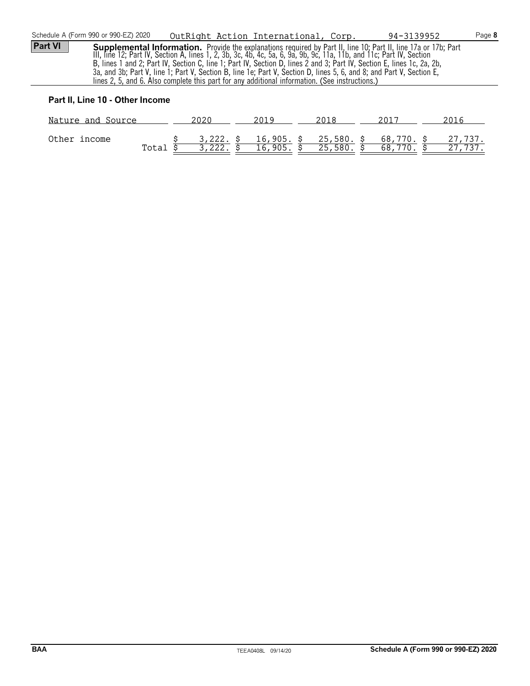|                | Schedule A (Form 990 or 990-EZ) 2020 | OutRight Action International, Corp.                                                                                                                                                                                                                                                                                                             |  | 94-3139952                                                                                                                                                                                                                             | Page 8 |
|----------------|--------------------------------------|--------------------------------------------------------------------------------------------------------------------------------------------------------------------------------------------------------------------------------------------------------------------------------------------------------------------------------------------------|--|----------------------------------------------------------------------------------------------------------------------------------------------------------------------------------------------------------------------------------------|--------|
| <b>Part VI</b> |                                      | B, lines 1 and 2; Part IV, Section C, line 1; Part IV, Section D, lines 2 and 3; Part IV, Section E, lines 1c, 2a, 2b,<br>3a, and 3b; Part V, line 1; Part V, Section B, line 1e; Part V, Section D, lines 5, 6, and 8; and Part V, Section E,<br>lines 2, 5, and 6. Also complete this part for any additional information. (See instructions.) |  | <b>Supplemental Information.</b> Provide the explanations required by Part II, line 10; Part II, line 17a or 17b; Part<br>III, line 12; Part IV, Section A, lines 1, 2, 3b, 3c, 4b, 4c, 5a, 6, 9a, 9b, 9c, 11a, 11b, and 11c; Part IV, |        |
|                |                                      |                                                                                                                                                                                                                                                                                                                                                  |  |                                                                                                                                                                                                                                        |        |

# **Part II, Line 10 - Other Income**

| Nature and Source |       |                       |                       | ንበ1 ጸ                 | 2011             |                    |
|-------------------|-------|-----------------------|-----------------------|-----------------------|------------------|--------------------|
| Other income      | Total | $3,222.$ \$<br>3,222. | 16,905. \$<br>16,905. | 25,580. \$<br>25,580. | 68,770. \$<br>68 | 27,737.<br>27,737. |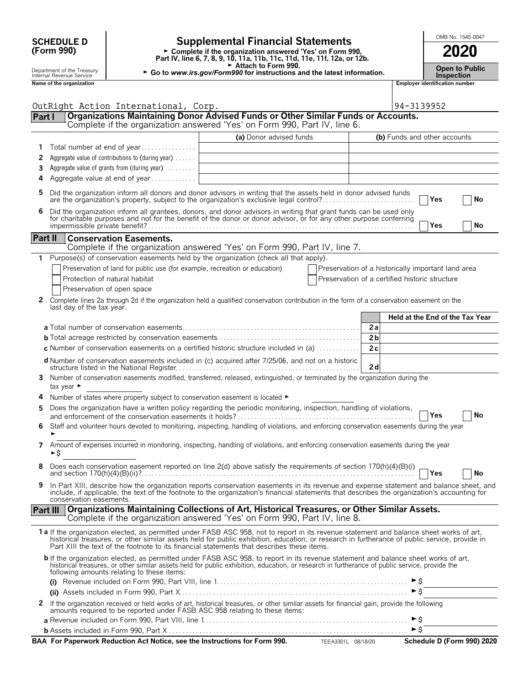| <b>SCHEDULE D</b>                                                                           |                                                                                  | <b>Supplemental Financial Statements</b>                                                                                                                                                                                                                                                                                                                                                |                                                    |                     | OMB No. 1545-0047                          |
|---------------------------------------------------------------------------------------------|----------------------------------------------------------------------------------|-----------------------------------------------------------------------------------------------------------------------------------------------------------------------------------------------------------------------------------------------------------------------------------------------------------------------------------------------------------------------------------------|----------------------------------------------------|---------------------|--------------------------------------------|
| (Form 990)                                                                                  |                                                                                  | ► Complete if the organization answered 'Yes' on Form 990,<br>Part IV, line 6, 7, 8, 9, 10, 11a, 11b, 11c, 11d, 11e, 11f, 12a, or 12b.                                                                                                                                                                                                                                                  |                                                    |                     | 2020                                       |
| Department of the Treasury<br>Internal Revenue Service                                      |                                                                                  | Attach to Form 990.<br>► Go to www.irs.gov/Form990 for instructions and the latest information.                                                                                                                                                                                                                                                                                         |                                                    |                     | <b>Open to Public</b><br><b>Inspection</b> |
| Name of the organization                                                                    |                                                                                  |                                                                                                                                                                                                                                                                                                                                                                                         |                                                    |                     | Employer identification number             |
|                                                                                             | OutRight Action International, Corp.                                             |                                                                                                                                                                                                                                                                                                                                                                                         |                                                    | 94-3139952          |                                            |
| Organizations Maintaining Donor Advised Funds or Other Similar Funds or Accounts.<br>Part I |                                                                                  |                                                                                                                                                                                                                                                                                                                                                                                         |                                                    |                     |                                            |
|                                                                                             |                                                                                  | Complete if the organization answered 'Yes' on Form 990, Part IV, line 6.                                                                                                                                                                                                                                                                                                               |                                                    |                     |                                            |
|                                                                                             |                                                                                  | (a) Donor advised funds                                                                                                                                                                                                                                                                                                                                                                 |                                                    |                     | (b) Funds and other accounts               |
| 1.<br>2                                                                                     | Total number at end of year<br>Aggregate value of contributions to (during year) |                                                                                                                                                                                                                                                                                                                                                                                         |                                                    |                     |                                            |
| 3.                                                                                          | Aggregate value of grants from (during year)                                     |                                                                                                                                                                                                                                                                                                                                                                                         |                                                    |                     |                                            |
| 4                                                                                           | Aggregate value at end of year                                                   |                                                                                                                                                                                                                                                                                                                                                                                         |                                                    |                     |                                            |
| 5                                                                                           |                                                                                  | Did the organization inform all donors and donor advisors in writing that the assets held in donor advised funds<br>are the organization's property, subject to the organization's exclusive legal control?                                                                                                                                                                             |                                                    |                     | No<br>Yes                                  |
| 6                                                                                           |                                                                                  | Did the organization inform all grantees, donors, and donor advisors in writing that grant funds can be used only<br>for charitable purposes and not for the benefit of the donor or donor advisor, or for any other purpose conf                                                                                                                                                       |                                                    |                     | Yes<br>No                                  |
| Part II                                                                                     | <b>Conservation Easements.</b>                                                   |                                                                                                                                                                                                                                                                                                                                                                                         |                                                    |                     |                                            |
|                                                                                             |                                                                                  | Complete if the organization answered 'Yes' on Form 990, Part IV, line 7.                                                                                                                                                                                                                                                                                                               |                                                    |                     |                                            |
|                                                                                             |                                                                                  | 1 Purpose(s) of conservation easements held by the organization (check all that apply).                                                                                                                                                                                                                                                                                                 |                                                    |                     |                                            |
|                                                                                             | Preservation of land for public use (for example, recreation or education)       |                                                                                                                                                                                                                                                                                                                                                                                         | Preservation of a historically important land area |                     |                                            |
|                                                                                             | Protection of natural habitat                                                    |                                                                                                                                                                                                                                                                                                                                                                                         | Preservation of a certified historic structure     |                     |                                            |
|                                                                                             | Preservation of open space                                                       |                                                                                                                                                                                                                                                                                                                                                                                         |                                                    |                     |                                            |
| last day of the tax year.                                                                   |                                                                                  | 2 Complete lines 2a through 2d if the organization held a qualified conservation contribution in the form of a conservation easement on the                                                                                                                                                                                                                                             |                                                    |                     |                                            |
|                                                                                             |                                                                                  |                                                                                                                                                                                                                                                                                                                                                                                         |                                                    |                     | Held at the End of the Tax Year            |
|                                                                                             |                                                                                  |                                                                                                                                                                                                                                                                                                                                                                                         | 2a                                                 |                     |                                            |
|                                                                                             |                                                                                  | c Number of conservation easements on a certified historic structure included in (a)                                                                                                                                                                                                                                                                                                    | 2 <sub>b</sub><br>2c                               |                     |                                            |
|                                                                                             |                                                                                  |                                                                                                                                                                                                                                                                                                                                                                                         |                                                    |                     |                                            |
|                                                                                             |                                                                                  | d Number of conservation easements included in (c) acquired after 7/25/06, and not on a historic                                                                                                                                                                                                                                                                                        | 2d                                                 |                     |                                            |
| tax year ►                                                                                  |                                                                                  | 3 Number of conservation easements modified, transferred, released, extinguished, or terminated by the organization during the                                                                                                                                                                                                                                                          |                                                    |                     |                                            |
|                                                                                             | 4 Number of states where property subject to conservation easement is located ►  |                                                                                                                                                                                                                                                                                                                                                                                         |                                                    |                     |                                            |
|                                                                                             |                                                                                  | Does the organization have a written policy regarding the periodic monitoring, inspection, handling of violations,                                                                                                                                                                                                                                                                      |                                                    |                     | Yes<br>No                                  |
| ٠                                                                                           |                                                                                  | 6 Staff and volunteer hours devoted to monitoring, inspecting, handling of violations, and enforcing conservation easements during the year                                                                                                                                                                                                                                             |                                                    |                     |                                            |
| ►\$                                                                                         |                                                                                  | 7 Amount of expenses incurred in monitoring, inspecting, handling of violations, and enforcing conservation easements during the year                                                                                                                                                                                                                                                   |                                                    |                     |                                            |
|                                                                                             |                                                                                  | Does each conservation easement reported on line 2(d) above satisfy the requirements of section 170(h)(4)(B)(i)<br>and section $170(h)(4)(B)(ii)$ ?                                                                                                                                                                                                                                     |                                                    |                     | Yes<br>No                                  |
| 9<br>conservation easements.                                                                |                                                                                  | In Part XIII, describe how the organization reports conservation easements in its revenue and expense statement and balance sheet, and<br>include, if applicable, the text of the footnote to the organization's financial statements that describes the organization's accounting for                                                                                                  |                                                    |                     |                                            |
| Part III                                                                                    |                                                                                  | Organizations Maintaining Collections of Art, Historical Treasures, or Other Similar Assets.<br>Complete if the organization answered 'Yes' on Form 990, Part IV, line 8.                                                                                                                                                                                                               |                                                    |                     |                                            |
|                                                                                             |                                                                                  | 1 a If the organization elected, as permitted under FASB ASC 958, not to report in its revenue statement and balance sheet works of art,<br>historical treasures, or other similar assets held for public exhibition, education, or research in furtherance of public service, provide in<br>Part XIII the text of the footnote to its financial statements that describes these items. |                                                    |                     |                                            |
|                                                                                             | following amounts relating to these items:                                       | <b>b</b> If the organization elected, as permitted under FASB ASC 958, to report in its revenue statement and balance sheet works of art,<br>historical treasures, or other similar assets held for public exhibition, education, or research in furtherance of public service, provide the                                                                                             |                                                    |                     |                                            |
|                                                                                             |                                                                                  |                                                                                                                                                                                                                                                                                                                                                                                         |                                                    |                     |                                            |
|                                                                                             |                                                                                  |                                                                                                                                                                                                                                                                                                                                                                                         |                                                    | $\triangleright$ \$ |                                            |
| 2                                                                                           |                                                                                  | If the organization received or held works of art, historical treasures, or other similar assets for financial gain, provide the following<br>amounts required to be reported under FASB ASC 958 relating to these items:                                                                                                                                                               |                                                    |                     |                                            |
|                                                                                             |                                                                                  |                                                                                                                                                                                                                                                                                                                                                                                         |                                                    | ►Ŝ                  |                                            |

| <b>b</b> Assets included in Form 990. Part X.                              |                    |                            |
|----------------------------------------------------------------------------|--------------------|----------------------------|
| BAA For Paperwork Reduction Act Notice, see the Instructions for Form 990. | TEEA3301L 08/18/20 | Schedule D (Form 990) 2020 |

 $\overline{\phantom{a}}$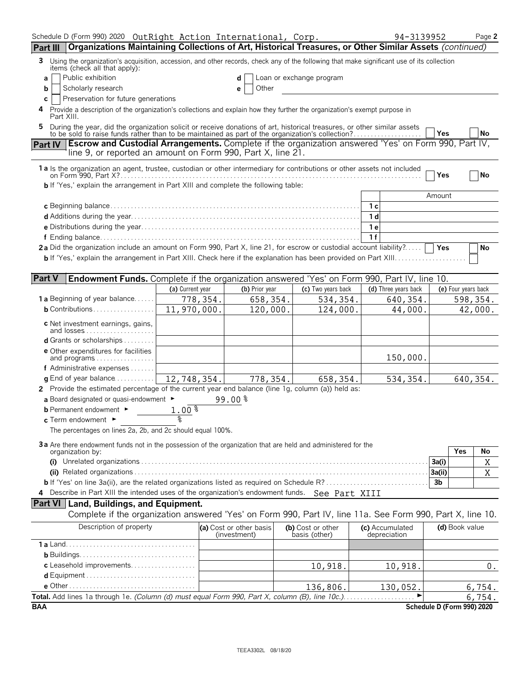| Schedule D (Form 990) 2020 OutRight Action International, Corp.                                                                                                                              |                  |                                         |                                    | 94-3139952                      | Page 2                     |
|----------------------------------------------------------------------------------------------------------------------------------------------------------------------------------------------|------------------|-----------------------------------------|------------------------------------|---------------------------------|----------------------------|
| Organizations Maintaining Collections of Art, Historical Treasures, or Other Similar Assets (continued)<br><b>Part III</b>                                                                   |                  |                                         |                                    |                                 |                            |
| Using the organization's acquisition, accession, and other records, check any of the following that make significant use of its collection<br>3.<br>items (check all that apply):            |                  |                                         |                                    |                                 |                            |
| Public exhibition<br>a                                                                                                                                                                       |                  |                                         | Loan or exchange program           |                                 |                            |
| Scholarly research<br>b                                                                                                                                                                      |                  | Other<br>е                              |                                    |                                 |                            |
| Preservation for future generations<br>C                                                                                                                                                     |                  |                                         |                                    |                                 |                            |
| Provide a description of the organization's collections and explain how they further the organization's exempt purpose in<br>4<br>Part XIII.                                                 |                  |                                         |                                    |                                 |                            |
| During the year, did the organization solicit or receive donations of art, historical treasures, or other similar assets<br>5                                                                |                  |                                         |                                    |                                 |                            |
| to be sold to raise funds rather than to be maintained as part of the organization's collection?                                                                                             |                  |                                         |                                    |                                 | <b>No</b><br>Yes           |
| <b>Escrow and Custodial Arrangements.</b> Complete if the organization answered 'Yes' on Form 990, Part IV,<br><b>Part IV</b><br>line 9, or reported an amount on Form 990, Part X, line 21. |                  |                                         |                                    |                                 |                            |
| 1a Is the organization an agent, trustee, custodian or other intermediary for contributions or other assets not included                                                                     |                  |                                         |                                    |                                 | Yes<br>No                  |
| <b>b</b> If 'Yes,' explain the arrangement in Part XIII and complete the following table:                                                                                                    |                  |                                         |                                    |                                 |                            |
|                                                                                                                                                                                              |                  |                                         |                                    |                                 | Amount                     |
|                                                                                                                                                                                              |                  |                                         |                                    | 1 <sub>c</sub>                  |                            |
|                                                                                                                                                                                              |                  |                                         |                                    | 1 d                             |                            |
|                                                                                                                                                                                              |                  |                                         |                                    | 1 e                             |                            |
|                                                                                                                                                                                              |                  |                                         |                                    | 1f                              |                            |
| 2a Did the organization include an amount on Form 990, Part X, line 21, for escrow or custodial account liability?                                                                           |                  |                                         |                                    |                                 | Yes<br>No                  |
|                                                                                                                                                                                              |                  |                                         |                                    |                                 |                            |
|                                                                                                                                                                                              |                  |                                         |                                    |                                 |                            |
| <b>Part V</b><br>Endowment Funds. Complete if the organization answered 'Yes' on Form 990, Part IV, line 10.                                                                                 |                  |                                         |                                    |                                 |                            |
|                                                                                                                                                                                              | (a) Current year | (b) Prior year                          | (c) Two years back                 | (d) Three years back            | (e) Four years back        |
| <b>1 a</b> Beginning of year balance                                                                                                                                                         | 778,354.         | 658,354.                                | 534,354.                           | 640, 354.                       | 598,354.                   |
| $b$ Contributions                                                                                                                                                                            | 11,970,000.      | 120,000.                                | 124,000.                           | 44,000.                         | 42,000.                    |
| c Net investment earnings, gains,                                                                                                                                                            |                  |                                         |                                    |                                 |                            |
| and losses                                                                                                                                                                                   |                  |                                         |                                    |                                 |                            |
| <b>d</b> Grants or scholarships $\ldots$                                                                                                                                                     |                  |                                         |                                    |                                 |                            |
| <b>e</b> Other expenditures for facilities<br>and programs                                                                                                                                   |                  |                                         |                                    | 150,000.                        |                            |
| <b>f</b> Administrative expenses $\dots \dots$                                                                                                                                               |                  |                                         |                                    |                                 |                            |
| <b>g</b> End of year balance $\dots\dots\dots\dots$                                                                                                                                          | 12,748,354.      | 778,354.                                | 658,354.                           | 534,354.                        | 640, 354.                  |
| 2 Provide the estimated percentage of the current year end balance (line 1g, column (a)) held as:                                                                                            |                  |                                         |                                    |                                 |                            |
| a Board designated or quasi-endowment $\blacktriangleright$                                                                                                                                  |                  | 99.00%                                  |                                    |                                 |                            |
| <b>b</b> Permanent endowment $\blacktriangleright$                                                                                                                                           | 1.00%            |                                         |                                    |                                 |                            |
| $c$ Term endowment $\blacktriangleright$                                                                                                                                                     | ٥ř               |                                         |                                    |                                 |                            |
| The percentages on lines 2a, 2b, and 2c should equal 100%.                                                                                                                                   |                  |                                         |                                    |                                 |                            |
|                                                                                                                                                                                              |                  |                                         |                                    |                                 |                            |
| 3a Are there endowment funds not in the possession of the organization that are held and administered for the<br>organization by:                                                            |                  |                                         |                                    |                                 | Yes<br>No                  |
|                                                                                                                                                                                              |                  |                                         |                                    |                                 | X<br>3a(i)                 |
|                                                                                                                                                                                              |                  |                                         |                                    |                                 | $\mathbf X$<br>3a(ii)      |
|                                                                                                                                                                                              |                  |                                         |                                    |                                 | 3 <sub>b</sub>             |
| Describe in Part XIII the intended uses of the organization's endowment funds. See Part XIII<br>4                                                                                            |                  |                                         |                                    |                                 |                            |
| <b>Part VI</b> Land, Buildings, and Equipment.                                                                                                                                               |                  |                                         |                                    |                                 |                            |
| Complete if the organization answered 'Yes' on Form 990, Part IV, line 11a. See Form 990, Part X, line 10.                                                                                   |                  |                                         |                                    |                                 |                            |
|                                                                                                                                                                                              |                  |                                         |                                    |                                 |                            |
| Description of property                                                                                                                                                                      |                  | (a) Cost or other basis<br>(investment) | (b) Cost or other<br>basis (other) | (c) Accumulated<br>depreciation | (d) Book value             |
|                                                                                                                                                                                              |                  |                                         |                                    |                                 |                            |
|                                                                                                                                                                                              |                  |                                         |                                    |                                 |                            |
| c Leasehold improvements                                                                                                                                                                     |                  |                                         | 10,918.                            | 10,918.                         | $0$ .                      |
|                                                                                                                                                                                              |                  |                                         |                                    |                                 |                            |
|                                                                                                                                                                                              |                  |                                         | 136,806.                           | 130,052.                        | 6,754.                     |
|                                                                                                                                                                                              |                  |                                         |                                    |                                 | 6,754.                     |
| <b>BAA</b>                                                                                                                                                                                   |                  |                                         |                                    |                                 | Schedule D (Form 990) 2020 |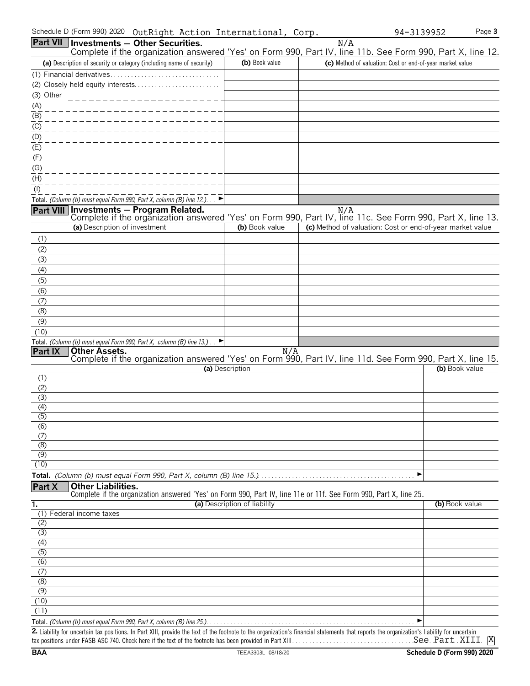| Schedule D (Form 990) 2020 | OutRight Action International, | Corp. | 94-3139952 | Page 3 |
|----------------------------|--------------------------------|-------|------------|--------|
|----------------------------|--------------------------------|-------|------------|--------|

|                         | Part VII   Investments - Other Securities.                                                                                                                                         |                              | N/A                                                       |                |
|-------------------------|------------------------------------------------------------------------------------------------------------------------------------------------------------------------------------|------------------------------|-----------------------------------------------------------|----------------|
|                         | Complete if the organization answered 'Yes' on Form 990, Part IV, line 11b. See Form 990, Part X, line 12.<br>(a) Description of security or category (including name of security) | (b) Book value               | (c) Method of valuation: Cost or end-of-year market value |                |
|                         |                                                                                                                                                                                    |                              |                                                           |                |
|                         |                                                                                                                                                                                    |                              |                                                           |                |
| (3) Other               |                                                                                                                                                                                    |                              |                                                           |                |
| (A)                     |                                                                                                                                                                                    |                              |                                                           |                |
| (B)                     |                                                                                                                                                                                    |                              |                                                           |                |
| (C)                     |                                                                                                                                                                                    |                              |                                                           |                |
| (D)                     |                                                                                                                                                                                    |                              |                                                           |                |
| (E)                     |                                                                                                                                                                                    |                              |                                                           |                |
| (F)                     |                                                                                                                                                                                    |                              |                                                           |                |
| (G)                     |                                                                                                                                                                                    |                              |                                                           |                |
| (H)                     |                                                                                                                                                                                    |                              |                                                           |                |
| $($ l $)$               |                                                                                                                                                                                    |                              |                                                           |                |
|                         | Total. (Column (b) must equal Form 990, Part X, column (B) line 12.). $\Box$                                                                                                       |                              |                                                           |                |
|                         | Part VIII Investments - Program Related.                                                                                                                                           |                              | N/A                                                       |                |
|                         | Complete if the organization answered 'Yes' on Form 990, Part IV, line 11c. See Form 990, Part X, line 13.<br>(a) Description of investment                                        | (b) Book value               | (c) Method of valuation: Cost or end-of-year market value |                |
|                         |                                                                                                                                                                                    |                              |                                                           |                |
| (1)                     |                                                                                                                                                                                    |                              |                                                           |                |
| (2)<br>(3)              |                                                                                                                                                                                    |                              |                                                           |                |
| (4)                     |                                                                                                                                                                                    |                              |                                                           |                |
| (5)                     |                                                                                                                                                                                    |                              |                                                           |                |
| (6)                     |                                                                                                                                                                                    |                              |                                                           |                |
| (7)                     |                                                                                                                                                                                    |                              |                                                           |                |
| (8)                     |                                                                                                                                                                                    |                              |                                                           |                |
| (9)                     |                                                                                                                                                                                    |                              |                                                           |                |
| (10)                    |                                                                                                                                                                                    |                              |                                                           |                |
|                         | Total. (Column (b) must equal Form 990, Part X, column (B) line 13.) $\Box$                                                                                                        |                              |                                                           |                |
| Part IX                 | Other Assets.<br>Complete if the organization answered 'Yes' on Form 990, Part IV, line 11d. See Form 990, Part X, line 15.                                                        |                              |                                                           |                |
|                         |                                                                                                                                                                                    | (a) Description              |                                                           | (b) Book value |
| (1)                     |                                                                                                                                                                                    |                              |                                                           |                |
| (2)                     |                                                                                                                                                                                    |                              |                                                           |                |
| (3)                     |                                                                                                                                                                                    |                              |                                                           |                |
| (4)<br>(5)              |                                                                                                                                                                                    |                              |                                                           |                |
| (6)                     |                                                                                                                                                                                    |                              |                                                           |                |
| (7)                     |                                                                                                                                                                                    |                              |                                                           |                |
| (8)                     |                                                                                                                                                                                    |                              |                                                           |                |
| (9)                     |                                                                                                                                                                                    |                              |                                                           |                |
| (10)                    |                                                                                                                                                                                    |                              |                                                           |                |
|                         |                                                                                                                                                                                    |                              | ▶                                                         |                |
| Part X                  | <b>Other Liabilities.</b><br>Complete if the organization answered 'Yes' on Form 990, Part IV, line 11e or 11f. See Form 990, Part X, line 25.                                     |                              |                                                           |                |
| 1.                      |                                                                                                                                                                                    | (a) Description of liability |                                                           | (b) Book value |
|                         | (1) Federal income taxes                                                                                                                                                           |                              |                                                           |                |
| (2)                     |                                                                                                                                                                                    |                              |                                                           |                |
| (3)                     |                                                                                                                                                                                    |                              |                                                           |                |
| $\overline{(4)}$        |                                                                                                                                                                                    |                              |                                                           |                |
| $\overline{(5)}$<br>(6) |                                                                                                                                                                                    |                              |                                                           |                |
| (7)                     |                                                                                                                                                                                    |                              |                                                           |                |
| (8)                     |                                                                                                                                                                                    |                              |                                                           |                |
| (9)                     |                                                                                                                                                                                    |                              |                                                           |                |
| (10)                    |                                                                                                                                                                                    |                              |                                                           |                |
| (11)                    |                                                                                                                                                                                    |                              |                                                           |                |
|                         |                                                                                                                                                                                    |                              |                                                           |                |

**2.** Liability for uncertain tax positions. In Part XIII, provide the text of the footnote to the organization's financial statements that reports the organization's liability for uncertain tax positions under FASB ASC 740. Check here if the text of the footnote has been provided in Part XIII. . . . . . . . . . . . . . . . . . . . . . . . . . . . . . . . . . . . . . . . . . . . . . . . . . . . . . . . See Part XIII X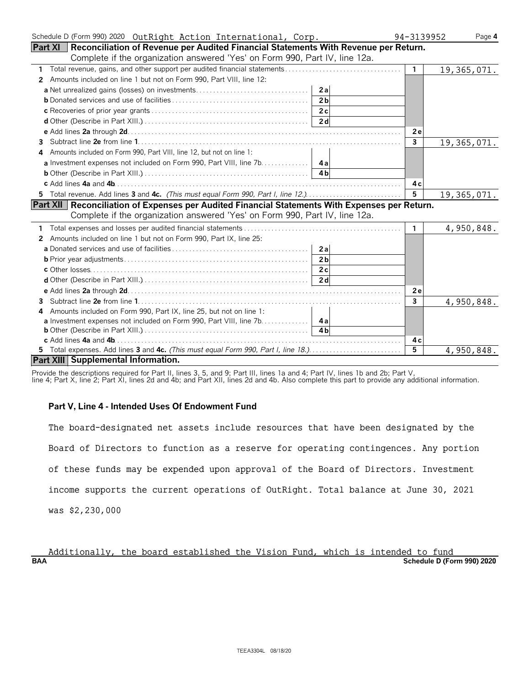| Schedule D (Form 990) 2020 OutRight Action International, Corp.                                  | 94-3139952      | Page 4      |
|--------------------------------------------------------------------------------------------------|-----------------|-------------|
| Part XI   Reconciliation of Revenue per Audited Financial Statements With Revenue per Return.    |                 |             |
| Complete if the organization answered 'Yes' on Form 990, Part IV, line 12a.                      |                 |             |
| 1                                                                                                | $\mathbf{1}$    | 19,365,071. |
| 2 Amounts included on line 1 but not on Form 990, Part VIII, line 12:                            |                 |             |
| 2al                                                                                              |                 |             |
| 2 <sub>h</sub>                                                                                   |                 |             |
| 2c                                                                                               |                 |             |
| 2d                                                                                               |                 |             |
|                                                                                                  | 2e              |             |
| 3.                                                                                               | $\mathbf{3}$    | 19,365,071. |
| Amounts included on Form 990, Part VIII, line 12, but not on line 1:<br>4                        |                 |             |
| a Investment expenses not included on Form 990, Part VIII, line 7b. 4a                           |                 |             |
|                                                                                                  |                 |             |
|                                                                                                  | 4 c             |             |
|                                                                                                  | $5\phantom{.0}$ | 19,365,071. |
| Part XII   Reconciliation of Expenses per Audited Financial Statements With Expenses per Return. |                 |             |
| Complete if the organization answered 'Yes' on Form 990, Part IV, line 12a.                      |                 |             |
|                                                                                                  | $\mathbf{1}$    | 4,950,848.  |
| Amounts included on line 1 but not on Form 990, Part IX, line 25:<br>$\mathbf{2}$                |                 |             |
| 2a                                                                                               |                 |             |
| 2 <sub>b</sub>                                                                                   |                 |             |
| 2c                                                                                               |                 |             |
|                                                                                                  |                 |             |
|                                                                                                  | 2e              |             |
| 3                                                                                                | 3               | 4,950,848.  |
| Amounts included on Form 990, Part IX, line 25, but not on line 1:<br>4                          |                 |             |
| a Investment expenses not included on Form 990, Part VIII, line 7b. 4a                           |                 |             |
| 4h                                                                                               |                 |             |
|                                                                                                  | 4с              |             |
| 5 Total expenses. Add lines 3 and 4c. (This must equal Form 990, Part I, line 18.). $\ldots$ .   | 5               | 4,950,848.  |
| Part XIII Supplemental Information.                                                              |                 |             |

Provide the descriptions required for Part II, lines 3, 5, and 9; Part III, lines 1a and 4; Part IV, lines 1b and 2b; Part V,

# line 4; Part X, line 2; Part XI, lines 2d and 4b; and Part XII, lines 2d and 4b. Also complete this part to provide any additional information.

# **Part V, Line 4 - Intended Uses Of Endowment Fund**

| The board-designated net assets include resources that have been designated by the  |
|-------------------------------------------------------------------------------------|
| Board of Directors to function as a reserve for operating contingences. Any portion |
| of these funds may be expended upon approval of the Board of Directors. Investment  |
| income supports the current operations of OutRight. Total balance at June 30, 2021  |
| was \$2,230,000                                                                     |

**BAA Schedule D (Form 990) 2020** Additionally, the board established the Vision Fund, which is intended to fund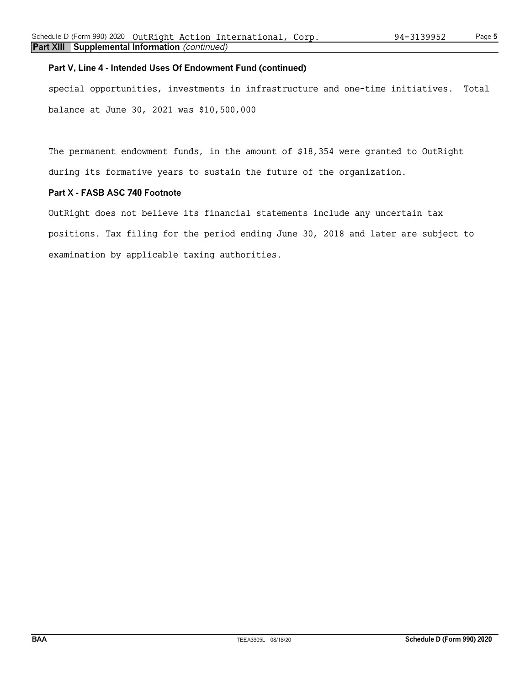# **Part V, Line 4 - Intended Uses Of Endowment Fund (continued)**

special opportunities, investments in infrastructure and one-time initiatives. Total balance at June 30, 2021 was \$10,500,000

The permanent endowment funds, in the amount of \$18,354 were granted to OutRight during its formative years to sustain the future of the organization.

# **Part X - FASB ASC 740 Footnote**

OutRight does not believe its financial statements include any uncertain tax positions. Tax filing for the period ending June 30, 2018 and later are subject to examination by applicable taxing authorities.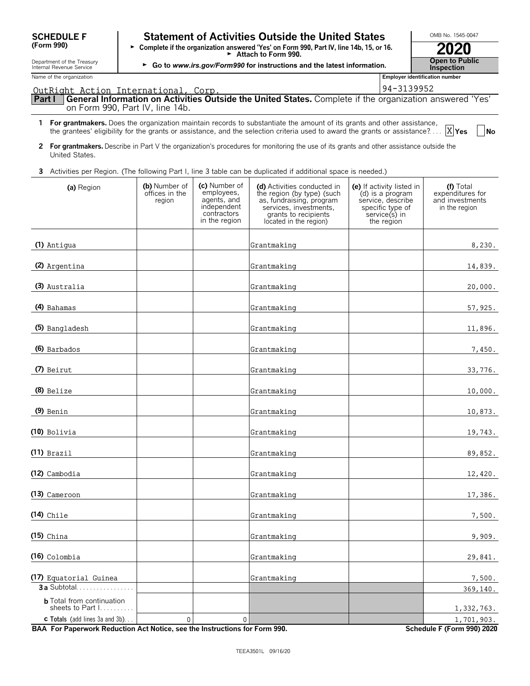| <b>SCHEDULE F</b> |  |
|-------------------|--|
| (Form 990)        |  |

# **Statement of Activities Outside the United States LECTIONB No. 1545-0047**

**(Form 990)** G **Complete if the organization answered 'Yes' on Form 990, Part IV, line 14b, 15, or 16.** <sup>G</sup>**Attach to Form 990. 2020**

| <b>Inspection</b>            |
|------------------------------|
| plover identification number |

| Department of the Treasury<br>Internal Revenue Service |                                           |                                                                                           | ► Go to www.irs.gov/Form990 for instructions and the latest information.                                                                                                                                                                                   |                                                                                                                       | <b>Open to Public</b><br><b>Inspection</b>                          |
|--------------------------------------------------------|-------------------------------------------|-------------------------------------------------------------------------------------------|------------------------------------------------------------------------------------------------------------------------------------------------------------------------------------------------------------------------------------------------------------|-----------------------------------------------------------------------------------------------------------------------|---------------------------------------------------------------------|
| Name of the organization                               |                                           |                                                                                           |                                                                                                                                                                                                                                                            |                                                                                                                       | Employer identification number                                      |
| OutRight Action International, Corp.                   |                                           |                                                                                           |                                                                                                                                                                                                                                                            | 94-3139952                                                                                                            |                                                                     |
| Part I<br>on Form 990, Part IV, line 14b.              |                                           |                                                                                           | General Information on Activities Outside the United States. Complete if the organization answered 'Yes'                                                                                                                                                   |                                                                                                                       |                                                                     |
|                                                        |                                           |                                                                                           | 1 For grantmakers. Does the organization maintain records to substantiate the amount of its grants and other assistance,<br>the grantees' eligibility for the grants or assistance, and the selection criteria used to award the grants or assistance? $X$ |                                                                                                                       | <b>No</b>                                                           |
| United States.                                         |                                           |                                                                                           | 2 For grantmakers. Describe in Part V the organization's procedures for monitoring the use of its grants and other assistance outside the                                                                                                                  |                                                                                                                       |                                                                     |
|                                                        |                                           |                                                                                           | 3 Activities per Region. (The following Part I, line 3 table can be duplicated if additional space is needed.)                                                                                                                                             |                                                                                                                       |                                                                     |
| (a) Region                                             | (b) Number of<br>offices in the<br>region | (c) Number of<br>employees,<br>agents, and<br>independent<br>contractors<br>in the region | (d) Activities conducted in<br>the region (by type) (such<br>as, fundraising, program<br>services, investments,<br>grants to recipients<br>located in the region)                                                                                          | (e) If activity listed in<br>(d) is a program<br>service, describe<br>specific type of<br>service(s) in<br>the region | $(f)$ Total<br>expenditures for<br>and investments<br>in the region |
| (1) Antigua                                            |                                           |                                                                                           | Grantmaking                                                                                                                                                                                                                                                |                                                                                                                       | 8,230.                                                              |
| (2) Argentina                                          |                                           |                                                                                           | Grantmaking                                                                                                                                                                                                                                                |                                                                                                                       | 14,839.                                                             |
| (3) Australia                                          |                                           |                                                                                           | Grantmaking                                                                                                                                                                                                                                                |                                                                                                                       | 20,000.                                                             |
| (4) Bahamas                                            |                                           |                                                                                           | Grantmaking                                                                                                                                                                                                                                                |                                                                                                                       | 57,925.                                                             |
| (5) Bangladesh                                         |                                           |                                                                                           | Grantmaking                                                                                                                                                                                                                                                |                                                                                                                       | 11,896.                                                             |
| (6) Barbados                                           |                                           |                                                                                           | Grantmaking                                                                                                                                                                                                                                                |                                                                                                                       | 7,450.                                                              |
| $(7)$ Beirut                                           |                                           |                                                                                           | Grantmaking                                                                                                                                                                                                                                                |                                                                                                                       | 33,776.                                                             |
| $(8)$ Belize                                           |                                           |                                                                                           | Grantmaking                                                                                                                                                                                                                                                |                                                                                                                       | 10,000.                                                             |
| $(9)$ Benin                                            |                                           |                                                                                           | Grantmaking                                                                                                                                                                                                                                                |                                                                                                                       | 10,873.                                                             |
| $(10)$ Bolivia                                         |                                           |                                                                                           | Grantmaking                                                                                                                                                                                                                                                |                                                                                                                       | 19,743.                                                             |
| $(11)$ Brazil                                          |                                           |                                                                                           | Grantmaking                                                                                                                                                                                                                                                |                                                                                                                       | 89,852.                                                             |
| $(12)$ Cambodia                                        |                                           |                                                                                           | Grantmaking                                                                                                                                                                                                                                                |                                                                                                                       | 12,420.                                                             |
| $(13)$ Cameroon                                        |                                           |                                                                                           | Grantmaking                                                                                                                                                                                                                                                |                                                                                                                       | 17,386.                                                             |
| $(14)$ Chile                                           |                                           |                                                                                           | Grantmaking                                                                                                                                                                                                                                                |                                                                                                                       | 7,500.                                                              |
| $(15)$ China                                           |                                           |                                                                                           | Grantmaking                                                                                                                                                                                                                                                |                                                                                                                       | 9,909.                                                              |
| $(16)$ Colombia                                        |                                           |                                                                                           | Grantmaking                                                                                                                                                                                                                                                |                                                                                                                       | 29,841.                                                             |
| (17) Equatorial Guinea<br>3 a Subtotal.                |                                           |                                                                                           | Grantmaking                                                                                                                                                                                                                                                |                                                                                                                       | 7,500.<br>369,140.                                                  |
| <b>b</b> Total from continuation                       |                                           |                                                                                           |                                                                                                                                                                                                                                                            |                                                                                                                       |                                                                     |
| sheets to Part I<br>c Totals (add lines 3a and 3b)     | 0                                         | 0                                                                                         |                                                                                                                                                                                                                                                            |                                                                                                                       | 1,332,763.<br>1,701,903.                                            |

**BAA For Paperwork Reduction Act Notice, see the Instructions for Form 990.** Schedule F (Form 990) 2020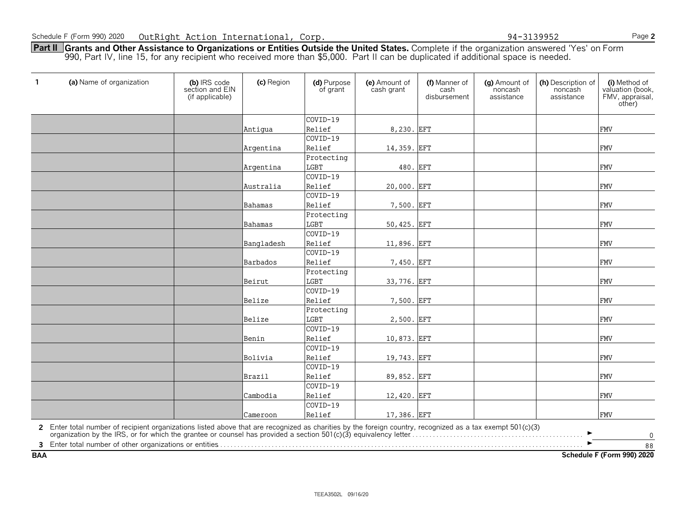**Part II Grants and Other Assistance to Organizations or Entities Outside the United States.** Complete if the organization answered 'Yes' on Form 990, Part IV, line 15, for any recipient who received more than \$5,000. Part II can be duplicated if additional space is needed.

| $\mathbf{1}$ | (a) Name of organization                                                                                                                                                                                                       | (b) IRS code<br>section and EIN<br>(if applicable) | (c) Region | (d) Purpose<br>of grant   | (e) Amount of<br>cash grant | (f) Manner of<br>cash<br>disbursement | (g) Amount of<br>noncash<br>assistance | (h) Description of<br>noncash<br>assistance | (i) Method of<br>valuation (book,<br>FMV, appraisal,<br>other) |
|--------------|--------------------------------------------------------------------------------------------------------------------------------------------------------------------------------------------------------------------------------|----------------------------------------------------|------------|---------------------------|-----------------------------|---------------------------------------|----------------------------------------|---------------------------------------------|----------------------------------------------------------------|
|              |                                                                                                                                                                                                                                |                                                    |            | $COVID-19$                |                             |                                       |                                        |                                             |                                                                |
|              |                                                                                                                                                                                                                                |                                                    | Antigua    | Relief                    | 8,230. EFT                  |                                       |                                        |                                             | <b>FMV</b>                                                     |
|              |                                                                                                                                                                                                                                |                                                    |            | COVID-19                  |                             |                                       |                                        |                                             |                                                                |
|              |                                                                                                                                                                                                                                |                                                    | Argentina  | Relief                    | 14,359. EFT                 |                                       |                                        |                                             | <b>FMV</b>                                                     |
|              |                                                                                                                                                                                                                                |                                                    | Argentina  | Protecting<br><b>LGBT</b> | 480. EFT                    |                                       |                                        |                                             | <b>FMV</b>                                                     |
|              |                                                                                                                                                                                                                                |                                                    |            | COVID-19                  |                             |                                       |                                        |                                             |                                                                |
|              |                                                                                                                                                                                                                                |                                                    | Australia  | Relief                    | 20,000. EFT                 |                                       |                                        |                                             | <b>FMV</b>                                                     |
|              |                                                                                                                                                                                                                                |                                                    |            | COVID-19                  |                             |                                       |                                        |                                             |                                                                |
|              |                                                                                                                                                                                                                                |                                                    | Bahamas    | Relief                    | 7,500. EFT                  |                                       |                                        |                                             | <b>FMV</b>                                                     |
|              |                                                                                                                                                                                                                                |                                                    |            | Protecting                |                             |                                       |                                        |                                             |                                                                |
|              |                                                                                                                                                                                                                                |                                                    | Bahamas    | LGBT                      | 50,425. EFT                 |                                       |                                        |                                             | <b>FMV</b>                                                     |
|              |                                                                                                                                                                                                                                |                                                    |            | COVID-19                  |                             |                                       |                                        |                                             |                                                                |
|              |                                                                                                                                                                                                                                |                                                    | Bangladesh | Relief                    | 11,896. EFT                 |                                       |                                        |                                             | <b>FMV</b>                                                     |
|              |                                                                                                                                                                                                                                |                                                    |            | COVID-19                  |                             |                                       |                                        |                                             |                                                                |
|              |                                                                                                                                                                                                                                |                                                    | Barbados   | Relief                    | 7,450. EFT                  |                                       |                                        |                                             | <b>FMV</b>                                                     |
|              |                                                                                                                                                                                                                                |                                                    | Beirut     | Protecting<br>LGBT        | 33,776. EFT                 |                                       |                                        |                                             | <b>FMV</b>                                                     |
|              |                                                                                                                                                                                                                                |                                                    |            | COVID-19                  |                             |                                       |                                        |                                             |                                                                |
|              |                                                                                                                                                                                                                                |                                                    | Belize     | Relief                    | 7,500. EFT                  |                                       |                                        |                                             | <b>FMV</b>                                                     |
|              |                                                                                                                                                                                                                                |                                                    |            | Protecting                |                             |                                       |                                        |                                             |                                                                |
|              |                                                                                                                                                                                                                                |                                                    | Belize     | <b>LGBT</b>               | 2,500. EFT                  |                                       |                                        |                                             | <b>FMV</b>                                                     |
|              |                                                                                                                                                                                                                                |                                                    |            | COVID-19                  |                             |                                       |                                        |                                             |                                                                |
|              |                                                                                                                                                                                                                                |                                                    | Benin      | Relief                    | 10,873. EFT                 |                                       |                                        |                                             | <b>FMV</b>                                                     |
|              |                                                                                                                                                                                                                                |                                                    |            | COVID-19                  |                             |                                       |                                        |                                             |                                                                |
|              |                                                                                                                                                                                                                                |                                                    | Bolivia    | Relief                    | 19,743. EFT                 |                                       |                                        |                                             | <b>FMV</b>                                                     |
|              |                                                                                                                                                                                                                                |                                                    |            | COVID-19                  |                             |                                       |                                        |                                             |                                                                |
|              |                                                                                                                                                                                                                                |                                                    | Brazil     | Relief                    | 89,852. EFT                 |                                       |                                        |                                             | <b>FMV</b>                                                     |
|              |                                                                                                                                                                                                                                |                                                    |            | COVID-19                  |                             |                                       |                                        |                                             |                                                                |
|              |                                                                                                                                                                                                                                |                                                    | Cambodia   | Relief                    | 12,420. EFT                 |                                       |                                        |                                             | <b>FMV</b>                                                     |
|              |                                                                                                                                                                                                                                |                                                    |            | COVID-19                  |                             |                                       |                                        |                                             |                                                                |
|              |                                                                                                                                                                                                                                |                                                    | Cameroon   | Relief                    | 17,386. EFT                 |                                       |                                        |                                             | <b>FMV</b>                                                     |
|              | 2 Enter total number of recipient organizations listed above that are recognized as charities by the foreign country, recognized as a tax exempt 501(c)(3) organization by the IRS, or for which the grantee or counsel has pr |                                                    |            |                           |                             |                                       |                                        |                                             | $\mathbf 0$                                                    |
|              |                                                                                                                                                                                                                                |                                                    |            |                           |                             |                                       |                                        |                                             | 88                                                             |
| <b>BAA</b>   |                                                                                                                                                                                                                                |                                                    |            |                           |                             |                                       |                                        |                                             | Schedule F (Form 990) 2020                                     |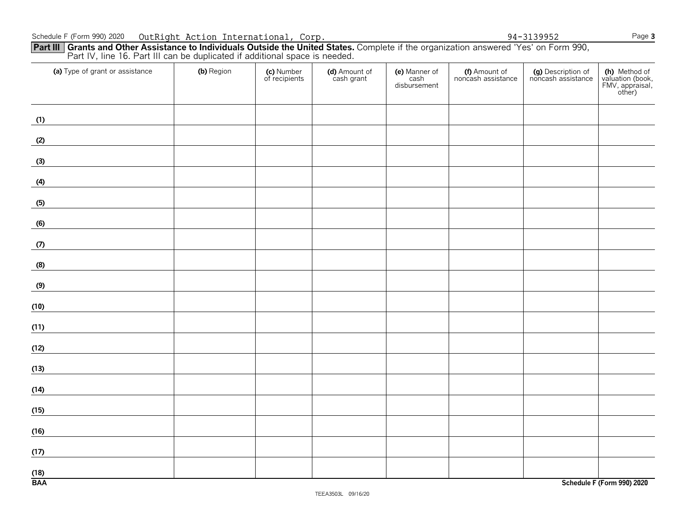| (a) Type of grant or assistance | (b) Region | (c) Number<br>of recipients | (d) Amount of<br>cash grant | (e) Manner of<br>cash<br>disbursement | (f) Amount of<br>noncash assistance | (g) Description of<br>noncash assistance | (h) Method of<br>valuation (book,<br>FMV, appraisal,<br>other) |
|---------------------------------|------------|-----------------------------|-----------------------------|---------------------------------------|-------------------------------------|------------------------------------------|----------------------------------------------------------------|
| (1)                             |            |                             |                             |                                       |                                     |                                          |                                                                |
| (2)                             |            |                             |                             |                                       |                                     |                                          |                                                                |
| (3)                             |            |                             |                             |                                       |                                     |                                          |                                                                |
| (4)                             |            |                             |                             |                                       |                                     |                                          |                                                                |
| (5)                             |            |                             |                             |                                       |                                     |                                          |                                                                |
| (6)                             |            |                             |                             |                                       |                                     |                                          |                                                                |
| (7)                             |            |                             |                             |                                       |                                     |                                          |                                                                |
| (8)                             |            |                             |                             |                                       |                                     |                                          |                                                                |
| (9)                             |            |                             |                             |                                       |                                     |                                          |                                                                |
| (10)                            |            |                             |                             |                                       |                                     |                                          |                                                                |
| (11)                            |            |                             |                             |                                       |                                     |                                          |                                                                |
| (12)                            |            |                             |                             |                                       |                                     |                                          |                                                                |
| (13)                            |            |                             |                             |                                       |                                     |                                          |                                                                |
| (14)                            |            |                             |                             |                                       |                                     |                                          |                                                                |
| (15)                            |            |                             |                             |                                       |                                     |                                          |                                                                |
| (16)                            |            |                             |                             |                                       |                                     |                                          |                                                                |
| (17)                            |            |                             |                             |                                       |                                     |                                          |                                                                |
| $\frac{(18)}{BAA}$              |            |                             |                             |                                       |                                     |                                          | Schedule F (Form 990) 2020                                     |

**Part III** Grants and Other Assistance to Individuals Outside the United States. Complete if the organization answered 'Yes' on Form 990, Part IV, line 16. Part III can be duplicated if additional space is needed.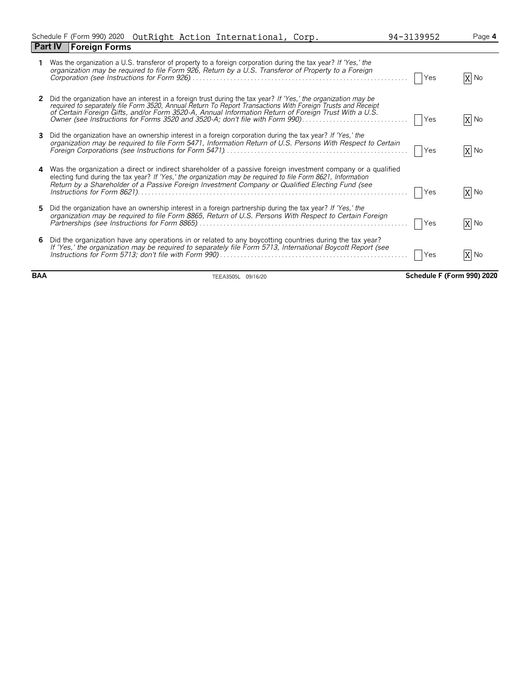|   | <b>Foreign Forms</b><br><b>Part IV</b>                                                                                                                                                                                                                                                                                                                                                                                 |            |      |
|---|------------------------------------------------------------------------------------------------------------------------------------------------------------------------------------------------------------------------------------------------------------------------------------------------------------------------------------------------------------------------------------------------------------------------|------------|------|
|   | Was the organization a U.S. transferor of property to a foreign corporation during the tax year? If 'Yes,' the<br>organization may be required to file Form 926, Return by a U.S. Transferor of Property to a Foreign                                                                                                                                                                                                  | Yes        | X No |
|   | Did the organization have an interest in a foreign trust during the tax year? If 'Yes,' the organization may be<br>required to separately file Form 3520, Annual Return To Report Transactions With Foreign Trusts and Receipt<br>of Certain Foreign Gifts, and/or Form 3520-A, Annual Information Return of Foreign Trust With a U.S.<br>Owner (see Instructions for Forms 3520 and 3520-A; don't file with Form 990) | Yes        | X No |
|   | Did the organization have an ownership interest in a foreign corporation during the tax year? If 'Yes,' the<br>organization may be required to file Form 5471, Information Return of U.S. Persons With Respect to Certain                                                                                                                                                                                              | <b>Yes</b> | X No |
| 4 | Was the organization a direct or indirect shareholder of a passive foreign investment company or a qualified<br>electing fund during the tax year? If 'Yes,' the organization may be required to file Form 8621, Information<br>Return by a Shareholder of a Passive Foreign Investment Company or Qualified Electing Fund (see                                                                                        | Yes        | X No |
|   | Did the organization have an ownership interest in a foreign partnership during the tax year? If 'Yes,' the<br>organization may be required to file Form 8865, Return of U.S. Persons With Respect to Certain Foreign                                                                                                                                                                                                  | Yes        | X No |
| 6 | Did the organization have any operations in or related to any boycotting countries during the tax year?<br>If 'Yes,' the organization may be required to separately file Form 5713, International Boycott Report (see                                                                                                                                                                                                  | Yes        | X No |

**BAA** TEEA3505L 09/16/20 **Schedule F (Form 990) 2020**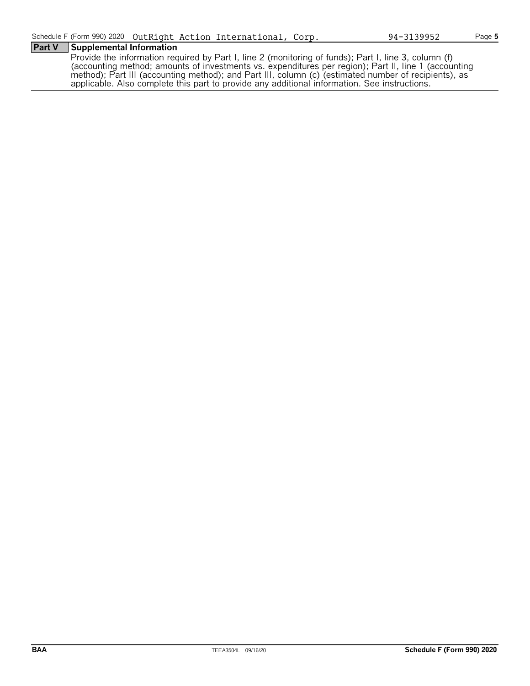# **Part V Supplemental Information**

Provide the information required by Part I, line 2 (monitoring of funds); Part I, line 3, column (f) (accounting method; amounts of investments vs. expenditures per region); Part II, line 1 (accounting method); Part III (accounting method); and Part III, column (c) (estimated number of recipients), as applicable. Also complete this part to provide any additional information. See instructions.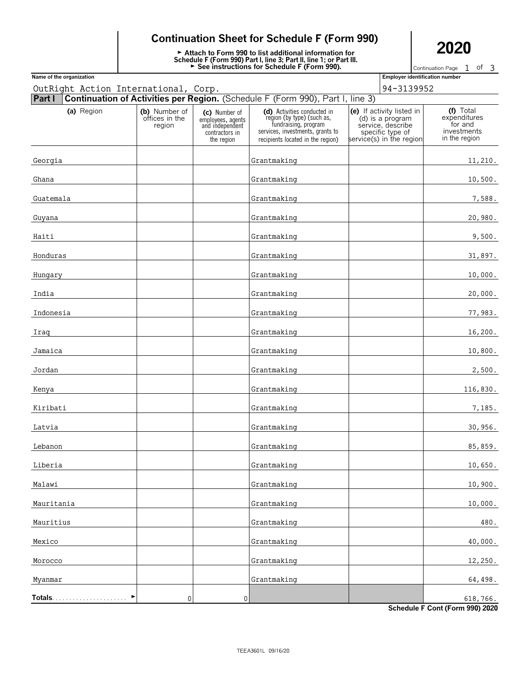# **Continuation Sheet for Schedule F (Form 990)**

**Extrach to Form 990 to list additional information for**<br>
Schedule F (Form 990) Part I, line 3; Part II, line 1; or Part III.<br>
► See instructions for Schedule F (Form 990).<br>
Continuation Page 1 of

Continuation Page  $1$  of 3

| Name of the organization             |                                           |                                                                                       |                                                                                                                                                            | <b>Employer identification number</b>                                                                              |                                                                      |
|--------------------------------------|-------------------------------------------|---------------------------------------------------------------------------------------|------------------------------------------------------------------------------------------------------------------------------------------------------------|--------------------------------------------------------------------------------------------------------------------|----------------------------------------------------------------------|
| OutRight Action International, Corp. |                                           |                                                                                       |                                                                                                                                                            | 94-3139952                                                                                                         |                                                                      |
| Part I                               |                                           |                                                                                       | Continuation of Activities per Region. (Schedule F (Form 990), Part I, line 3)                                                                             |                                                                                                                    |                                                                      |
| (a) Region                           | (b) Number of<br>offices in the<br>region | (c) Number of<br>employees, agents<br>and independent<br>contractors in<br>the region | (d) Activities conducted in<br>region (by type) (such as,<br>fundraising, program<br>services, investments, grants to<br>recipients located in the region) | (e) If activity listed in<br>(d) is a program<br>service, describe<br>specific type of<br>service(s) in the region | (f) Total<br>expenditures<br>for and<br>investments<br>in the region |
| Georgia                              |                                           |                                                                                       | Grantmaking                                                                                                                                                |                                                                                                                    | 11,210.                                                              |
| Ghana                                |                                           |                                                                                       | Grantmaking                                                                                                                                                |                                                                                                                    | 10,500.                                                              |
| Guatemala                            |                                           |                                                                                       | Grantmaking                                                                                                                                                |                                                                                                                    | 7,588.                                                               |
| Guyana                               |                                           |                                                                                       | Grantmaking                                                                                                                                                |                                                                                                                    | 20,980.                                                              |
| Haiti                                |                                           |                                                                                       | Grantmaking                                                                                                                                                |                                                                                                                    | 9,500.                                                               |
| Honduras                             |                                           |                                                                                       | Grantmaking                                                                                                                                                |                                                                                                                    | 31,897.                                                              |
| Hungary                              |                                           |                                                                                       | Grantmaking                                                                                                                                                |                                                                                                                    | 10,000.                                                              |
| India                                |                                           |                                                                                       | Grantmaking                                                                                                                                                |                                                                                                                    | 20,000.                                                              |
| Indonesia                            |                                           |                                                                                       | Grantmaking                                                                                                                                                |                                                                                                                    | 77,983.                                                              |
| Iraq                                 |                                           |                                                                                       | Grantmaking                                                                                                                                                |                                                                                                                    | 16,200.                                                              |
| Jamaica                              |                                           |                                                                                       | Grantmaking                                                                                                                                                |                                                                                                                    | 10,800.                                                              |
| Jordan                               |                                           |                                                                                       | Grantmaking                                                                                                                                                |                                                                                                                    | 2,500.                                                               |
| Kenya                                |                                           |                                                                                       | Grantmaking                                                                                                                                                |                                                                                                                    | 116,830.                                                             |
| Kiribati                             |                                           |                                                                                       | Grantmaking                                                                                                                                                |                                                                                                                    | 7,185.                                                               |
| Latvia                               |                                           |                                                                                       | Grantmaking                                                                                                                                                |                                                                                                                    | 30,956.                                                              |
| Lebanon                              |                                           |                                                                                       | Grantmaking                                                                                                                                                |                                                                                                                    | 85,859.                                                              |
| Liberia                              |                                           |                                                                                       | Grantmaking                                                                                                                                                |                                                                                                                    | 10,650.                                                              |
| Malawi                               |                                           |                                                                                       | Grantmaking                                                                                                                                                |                                                                                                                    | 10,900.                                                              |
| Mauritania                           |                                           |                                                                                       | Grantmaking                                                                                                                                                |                                                                                                                    | 10,000.                                                              |
| Mauritius                            |                                           |                                                                                       | Grantmaking                                                                                                                                                |                                                                                                                    | 480.                                                                 |
| Mexico                               |                                           |                                                                                       | Grantmaking                                                                                                                                                |                                                                                                                    | 40,000.                                                              |
| Morocco                              |                                           |                                                                                       | Grantmaking                                                                                                                                                |                                                                                                                    | 12,250.                                                              |
| Myanmar                              |                                           |                                                                                       | Grantmaking                                                                                                                                                |                                                                                                                    | 64,498.                                                              |
| Totals                               | 0                                         | $\pmb{0}$                                                                             |                                                                                                                                                            |                                                                                                                    | 618,766.                                                             |

**Schedule F Cont (Form 990) 2020**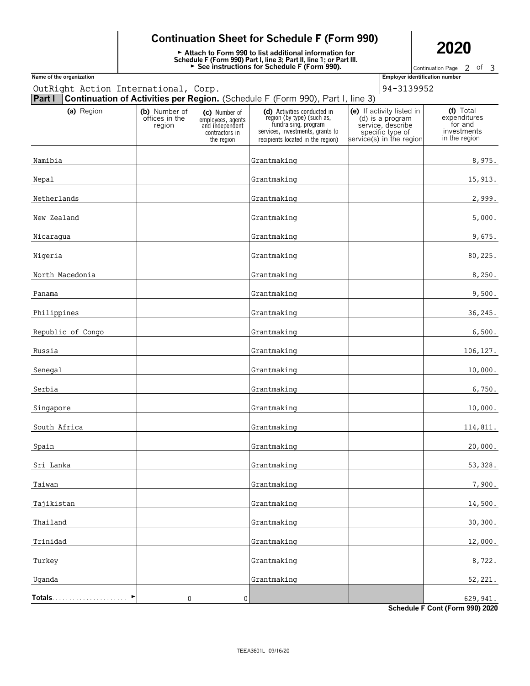# **Continuation Sheet for Schedule F (Form 990)**

**Extrach to Form 990 to list additional information for**<br>
Schedule F (Form 990) Part I, line 3; Part II, line 1; or Part III.<br>
► See instructions for Schedule F (Form 990).<br>
Continuation Page 2 of

Continuation Page 2 of 3

| Name of the organization             |                                           |                                                                                       |                                                                                                                                                            | <b>Employer identification number</b>                                                                              |                                                                      |
|--------------------------------------|-------------------------------------------|---------------------------------------------------------------------------------------|------------------------------------------------------------------------------------------------------------------------------------------------------------|--------------------------------------------------------------------------------------------------------------------|----------------------------------------------------------------------|
| OutRight Action International, Corp. |                                           |                                                                                       |                                                                                                                                                            | 94-3139952                                                                                                         |                                                                      |
| Part I                               |                                           |                                                                                       | Continuation of Activities per Region. (Schedule F (Form 990), Part I, line 3)                                                                             |                                                                                                                    |                                                                      |
| (a) Region                           | (b) Number of<br>offices in the<br>region | (c) Number of<br>employees, agents<br>and independent<br>contractors in<br>the region | (d) Activities conducted in<br>region (by type) (such as,<br>fundraising, program<br>services, investments, grants to<br>recipients located in the region) | (e) If activity listed in<br>(d) is a program<br>service, describe<br>specific type of<br>service(s) in the region | (f) Total<br>expenditures<br>for and<br>investments<br>in the region |
| Namibia                              |                                           |                                                                                       | Grantmaking                                                                                                                                                |                                                                                                                    | 8,975.                                                               |
| Nepal                                |                                           |                                                                                       | Grantmaking                                                                                                                                                |                                                                                                                    | 15,913.                                                              |
| Netherlands                          |                                           |                                                                                       | Grantmaking                                                                                                                                                |                                                                                                                    | 2,999.                                                               |
| New Zealand                          |                                           |                                                                                       | Grantmaking                                                                                                                                                |                                                                                                                    | 5,000.                                                               |
| Nicaragua                            |                                           |                                                                                       | Grantmaking                                                                                                                                                |                                                                                                                    | 9,675.                                                               |
| Nigeria                              |                                           |                                                                                       | Grantmaking                                                                                                                                                |                                                                                                                    | 80,225.                                                              |
| North Macedonia                      |                                           |                                                                                       | Grantmaking                                                                                                                                                |                                                                                                                    | 8,250.                                                               |
| Panama                               |                                           |                                                                                       | Grantmaking                                                                                                                                                |                                                                                                                    | 9,500.                                                               |
| Philippines                          |                                           |                                                                                       | Grantmaking                                                                                                                                                |                                                                                                                    | 36,245.                                                              |
| Republic of Congo                    |                                           |                                                                                       | Grantmaking                                                                                                                                                |                                                                                                                    | 6,500.                                                               |
| Russia                               |                                           |                                                                                       | Grantmaking                                                                                                                                                |                                                                                                                    | 106,127.                                                             |
| Senegal                              |                                           |                                                                                       | Grantmaking                                                                                                                                                |                                                                                                                    | 10,000.                                                              |
| Serbia                               |                                           |                                                                                       | Grantmaking                                                                                                                                                |                                                                                                                    | 6,750.                                                               |
| Singapore                            |                                           |                                                                                       | Grantmaking                                                                                                                                                |                                                                                                                    | 10,000.                                                              |
| South Africa                         |                                           |                                                                                       | Grantmaking                                                                                                                                                |                                                                                                                    | 114,811.                                                             |
| Spain                                |                                           |                                                                                       | Grantmaking                                                                                                                                                |                                                                                                                    | 20,000.                                                              |
| Sri Lanka                            |                                           |                                                                                       | Grantmaking                                                                                                                                                |                                                                                                                    | 53, 328.                                                             |
| Taiwan                               |                                           |                                                                                       | Grantmaking                                                                                                                                                |                                                                                                                    | 7,900.                                                               |
| Tajikistan                           |                                           |                                                                                       | Grantmaking                                                                                                                                                |                                                                                                                    | 14,500.                                                              |
| Thailand                             |                                           |                                                                                       | Grantmaking                                                                                                                                                |                                                                                                                    | 30, 300.                                                             |
| Trinidad                             |                                           |                                                                                       | Grantmaking                                                                                                                                                |                                                                                                                    | 12,000.                                                              |
| Turkey                               |                                           |                                                                                       | Grantmaking                                                                                                                                                |                                                                                                                    | 8,722.                                                               |
| Uganda                               |                                           |                                                                                       | Grantmaking                                                                                                                                                |                                                                                                                    | 52,221.                                                              |
|                                      | $\pmb{0}$                                 | $\mathbf 0$                                                                           |                                                                                                                                                            |                                                                                                                    | 629,941.                                                             |

**Schedule F Cont (Form 990) 2020**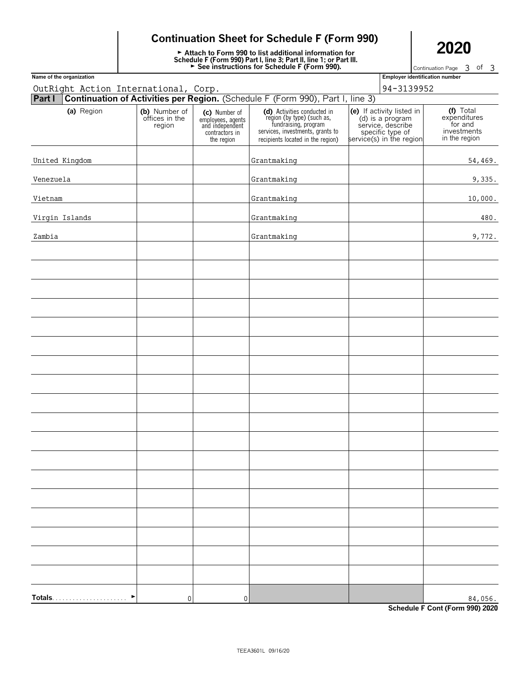# **Continuation Sheet for Schedule F (Form 990)**

**Extrach to Form 990 to list additional information for**<br>
Schedule F (Form 990) Part I, line 3; Part II, line 1; or Part III.<br>
► See instructions for Schedule F (Form 990).<br>
Continuation Page 3 of

Continuation Page 3 of 3

| Name of the organization             |                                           |                                                                                       |                                                                                                                                                            | <b>Employer identification number</b>                                                                              |                                                                      |
|--------------------------------------|-------------------------------------------|---------------------------------------------------------------------------------------|------------------------------------------------------------------------------------------------------------------------------------------------------------|--------------------------------------------------------------------------------------------------------------------|----------------------------------------------------------------------|
| OutRight Action International, Corp. |                                           |                                                                                       |                                                                                                                                                            | 94-3139952                                                                                                         |                                                                      |
| Part I                               |                                           |                                                                                       | Continuation of Activities per Region. (Schedule F (Form 990), Part I, line 3)                                                                             |                                                                                                                    |                                                                      |
| (a) Region                           | (b) Number of<br>offices in the<br>region | (c) Number of<br>employees, agents<br>and independent<br>contractors in<br>the region | (d) Activities conducted in<br>region (by type) (such as,<br>fundraising, program<br>services, investments, grants to<br>recipients located in the region) | (e) If activity listed in<br>(d) is a program<br>service, describe<br>specific type of<br>service(s) in the region | (f) Total<br>expenditures<br>for and<br>investments<br>in the region |
| United Kingdom                       |                                           |                                                                                       | Grantmaking                                                                                                                                                |                                                                                                                    | 54,469.                                                              |
| Venezuela                            |                                           |                                                                                       | Grantmaking                                                                                                                                                |                                                                                                                    | 9,335.                                                               |
| Vietnam                              |                                           |                                                                                       | Grantmaking                                                                                                                                                |                                                                                                                    | 10,000.                                                              |
| Virgin Islands                       |                                           |                                                                                       | Grantmaking                                                                                                                                                |                                                                                                                    | 480.                                                                 |
| Zambia                               |                                           |                                                                                       | Grantmaking                                                                                                                                                |                                                                                                                    | 9,772.                                                               |
|                                      |                                           |                                                                                       |                                                                                                                                                            |                                                                                                                    |                                                                      |
|                                      |                                           |                                                                                       |                                                                                                                                                            |                                                                                                                    |                                                                      |
|                                      |                                           |                                                                                       |                                                                                                                                                            |                                                                                                                    |                                                                      |
|                                      |                                           |                                                                                       |                                                                                                                                                            |                                                                                                                    |                                                                      |
|                                      |                                           |                                                                                       |                                                                                                                                                            |                                                                                                                    |                                                                      |
|                                      |                                           |                                                                                       |                                                                                                                                                            |                                                                                                                    |                                                                      |
|                                      |                                           |                                                                                       |                                                                                                                                                            |                                                                                                                    |                                                                      |
|                                      |                                           |                                                                                       |                                                                                                                                                            |                                                                                                                    |                                                                      |
|                                      |                                           |                                                                                       |                                                                                                                                                            |                                                                                                                    |                                                                      |
|                                      |                                           |                                                                                       |                                                                                                                                                            |                                                                                                                    |                                                                      |
|                                      |                                           |                                                                                       |                                                                                                                                                            |                                                                                                                    |                                                                      |
|                                      |                                           |                                                                                       |                                                                                                                                                            |                                                                                                                    |                                                                      |
|                                      |                                           |                                                                                       |                                                                                                                                                            |                                                                                                                    |                                                                      |
|                                      |                                           |                                                                                       |                                                                                                                                                            |                                                                                                                    |                                                                      |
|                                      |                                           |                                                                                       |                                                                                                                                                            |                                                                                                                    |                                                                      |
|                                      |                                           |                                                                                       |                                                                                                                                                            |                                                                                                                    |                                                                      |
|                                      |                                           |                                                                                       |                                                                                                                                                            |                                                                                                                    |                                                                      |
|                                      |                                           |                                                                                       |                                                                                                                                                            |                                                                                                                    |                                                                      |
| Totals                               | $\overline{0}$                            | $\mathsf{0}$                                                                          |                                                                                                                                                            |                                                                                                                    | 84,056.                                                              |

**Schedule F Cont (Form 990) 2020**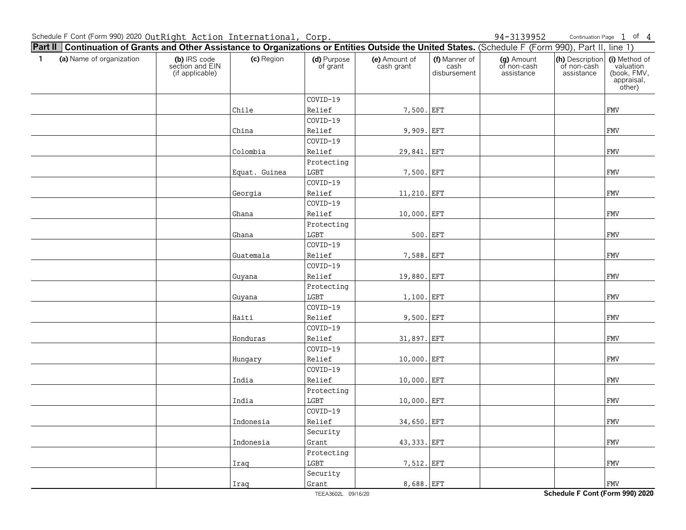Continuation Page 1 of 4

| <b>Part II   Continuation of Grants and Other Assistance to Organizations or Entities Outside the United States.</b> (Schedule F (Form 990), Part II, line 1) |                                                    |               |                         |                             |                                       |                                         |                                              |                                                                   |
|---------------------------------------------------------------------------------------------------------------------------------------------------------------|----------------------------------------------------|---------------|-------------------------|-----------------------------|---------------------------------------|-----------------------------------------|----------------------------------------------|-------------------------------------------------------------------|
| $\mathbf{1}$<br>(a) Name of organization                                                                                                                      | (b) IRS code<br>section and EIN<br>(if applicable) | (c) Region    | (d) Purpose<br>of grant | (e) Amount of<br>cash grant | (f) Manner of<br>cash<br>disbursement | (g) Amount<br>of non-cash<br>assistance | (h) Description<br>of non-cash<br>assistance | (i) Method of<br>valuation<br>(book, FMV,<br>appraisal,<br>other) |
|                                                                                                                                                               |                                                    |               | COVID-19                |                             |                                       |                                         |                                              |                                                                   |
|                                                                                                                                                               |                                                    | Chile         | Relief                  | 7,500. EFT                  |                                       |                                         |                                              | <b>FMV</b>                                                        |
|                                                                                                                                                               |                                                    |               | COVID-19                |                             |                                       |                                         |                                              |                                                                   |
|                                                                                                                                                               |                                                    | China         | Relief                  | 9,909. EFT                  |                                       |                                         |                                              | <b>FMV</b>                                                        |
|                                                                                                                                                               |                                                    |               | COVID-19                |                             |                                       |                                         |                                              |                                                                   |
|                                                                                                                                                               |                                                    | Colombia      | Relief                  | 29,841. EFT                 |                                       |                                         |                                              | <b>FMV</b>                                                        |
|                                                                                                                                                               |                                                    |               | Protecting              |                             |                                       |                                         |                                              |                                                                   |
|                                                                                                                                                               |                                                    | Equat. Guinea | LGBT                    | 7,500. EFT                  |                                       |                                         |                                              | <b>FMV</b>                                                        |
|                                                                                                                                                               |                                                    |               | COVID-19                |                             |                                       |                                         |                                              |                                                                   |
|                                                                                                                                                               |                                                    | Georgia       | Relief                  | 11,210. EFT                 |                                       |                                         |                                              | <b>FMV</b>                                                        |
|                                                                                                                                                               |                                                    |               | COVID-19                |                             |                                       |                                         |                                              |                                                                   |
|                                                                                                                                                               |                                                    | Ghana         | Relief                  | 10,000. EFT                 |                                       |                                         |                                              | FMV                                                               |
|                                                                                                                                                               |                                                    |               | Protecting              |                             |                                       |                                         |                                              |                                                                   |
|                                                                                                                                                               |                                                    | Ghana         | $_{\rm LGBT}$           | 500. EFT                    |                                       |                                         |                                              | FMV                                                               |
|                                                                                                                                                               |                                                    |               | COVID-19                |                             |                                       |                                         |                                              |                                                                   |
|                                                                                                                                                               |                                                    | Guatemala     | Relief                  | 7,588. EFT                  |                                       |                                         |                                              | <b>FMV</b>                                                        |
|                                                                                                                                                               |                                                    |               | COVID-19                |                             |                                       |                                         |                                              |                                                                   |
|                                                                                                                                                               |                                                    | Guyana        | Relief                  | 19,880. EFT                 |                                       |                                         |                                              | FMV                                                               |
|                                                                                                                                                               |                                                    |               | Protecting              |                             |                                       |                                         |                                              |                                                                   |
|                                                                                                                                                               |                                                    | Guyana        | LGBT                    | 1,100. EFT                  |                                       |                                         |                                              | FMV                                                               |
|                                                                                                                                                               |                                                    |               | COVID-19                |                             |                                       |                                         |                                              |                                                                   |
|                                                                                                                                                               |                                                    | Haiti         | Relief                  | 9,500. EFT                  |                                       |                                         |                                              | FMV                                                               |
|                                                                                                                                                               |                                                    |               | COVID-19                |                             |                                       |                                         |                                              |                                                                   |
|                                                                                                                                                               |                                                    | Honduras      | Relief                  | 31,897. EFT                 |                                       |                                         |                                              | FMV                                                               |
|                                                                                                                                                               |                                                    |               | COVID-19                |                             |                                       |                                         |                                              |                                                                   |
|                                                                                                                                                               |                                                    | Hungary       | Relief                  | 10,000. EFT                 |                                       |                                         |                                              | <b>FMV</b>                                                        |
|                                                                                                                                                               |                                                    |               | COVID-19                |                             |                                       |                                         |                                              |                                                                   |
|                                                                                                                                                               |                                                    | India         | Relief                  | 10,000. EFT                 |                                       |                                         |                                              | <b>FMV</b>                                                        |
|                                                                                                                                                               |                                                    |               | Protecting              |                             |                                       |                                         |                                              |                                                                   |
|                                                                                                                                                               |                                                    | India         | $_{\rm LGBT}$           | 10,000. EFT                 |                                       |                                         |                                              | <b>FMV</b>                                                        |
|                                                                                                                                                               |                                                    |               | COVID-19                |                             |                                       |                                         |                                              |                                                                   |
|                                                                                                                                                               |                                                    | Indonesia     | Relief                  | 34,650. EFT                 |                                       |                                         |                                              | <b>FMV</b>                                                        |
|                                                                                                                                                               |                                                    |               | Security                |                             |                                       |                                         |                                              |                                                                   |
|                                                                                                                                                               |                                                    | Indonesia     | Grant                   | 43,333. EFT                 |                                       |                                         |                                              | <b>FMV</b>                                                        |
|                                                                                                                                                               |                                                    |               | Protecting              |                             |                                       |                                         |                                              |                                                                   |
|                                                                                                                                                               |                                                    | Iraq          | LGBT                    | 7,512. EFT                  |                                       |                                         |                                              | <b>FMV</b>                                                        |
|                                                                                                                                                               |                                                    |               | Security                |                             |                                       |                                         |                                              |                                                                   |
|                                                                                                                                                               |                                                    | Iraq          | Grant                   | 8,688. EFT                  |                                       |                                         |                                              | <b>FMV</b>                                                        |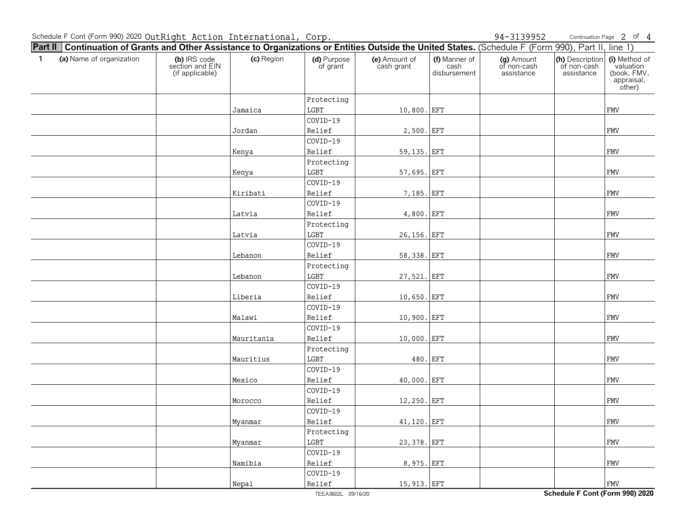Continuation Page 2 of 4

| <b>Part II   Continuation of Grants and Other Assistance to Organizations or Entities Outside the United States.</b> (Schedule F (Form 990), Part II, line 1) |                                                    |            |                         |                             |                                       |                                         |                                              |                                                                   |
|---------------------------------------------------------------------------------------------------------------------------------------------------------------|----------------------------------------------------|------------|-------------------------|-----------------------------|---------------------------------------|-----------------------------------------|----------------------------------------------|-------------------------------------------------------------------|
| (a) Name of organization<br>$\mathbf{1}$                                                                                                                      | (b) IRS code<br>section and EIN<br>(if applicable) | (c) Region | (d) Purpose<br>of grant | (e) Amount of<br>cash grant | (f) Manner of<br>cash<br>disbursement | (g) Amount<br>of non-cash<br>assistance | (h) Description<br>of non-cash<br>assistance | (i) Method of<br>valuation<br>(book, FMV,<br>appraisal,<br>other) |
|                                                                                                                                                               |                                                    |            | Protecting              |                             |                                       |                                         |                                              |                                                                   |
|                                                                                                                                                               |                                                    | Jamaica    | LGBT                    | 10,800. EFT                 |                                       |                                         |                                              | <b>FMV</b>                                                        |
|                                                                                                                                                               |                                                    |            | COVID-19                |                             |                                       |                                         |                                              |                                                                   |
|                                                                                                                                                               |                                                    | Jordan     | Relief                  | 2,500. EFT                  |                                       |                                         |                                              | <b>FMV</b>                                                        |
|                                                                                                                                                               |                                                    |            | COVID-19                |                             |                                       |                                         |                                              |                                                                   |
|                                                                                                                                                               |                                                    | Kenya      | Relief                  | 59,135. EFT                 |                                       |                                         |                                              | <b>FMV</b>                                                        |
|                                                                                                                                                               |                                                    |            | Protecting              |                             |                                       |                                         |                                              |                                                                   |
|                                                                                                                                                               |                                                    | Kenya      | LGBT                    | 57,695. EFT                 |                                       |                                         |                                              | FMV                                                               |
|                                                                                                                                                               |                                                    |            | COVID-19                |                             |                                       |                                         |                                              |                                                                   |
|                                                                                                                                                               |                                                    | Kiribati   | Relief                  | 7,185. EFT                  |                                       |                                         |                                              | <b>FMV</b>                                                        |
|                                                                                                                                                               |                                                    |            | COVID-19                |                             |                                       |                                         |                                              |                                                                   |
|                                                                                                                                                               |                                                    | Latvia     | Relief                  | 4,800. EFT                  |                                       |                                         |                                              | FMV                                                               |
|                                                                                                                                                               |                                                    |            | Protecting              |                             |                                       |                                         |                                              |                                                                   |
|                                                                                                                                                               |                                                    | Latvia     | $_{\rm LGBT}$           | 26,156. EFT                 |                                       |                                         |                                              | FMV                                                               |
|                                                                                                                                                               |                                                    |            | COVID-19                |                             |                                       |                                         |                                              |                                                                   |
|                                                                                                                                                               |                                                    | Lebanon    | Relief                  | 58,338. EFT                 |                                       |                                         |                                              | <b>FMV</b>                                                        |
|                                                                                                                                                               |                                                    |            | Protecting              |                             |                                       |                                         |                                              |                                                                   |
|                                                                                                                                                               |                                                    | Lebanon    | $_{\rm LGBT}$           | 27,521. EFT                 |                                       |                                         |                                              | FMV                                                               |
|                                                                                                                                                               |                                                    |            | COVID-19                |                             |                                       |                                         |                                              |                                                                   |
|                                                                                                                                                               |                                                    | Liberia    | Relief                  | 10,650. EFT                 |                                       |                                         |                                              | <b>FMV</b>                                                        |
|                                                                                                                                                               |                                                    |            | COVID-19                |                             |                                       |                                         |                                              |                                                                   |
|                                                                                                                                                               |                                                    | Malawi     | Relief                  | 10,900. EFT                 |                                       |                                         |                                              | FMV                                                               |
|                                                                                                                                                               |                                                    |            | COVID-19                |                             |                                       |                                         |                                              |                                                                   |
|                                                                                                                                                               |                                                    | Mauritania | Relief                  | 10,000. EFT                 |                                       |                                         |                                              | FMV                                                               |
|                                                                                                                                                               |                                                    |            | Protecting              |                             |                                       |                                         |                                              |                                                                   |
|                                                                                                                                                               |                                                    | Mauritius  | LGBT                    |                             | 480. EFT                              |                                         |                                              | <b>FMV</b>                                                        |
|                                                                                                                                                               |                                                    |            | COVID-19                |                             |                                       |                                         |                                              |                                                                   |
|                                                                                                                                                               |                                                    | Mexico     | Relief                  | 40,000. EFT                 |                                       |                                         |                                              | <b>FMV</b>                                                        |
|                                                                                                                                                               |                                                    |            | COVID-19                |                             |                                       |                                         |                                              |                                                                   |
|                                                                                                                                                               |                                                    | Morocco    | Relief                  | 12,250. EFT                 |                                       |                                         |                                              | <b>FMV</b>                                                        |
|                                                                                                                                                               |                                                    |            | COVID-19                |                             |                                       |                                         |                                              |                                                                   |
|                                                                                                                                                               |                                                    | Myanmar    | Relief                  | 41,120. EFT                 |                                       |                                         |                                              | <b>FMV</b>                                                        |
|                                                                                                                                                               |                                                    |            | Protecting              |                             |                                       |                                         |                                              |                                                                   |
|                                                                                                                                                               |                                                    | Myanmar    | LGBT                    | 23,378. EFT                 |                                       |                                         |                                              | <b>FMV</b>                                                        |
|                                                                                                                                                               |                                                    |            | COVID-19                |                             |                                       |                                         |                                              |                                                                   |
|                                                                                                                                                               |                                                    | Namibia    | Relief                  | 8,975. EFT                  |                                       |                                         |                                              | <b>FMV</b>                                                        |
|                                                                                                                                                               |                                                    |            | COVID-19                |                             |                                       |                                         |                                              |                                                                   |
|                                                                                                                                                               |                                                    | Nepal      | Relief                  | 15,913. EFT                 |                                       |                                         |                                              | <b>FMV</b>                                                        |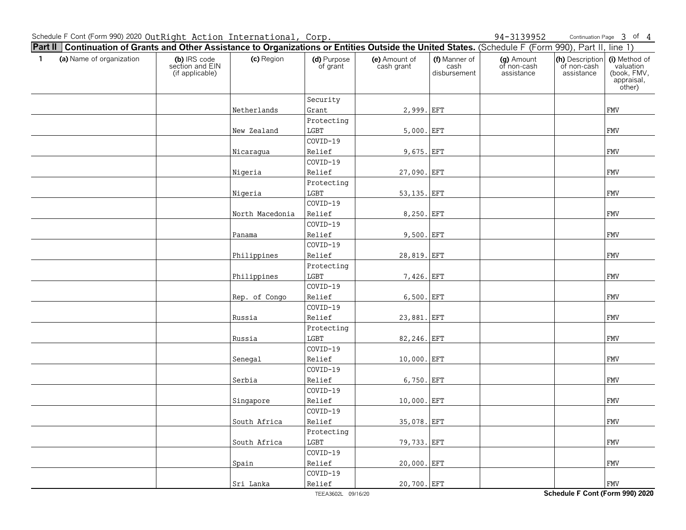Continuation Page 3 of 4

| <b>Part II   Continuation of Grants and Other Assistance to Organizations or Entities Outside the United States.</b> (Schedule F (Form 990), Part II, line 1) |                                                    |                 |                         |                             |                                       |                                         |                                              |                                                                   |
|---------------------------------------------------------------------------------------------------------------------------------------------------------------|----------------------------------------------------|-----------------|-------------------------|-----------------------------|---------------------------------------|-----------------------------------------|----------------------------------------------|-------------------------------------------------------------------|
| (a) Name of organization<br>$\mathbf{1}$                                                                                                                      | (b) IRS code<br>section and EIN<br>(if applicable) | (c) Region      | (d) Purpose<br>of grant | (e) Amount of<br>cash grant | (f) Manner of<br>cash<br>disbursement | (g) Amount<br>of non-cash<br>assistance | (h) Description<br>of non-cash<br>assistance | (i) Method of<br>valuation<br>(book, FMV,<br>appraisal,<br>other) |
|                                                                                                                                                               |                                                    |                 | Security                |                             |                                       |                                         |                                              |                                                                   |
|                                                                                                                                                               |                                                    | Netherlands     | Grant                   | 2,999. EFT                  |                                       |                                         |                                              | <b>FMV</b>                                                        |
|                                                                                                                                                               |                                                    |                 | Protecting              |                             |                                       |                                         |                                              |                                                                   |
|                                                                                                                                                               |                                                    | New Zealand     | LGBT                    | $5,000.$ EFT                |                                       |                                         |                                              | <b>FMV</b>                                                        |
|                                                                                                                                                               |                                                    |                 | COVID-19                |                             |                                       |                                         |                                              |                                                                   |
|                                                                                                                                                               |                                                    | Nicaragua       | Relief                  | 9,675. EFT                  |                                       |                                         |                                              | <b>FMV</b>                                                        |
|                                                                                                                                                               |                                                    |                 | COVID-19                |                             |                                       |                                         |                                              |                                                                   |
|                                                                                                                                                               |                                                    | Nigeria         | Relief                  | 27,090. EFT                 |                                       |                                         |                                              | FMV                                                               |
|                                                                                                                                                               |                                                    |                 | Protecting              |                             |                                       |                                         |                                              |                                                                   |
|                                                                                                                                                               |                                                    | Nigeria         | LGBT                    | 53, 135. EFT                |                                       |                                         |                                              | <b>FMV</b>                                                        |
|                                                                                                                                                               |                                                    |                 | COVID-19                |                             |                                       |                                         |                                              |                                                                   |
|                                                                                                                                                               |                                                    | North Macedonia | Relief                  | 8,250. EFT                  |                                       |                                         |                                              | FMV                                                               |
|                                                                                                                                                               |                                                    |                 | COVID-19                |                             |                                       |                                         |                                              |                                                                   |
|                                                                                                                                                               |                                                    | Panama          | Relief                  | 9,500. EFT                  |                                       |                                         |                                              | FMV                                                               |
|                                                                                                                                                               |                                                    |                 | COVID-19                |                             |                                       |                                         |                                              |                                                                   |
|                                                                                                                                                               |                                                    | Philippines     | Relief                  | 28,819. EFT                 |                                       |                                         |                                              | <b>FMV</b>                                                        |
|                                                                                                                                                               |                                                    |                 | Protecting              |                             |                                       |                                         |                                              |                                                                   |
|                                                                                                                                                               |                                                    | Philippines     | $_{\rm LGBT}$           | 7,426. EFT                  |                                       |                                         |                                              | FMV                                                               |
|                                                                                                                                                               |                                                    |                 | COVID-19                |                             |                                       |                                         |                                              |                                                                   |
|                                                                                                                                                               |                                                    | Rep. of Congo   | Relief                  | 6,500. EFT                  |                                       |                                         |                                              | <b>FMV</b>                                                        |
|                                                                                                                                                               |                                                    |                 | COVID-19                |                             |                                       |                                         |                                              |                                                                   |
|                                                                                                                                                               |                                                    | Russia          | Relief                  | 23,881. EFT                 |                                       |                                         |                                              | FMV                                                               |
|                                                                                                                                                               |                                                    |                 | Protecting              |                             |                                       |                                         |                                              |                                                                   |
|                                                                                                                                                               |                                                    | Russia          | $_{\rm LGBT}$           | 82,246. EFT                 |                                       |                                         |                                              | <b>FMV</b>                                                        |
|                                                                                                                                                               |                                                    |                 | COVID-19                |                             |                                       |                                         |                                              |                                                                   |
|                                                                                                                                                               |                                                    | Senegal         | Relief                  | 10,000. EFT                 |                                       |                                         |                                              | <b>FMV</b>                                                        |
|                                                                                                                                                               |                                                    |                 | COVID-19                |                             |                                       |                                         |                                              |                                                                   |
|                                                                                                                                                               |                                                    | Serbia          | Relief                  | 6,750. EFT                  |                                       |                                         |                                              | <b>FMV</b>                                                        |
|                                                                                                                                                               |                                                    |                 | COVID-19                |                             |                                       |                                         |                                              |                                                                   |
|                                                                                                                                                               |                                                    | Singapore       | Relief                  | 10,000. EFT                 |                                       |                                         |                                              | <b>FMV</b>                                                        |
|                                                                                                                                                               |                                                    |                 | COVID-19                |                             |                                       |                                         |                                              |                                                                   |
|                                                                                                                                                               |                                                    | South Africa    | Relief                  | 35,078. EFT                 |                                       |                                         |                                              | <b>FMV</b>                                                        |
|                                                                                                                                                               |                                                    |                 | Protecting              |                             |                                       |                                         |                                              |                                                                   |
|                                                                                                                                                               |                                                    | South Africa    | LGBT                    | 79,733. EFT                 |                                       |                                         |                                              | <b>FMV</b>                                                        |
|                                                                                                                                                               |                                                    |                 | COVID-19                |                             |                                       |                                         |                                              |                                                                   |
|                                                                                                                                                               |                                                    | Spain           | Relief                  | 20,000. EFT                 |                                       |                                         |                                              | <b>FMV</b>                                                        |
|                                                                                                                                                               |                                                    |                 | COVID-19                |                             |                                       |                                         |                                              |                                                                   |
|                                                                                                                                                               |                                                    | Sri Lanka       | Relief                  | 20,700. EFT                 |                                       |                                         |                                              | <b>FMV</b>                                                        |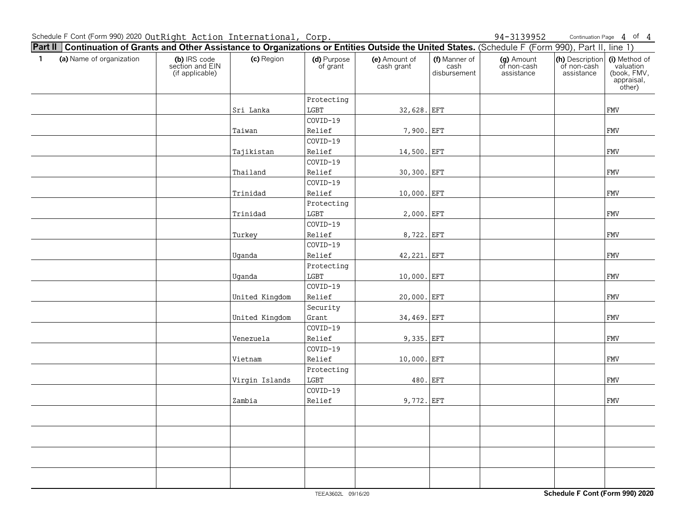Continuation Page 4 of 4

| <b>Part II   Continuation of Grants and Other Assistance to Organizations or Entities Outside the United States.</b> (Schedule F (Form 990), Part II, line 1) |                                                    |                |                         |                             |                                       |                                         |                                              |                                                                   |
|---------------------------------------------------------------------------------------------------------------------------------------------------------------|----------------------------------------------------|----------------|-------------------------|-----------------------------|---------------------------------------|-----------------------------------------|----------------------------------------------|-------------------------------------------------------------------|
| (a) Name of organization<br>$\mathbf{1}$                                                                                                                      | (b) IRS code<br>section and EIN<br>(if applicable) | (c) Region     | (d) Purpose<br>of grant | (e) Amount of<br>cash grant | (f) Manner of<br>cash<br>disbursement | (g) Amount<br>of non-cash<br>assistance | (h) Description<br>of non-cash<br>assistance | (i) Method of<br>valuation<br>(book, FMV,<br>appraisal,<br>other) |
|                                                                                                                                                               |                                                    |                | Protecting              |                             |                                       |                                         |                                              |                                                                   |
|                                                                                                                                                               |                                                    | Sri Lanka      | LGBT                    | 32,628. EFT                 |                                       |                                         |                                              | <b>FMV</b>                                                        |
|                                                                                                                                                               |                                                    |                | COVID-19                |                             |                                       |                                         |                                              |                                                                   |
|                                                                                                                                                               |                                                    | Taiwan         | Relief                  | 7,900. EFT                  |                                       |                                         |                                              | ${\tt FMV}$                                                       |
|                                                                                                                                                               |                                                    |                | COVID-19                |                             |                                       |                                         |                                              |                                                                   |
|                                                                                                                                                               |                                                    | Tajikistan     | Relief                  | 14,500. EFT                 |                                       |                                         |                                              | FMV                                                               |
|                                                                                                                                                               |                                                    |                | COVID-19                |                             |                                       |                                         |                                              |                                                                   |
|                                                                                                                                                               |                                                    | Thailand       | Relief                  | 30,300. EFT                 |                                       |                                         |                                              | FMV                                                               |
|                                                                                                                                                               |                                                    |                | COVID-19                |                             |                                       |                                         |                                              |                                                                   |
|                                                                                                                                                               |                                                    | Trinidad       | Relief                  | 10,000. EFT                 |                                       |                                         |                                              | <b>FMV</b>                                                        |
|                                                                                                                                                               |                                                    |                | Protecting              |                             |                                       |                                         |                                              |                                                                   |
|                                                                                                                                                               |                                                    | Trinidad       | LGBT                    | 2,000. EFT                  |                                       |                                         |                                              | ${\tt FMV}$                                                       |
|                                                                                                                                                               |                                                    |                | COVID-19                |                             |                                       |                                         |                                              |                                                                   |
|                                                                                                                                                               |                                                    | Turkey         | Relief                  | 8,722. EFT                  |                                       |                                         |                                              | ${\tt FMV}$                                                       |
|                                                                                                                                                               |                                                    |                | COVID-19                |                             |                                       |                                         |                                              |                                                                   |
|                                                                                                                                                               |                                                    | Uganda         | Relief                  | 42, 221. EFT                |                                       |                                         |                                              | FMV                                                               |
|                                                                                                                                                               |                                                    |                | Protecting              |                             |                                       |                                         |                                              |                                                                   |
|                                                                                                                                                               |                                                    | Uganda         | LGBT                    | 10,000. EFT                 |                                       |                                         |                                              | <b>FMV</b>                                                        |
|                                                                                                                                                               |                                                    |                | COVID-19                |                             |                                       |                                         |                                              |                                                                   |
|                                                                                                                                                               |                                                    | United Kingdom | Relief                  | 20,000. EFT                 |                                       |                                         |                                              | ${\tt FMV}$                                                       |
|                                                                                                                                                               |                                                    |                | Security                |                             |                                       |                                         |                                              |                                                                   |
|                                                                                                                                                               |                                                    | United Kingdom | Grant                   | 34,469. EFT                 |                                       |                                         |                                              | FMV                                                               |
|                                                                                                                                                               |                                                    |                | COVID-19                |                             |                                       |                                         |                                              |                                                                   |
|                                                                                                                                                               |                                                    | Venezuela      | Relief                  | 9,335. EFT                  |                                       |                                         |                                              | ${\tt FMV}$                                                       |
|                                                                                                                                                               |                                                    |                | COVID-19                |                             |                                       |                                         |                                              |                                                                   |
|                                                                                                                                                               |                                                    | Vietnam        | Relief                  | 10,000. EFT                 |                                       |                                         |                                              | <b>FMV</b>                                                        |
|                                                                                                                                                               |                                                    |                | Protecting              |                             |                                       |                                         |                                              |                                                                   |
|                                                                                                                                                               |                                                    | Virgin Islands | LGBT                    | 480. EFT                    |                                       |                                         |                                              | <b>FMV</b>                                                        |
|                                                                                                                                                               |                                                    |                | COVID-19                |                             |                                       |                                         |                                              |                                                                   |
|                                                                                                                                                               |                                                    | Zambia         | Relief                  | 9,772. EFT                  |                                       |                                         |                                              | ${\tt FMV}$                                                       |
|                                                                                                                                                               |                                                    |                |                         |                             |                                       |                                         |                                              |                                                                   |
|                                                                                                                                                               |                                                    |                |                         |                             |                                       |                                         |                                              |                                                                   |
|                                                                                                                                                               |                                                    |                |                         |                             |                                       |                                         |                                              |                                                                   |
|                                                                                                                                                               |                                                    |                |                         |                             |                                       |                                         |                                              |                                                                   |
|                                                                                                                                                               |                                                    |                |                         |                             |                                       |                                         |                                              |                                                                   |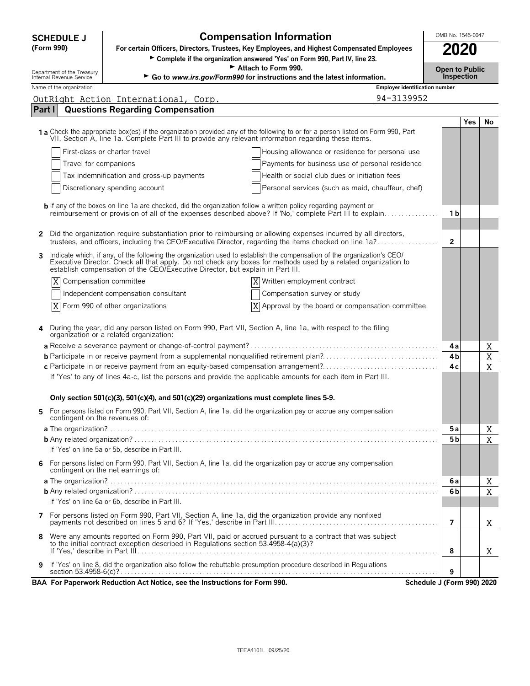| OMB No. 1545-0047<br><b>Compensation Information</b><br><b>SCHEDULE J</b>                                                                                                                                                      |                                                                                                                                                                                                                                                                                                                             |                                |                                     |            |             |  |  |
|--------------------------------------------------------------------------------------------------------------------------------------------------------------------------------------------------------------------------------|-----------------------------------------------------------------------------------------------------------------------------------------------------------------------------------------------------------------------------------------------------------------------------------------------------------------------------|--------------------------------|-------------------------------------|------------|-------------|--|--|
| (Form 990)                                                                                                                                                                                                                     | For certain Officers, Directors, Trustees, Key Employees, and Highest Compensated Employees                                                                                                                                                                                                                                 |                                | 2020                                |            |             |  |  |
|                                                                                                                                                                                                                                | > Complete if the organization answered 'Yes' on Form 990, Part IV, line 23.                                                                                                                                                                                                                                                |                                |                                     |            |             |  |  |
| Department of the Treasury<br>Internal Revenue Service                                                                                                                                                                         | Attach to Form 990.<br>Go to www.irs.gov/Form990 for instructions and the latest information.                                                                                                                                                                                                                               |                                | <b>Open to Public</b><br>Inspection |            |             |  |  |
| Name of the organization                                                                                                                                                                                                       |                                                                                                                                                                                                                                                                                                                             | Employer identification number |                                     |            |             |  |  |
|                                                                                                                                                                                                                                | OutRight Action International, Corp.                                                                                                                                                                                                                                                                                        | 94-3139952                     |                                     |            |             |  |  |
| Part I                                                                                                                                                                                                                         | <b>Questions Regarding Compensation</b>                                                                                                                                                                                                                                                                                     |                                |                                     |            |             |  |  |
|                                                                                                                                                                                                                                |                                                                                                                                                                                                                                                                                                                             |                                |                                     | <b>Yes</b> | No          |  |  |
|                                                                                                                                                                                                                                | 1 a Check the appropriate box(es) if the organization provided any of the following to or for a person listed on Form 990, Part<br>VII, Section A, line 1a. Complete Part III to provide any relevant information regarding these items.                                                                                    |                                |                                     |            |             |  |  |
|                                                                                                                                                                                                                                | First-class or charter travel<br>Housing allowance or residence for personal use                                                                                                                                                                                                                                            |                                |                                     |            |             |  |  |
| Travel for companions                                                                                                                                                                                                          | Payments for business use of personal residence                                                                                                                                                                                                                                                                             |                                |                                     |            |             |  |  |
| Tax indemnification and gross-up payments                                                                                                                                                                                      | Health or social club dues or initiation fees                                                                                                                                                                                                                                                                               |                                |                                     |            |             |  |  |
|                                                                                                                                                                                                                                | Discretionary spending account<br>Personal services (such as maid, chauffeur, chef)                                                                                                                                                                                                                                         |                                |                                     |            |             |  |  |
|                                                                                                                                                                                                                                | <b>b</b> If any of the boxes on line 1a are checked, did the organization follow a written policy regarding payment or                                                                                                                                                                                                      |                                |                                     |            |             |  |  |
| reimbursement or provision of all of the expenses described above? If 'No,' complete Part III to explain                                                                                                                       |                                                                                                                                                                                                                                                                                                                             |                                |                                     |            |             |  |  |
|                                                                                                                                                                                                                                |                                                                                                                                                                                                                                                                                                                             |                                |                                     |            |             |  |  |
| Did the organization require substantiation prior to reimbursing or allowing expenses incurred by all directors,<br>2<br>trustees, and officers, including the CEO/Executive Director, regarding the items checked on line 1a? |                                                                                                                                                                                                                                                                                                                             |                                |                                     |            |             |  |  |
| 3                                                                                                                                                                                                                              | Indicate which, if any, of the following the organization used to establish the compensation of the organization's CEO/<br>Executive Director. Check all that apply. Do not check any boxes for methods used by a related organization to<br>establish compensation of the CEO/Executive Director, but explain in Part III. |                                |                                     |            |             |  |  |
|                                                                                                                                                                                                                                | Compensation committee<br>X Written employment contract                                                                                                                                                                                                                                                                     |                                |                                     |            |             |  |  |
|                                                                                                                                                                                                                                | Independent compensation consultant<br>Compensation survey or study                                                                                                                                                                                                                                                         |                                |                                     |            |             |  |  |
|                                                                                                                                                                                                                                | $X$ Form 990 of other organizations<br>X<br>Approval by the board or compensation committee                                                                                                                                                                                                                                 |                                |                                     |            |             |  |  |
|                                                                                                                                                                                                                                |                                                                                                                                                                                                                                                                                                                             |                                |                                     |            |             |  |  |
|                                                                                                                                                                                                                                | During the year, did any person listed on Form 990, Part VII, Section A, line 1a, with respect to the filing<br>organization or a related organization:                                                                                                                                                                     |                                |                                     |            |             |  |  |
|                                                                                                                                                                                                                                |                                                                                                                                                                                                                                                                                                                             |                                | 4 a                                 |            | Χ           |  |  |
|                                                                                                                                                                                                                                |                                                                                                                                                                                                                                                                                                                             |                                | 4 <b>b</b>                          |            | $\mathbf X$ |  |  |
|                                                                                                                                                                                                                                | c Participate in or receive payment from an equity-based compensation arrangement?                                                                                                                                                                                                                                          |                                | 4 c                                 |            | X           |  |  |
|                                                                                                                                                                                                                                | If 'Yes' to any of lines 4a-c, list the persons and provide the applicable amounts for each item in Part III.                                                                                                                                                                                                               |                                |                                     |            |             |  |  |
|                                                                                                                                                                                                                                | Only section 501(c)(3), 501(c)(4), and 501(c)(29) organizations must complete lines 5-9.                                                                                                                                                                                                                                    |                                |                                     |            |             |  |  |
| contingent on the revenues of:                                                                                                                                                                                                 | For persons listed on Form 990, Part VII, Section A, line 1a, did the organization pay or accrue any compensation                                                                                                                                                                                                           |                                |                                     |            |             |  |  |
|                                                                                                                                                                                                                                |                                                                                                                                                                                                                                                                                                                             |                                | 5а                                  |            | Χ           |  |  |
|                                                                                                                                                                                                                                |                                                                                                                                                                                                                                                                                                                             |                                | 5 b                                 |            | X           |  |  |
|                                                                                                                                                                                                                                | If 'Yes' on line 5a or 5b, describe in Part III.                                                                                                                                                                                                                                                                            |                                |                                     |            |             |  |  |
| 6                                                                                                                                                                                                                              | For persons listed on Form 990, Part VII, Section A, line 1a, did the organization pay or accrue any compensation<br>contingent on the net earnings of:                                                                                                                                                                     |                                |                                     |            |             |  |  |
|                                                                                                                                                                                                                                |                                                                                                                                                                                                                                                                                                                             |                                | 6а                                  |            | Χ           |  |  |
|                                                                                                                                                                                                                                |                                                                                                                                                                                                                                                                                                                             |                                | 6b                                  |            | X           |  |  |
|                                                                                                                                                                                                                                | If 'Yes' on line 6a or 6b, describe in Part III.                                                                                                                                                                                                                                                                            |                                |                                     |            |             |  |  |
|                                                                                                                                                                                                                                |                                                                                                                                                                                                                                                                                                                             |                                | 7                                   |            | X           |  |  |
| 8                                                                                                                                                                                                                              | Were any amounts reported on Form 990, Part VII, paid or accrued pursuant to a contract that was subject                                                                                                                                                                                                                    |                                |                                     |            |             |  |  |
|                                                                                                                                                                                                                                | to the initial contract exception described in Regulations section 53.4958-4(a)(3)?                                                                                                                                                                                                                                         |                                | 8                                   |            | X           |  |  |
|                                                                                                                                                                                                                                | If 'Yes' on line 8, did the organization also follow the rebuttable presumption procedure described in Regulations                                                                                                                                                                                                          |                                |                                     |            |             |  |  |
| 9                                                                                                                                                                                                                              |                                                                                                                                                                                                                                                                                                                             |                                | 9                                   |            |             |  |  |
|                                                                                                                                                                                                                                | BAA For Paperwork Reduction Act Notice, see the Instructions for Form 990.                                                                                                                                                                                                                                                  | Schedule J (Form 990) 2020     |                                     |            |             |  |  |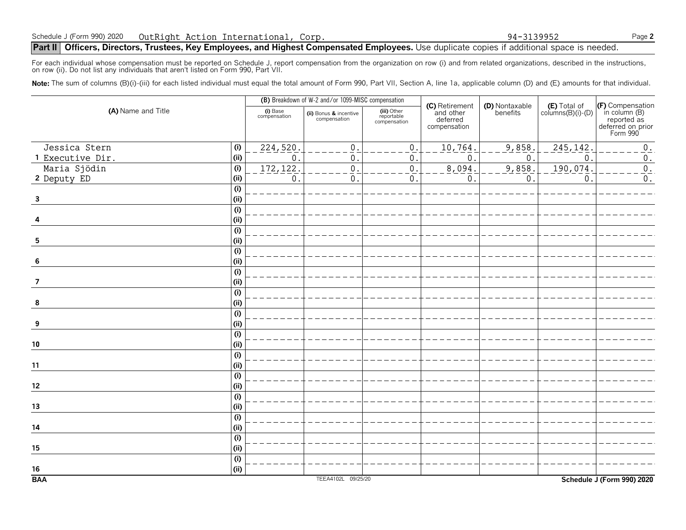# **Part II** | Officers, Directors, Trustees, Key Employees, and Highest Compensated Employees. Use duplicate copies if additional space is needed.

For each individual whose compensation must be reported on Schedule J, report compensation from the organization on row (i) and from related organizations, described in the instructions, on row (ii). Do not list any individuals that aren't listed on Form 990, Part VII.

Note: The sum of columns (B)(i)-(iii) for each listed individual must equal the total amount of Form 990, Part VII, Section A, line 1a, applicable column (D) and (E) amounts for that individual.

| (A) Name and Title |                           | (B) Breakdown of W-2 and/or 1099-MISC compensation |                                        |                                           |                                                         |                            |                                            |                                                                                   |
|--------------------|---------------------------|----------------------------------------------------|----------------------------------------|-------------------------------------------|---------------------------------------------------------|----------------------------|--------------------------------------------|-----------------------------------------------------------------------------------|
|                    |                           | (i) Base<br>compensation                           | (ii) Bonus & incentive<br>compensation | (iii) Other<br>reportable<br>compensation | (C) Retirement<br>and other<br>deferred<br>compensation | (D) Nontaxable<br>benefits | $(E)$ Total of<br>columns $(B)(i)$ - $(D)$ | (F) Compensation<br>in column (B)<br>reported as<br>deferred on prior<br>Form 990 |
| Jessica Stern      | (i)                       | 224,520.                                           | $\mathbf{0}$                           | 0.                                        | 10,764                                                  | 9,858.                     | 245, 142.                                  | $0$ .                                                                             |
| 1 Executive Dir.   | (i)                       | $\mathbf{0}$                                       | $\mathbf 0$                            | $\mathbf{0}$ .                            | $\mathbf 0$                                             | $\mathsf{O}$ .             | $\mathbf 0$                                | $\mathbf 0$ .                                                                     |
| Maria Sjödin       | (i)                       | 172, 122.                                          | $\mathbf 0$                            | $\mathbf 0$ .                             | 8,094.                                                  | 9,858.                     | 190,074.                                   | $\overline{0}$ .                                                                  |
| 2 Deputy ED        | (i)                       | $\mathbf 0$                                        | $\mathbf{0}$ .                         | 0.                                        | $\mathbf 0$                                             | $0$ .                      | $\mathsf{O}$ .                             | $0$ .                                                                             |
|                    | $\overline{(\mathsf{i})}$ |                                                    |                                        |                                           |                                                         |                            |                                            |                                                                                   |
| $\mathbf{3}$       | (i)                       |                                                    |                                        |                                           |                                                         |                            |                                            |                                                                                   |
|                    | $\overline{(\mathsf{i})}$ |                                                    |                                        |                                           |                                                         |                            |                                            |                                                                                   |
| 4                  | (i)                       |                                                    |                                        |                                           |                                                         |                            |                                            |                                                                                   |
|                    | $\overline{(\mathsf{i})}$ |                                                    |                                        |                                           |                                                         |                            |                                            |                                                                                   |
| 5                  | (i)                       |                                                    |                                        |                                           |                                                         |                            |                                            |                                                                                   |
|                    | $\overline{(\mathsf{i})}$ |                                                    |                                        |                                           |                                                         |                            |                                            |                                                                                   |
| 6                  | (i)                       |                                                    |                                        |                                           |                                                         |                            |                                            |                                                                                   |
|                    | $\overline{(\mathsf{i})}$ |                                                    |                                        |                                           |                                                         |                            |                                            |                                                                                   |
| $\overline{7}$     | (i)                       |                                                    |                                        |                                           |                                                         |                            |                                            |                                                                                   |
|                    | (i)                       |                                                    |                                        |                                           |                                                         |                            |                                            |                                                                                   |
| 8                  | (i)                       |                                                    |                                        |                                           |                                                         |                            |                                            |                                                                                   |
|                    | $\overline{(\mathsf{i})}$ |                                                    |                                        |                                           |                                                         |                            |                                            |                                                                                   |
| 9                  | (i)                       |                                                    |                                        |                                           |                                                         |                            |                                            |                                                                                   |
|                    | (i)                       |                                                    |                                        |                                           |                                                         |                            |                                            |                                                                                   |
| $10\,$             | (i)                       |                                                    |                                        |                                           |                                                         |                            |                                            |                                                                                   |
|                    | (i)                       |                                                    |                                        |                                           |                                                         |                            |                                            |                                                                                   |
| 11                 | (i)                       |                                                    |                                        |                                           |                                                         |                            |                                            |                                                                                   |
|                    | (i)                       |                                                    |                                        |                                           |                                                         |                            |                                            |                                                                                   |
| 12                 | (i)                       |                                                    |                                        |                                           |                                                         |                            |                                            |                                                                                   |
|                    | $\overline{(\mathsf{i})}$ |                                                    |                                        |                                           |                                                         |                            |                                            |                                                                                   |
| 13                 | (i)                       |                                                    |                                        |                                           |                                                         |                            |                                            |                                                                                   |
|                    | $\overline{(\mathsf{i})}$ |                                                    |                                        |                                           |                                                         |                            |                                            |                                                                                   |
| 14                 | (i)                       |                                                    |                                        |                                           |                                                         |                            |                                            |                                                                                   |
|                    | $\overline{(\mathsf{i})}$ |                                                    |                                        |                                           |                                                         |                            |                                            |                                                                                   |
| 15                 | (i)                       |                                                    |                                        |                                           |                                                         |                            |                                            |                                                                                   |
|                    | $\overline{(\mathsf{i})}$ |                                                    |                                        |                                           |                                                         |                            |                                            |                                                                                   |
| 16<br><b>BAA</b>   | (i)                       |                                                    | TEEA4102L 09/25/20                     |                                           |                                                         |                            |                                            |                                                                                   |
|                    |                           |                                                    |                                        |                                           |                                                         |                            |                                            | Schedule J (Form 990) 2020                                                        |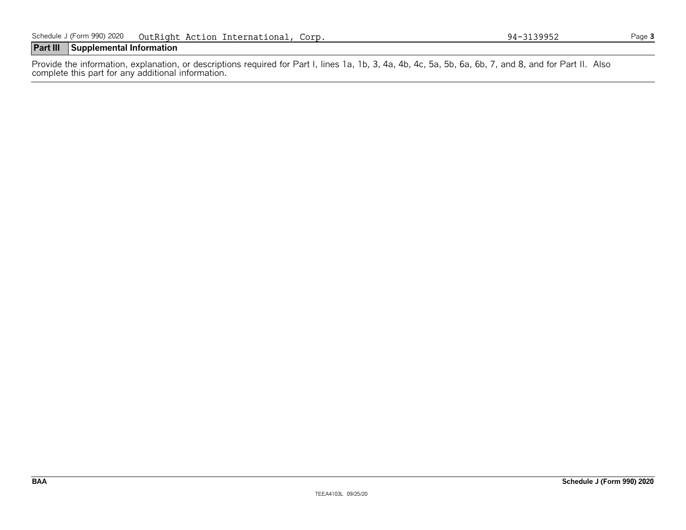# **Part III Supplemental Information**

Provide the information, explanation, or descriptions required for Part I, lines 1a, 1b, 3, 4a, 4b, 4c, 5a, 5b, 6a, 6b, 7, and 8, and for Part II. Also complete this part for any additional information.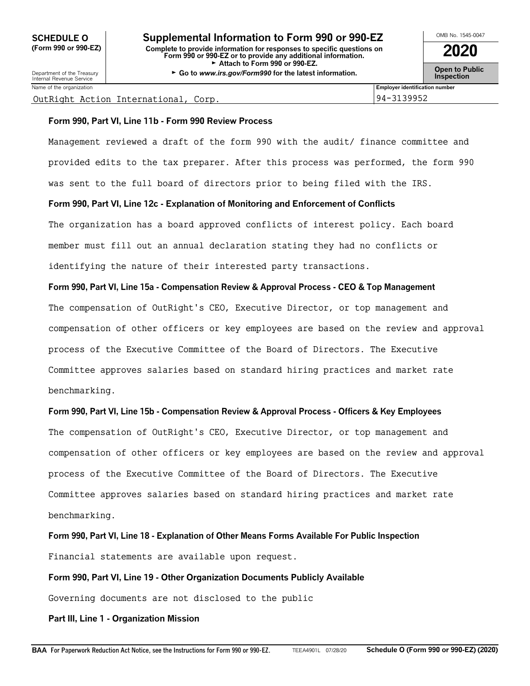# OMB No. 1545-0047 **SCHEDULE O Supplemental Information to Form 990 or 990-EZ (Form 990 or 990-EZ) Complete to provide information for responses to specific questions on Form 990 or 990-EZ or to provide any additional information. 2020** Attach to Form 990 or 990-EZ.

Department of the Treasury **Constant Comment of the Collaboration Constant Constant Comment Constant Constant Constant Constant Constant Constant Constant Constant Constant Constant Constant Constant Constant Constant C** 

| OMB No. 1545-0047 |  |
|-------------------|--|
| 2020              |  |
| Onen to Public    |  |

| _______                       |                                                                                                            |  |
|-------------------------------|------------------------------------------------------------------------------------------------------------|--|
| Name of the organization<br>. | <br>Emplover identification number                                                                         |  |
| $\sim$ $\sim$ $\sim$<br>___   | $\begin{array}{c} \n\bullet \bullet \bullet \bullet \bullet \bullet \bullet \bullet \end{array}$<br>$\sim$ |  |

#### OutRight Action International, Corp. 94-3139952

# **Form 990, Part VI, Line 11b - Form 990 Review Process**

Management reviewed a draft of the form 990 with the audit/ finance committee and provided edits to the tax preparer. After this process was performed, the form 990 was sent to the full board of directors prior to being filed with the IRS.

# **Form 990, Part VI, Line 12c - Explanation of Monitoring and Enforcement of Conflicts**

The organization has a board approved conflicts of interest policy. Each board member must fill out an annual declaration stating they had no conflicts or identifying the nature of their interested party transactions.

# **Form 990, Part VI, Line 15a - Compensation Review & Approval Process - CEO & Top Management**

The compensation of OutRight's CEO, Executive Director, or top management and compensation of other officers or key employees are based on the review and approval process of the Executive Committee of the Board of Directors. The Executive Committee approves salaries based on standard hiring practices and market rate benchmarking.

# **Form 990, Part VI, Line 15b - Compensation Review & Approval Process - Officers & Key Employees**

The compensation of OutRight's CEO, Executive Director, or top management and compensation of other officers or key employees are based on the review and approval process of the Executive Committee of the Board of Directors. The Executive Committee approves salaries based on standard hiring practices and market rate benchmarking.

**Form 990, Part VI, Line 18 - Explanation of Other Means Forms Available For Public Inspection** Financial statements are available upon request.

# **Form 990, Part VI, Line 19 - Other Organization Documents Publicly Available**

Governing documents are not disclosed to the public

# **Part III, Line 1 - Organization Mission**